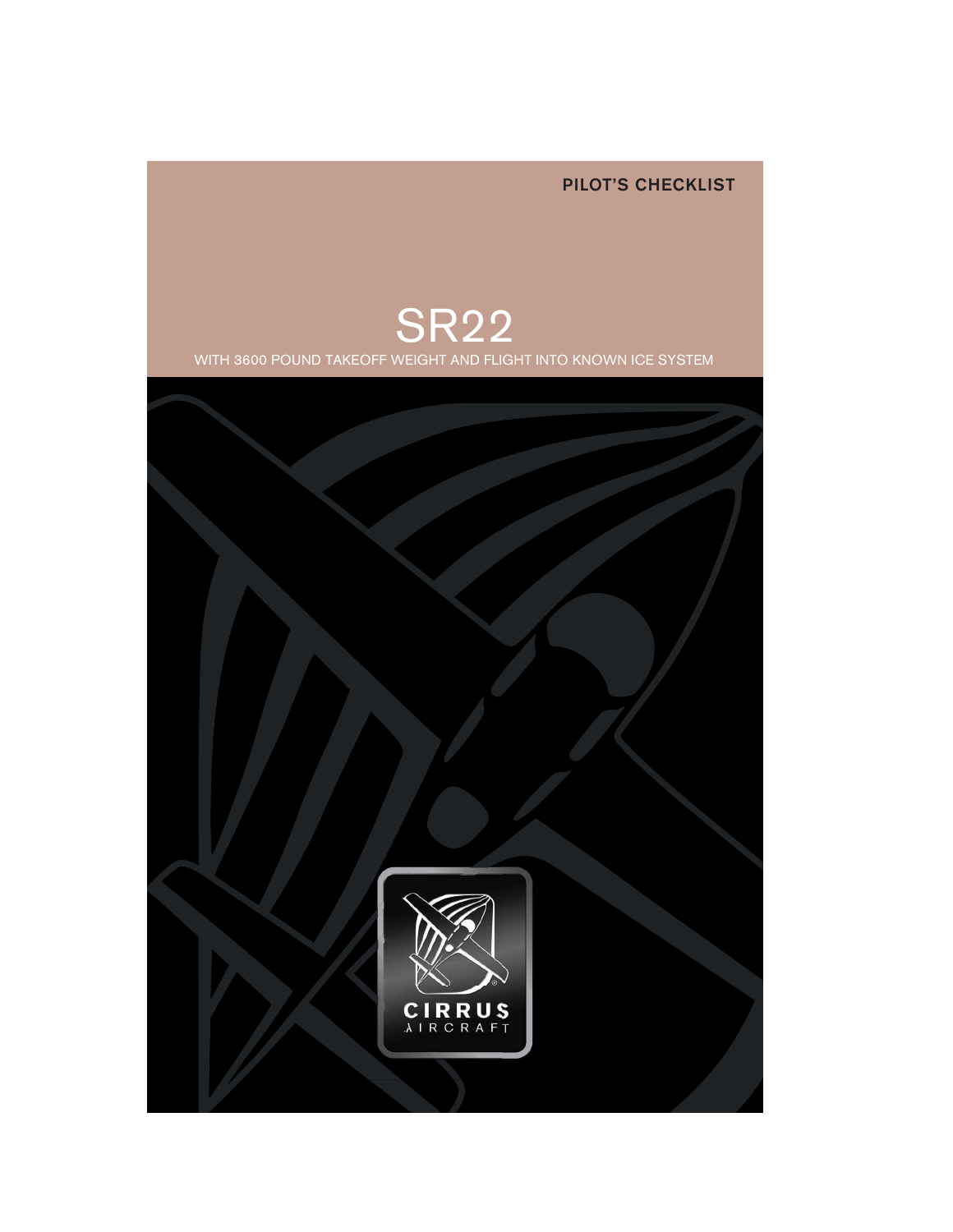PILOT'S CHECKLIST



WITH 3600 POUND TAKEOFF WEIGHT AND FLIGHT INTO KNOWN ICE SYSTEM

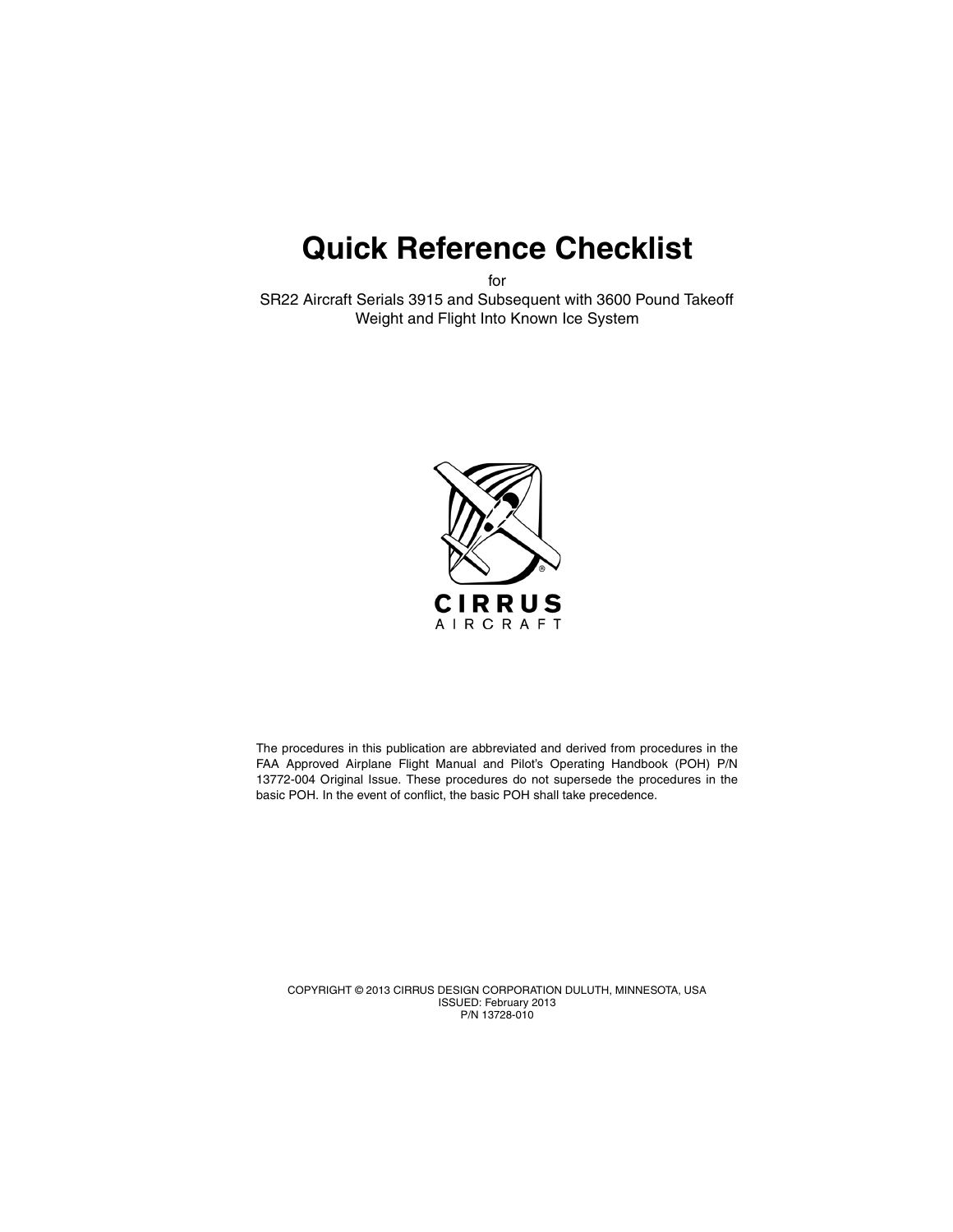# **Quick Reference Checklist**

for

SR22 Aircraft Serials 3915 and Subsequent with 3600 Pound Takeoff Weight and Flight Into Known Ice System



The procedures in this publication are abbreviated and derived from procedures in the FAA Approved Airplane Flight Manual and Pilot's Operating Handbook (POH) P/N 13772-004 Original Issue. These procedures do not supersede the procedures in the basic POH. In the event of conflict, the basic POH shall take precedence.

COPYRIGHT © 2013 CIRRUS DESIGN CORPORATION DULUTH, MINNESOTA, USA ISSUED: February 2013 P/N 13728-010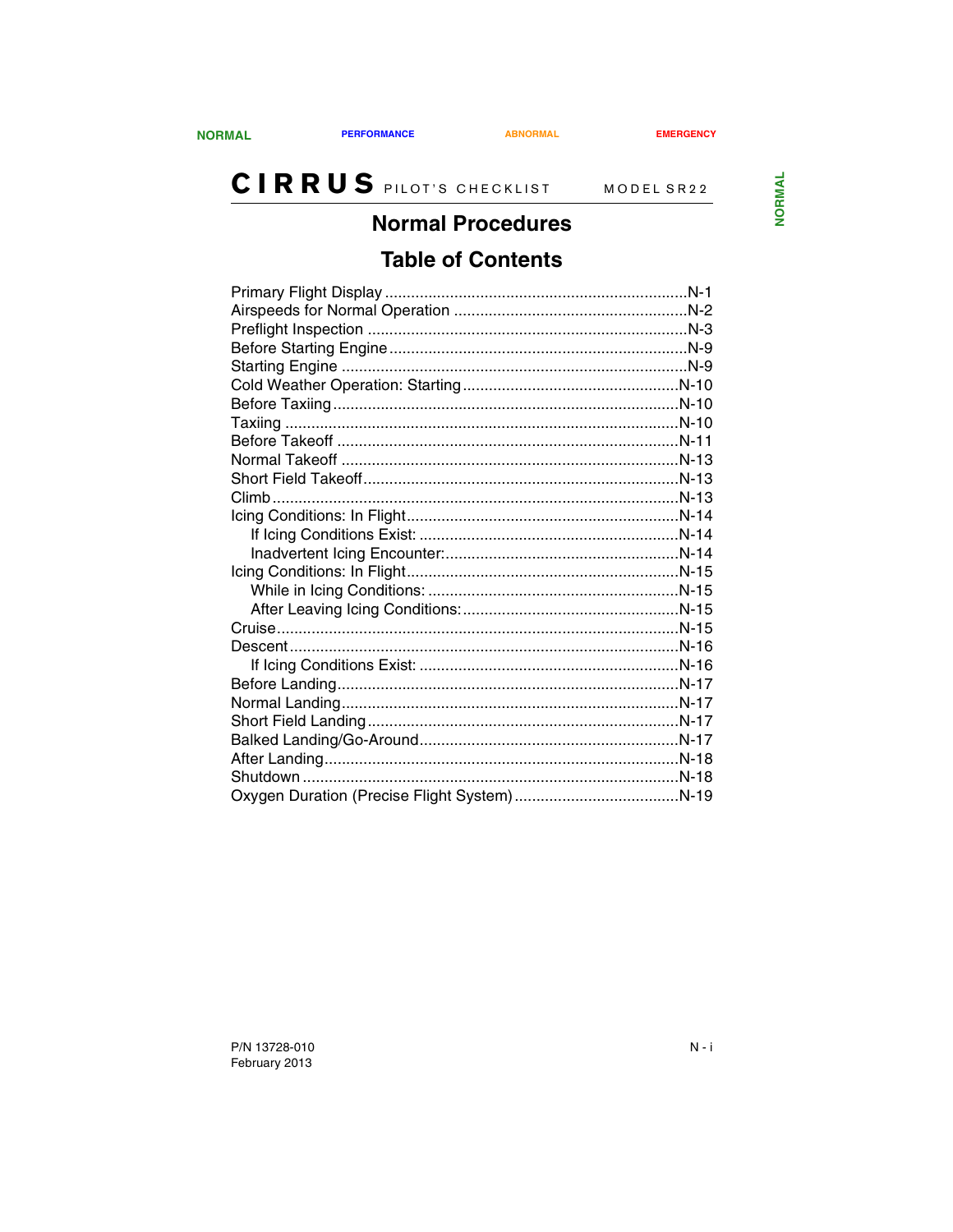### **Normal Procedures**

### **Table of Contents**

<span id="page-2-1"></span><span id="page-2-0"></span>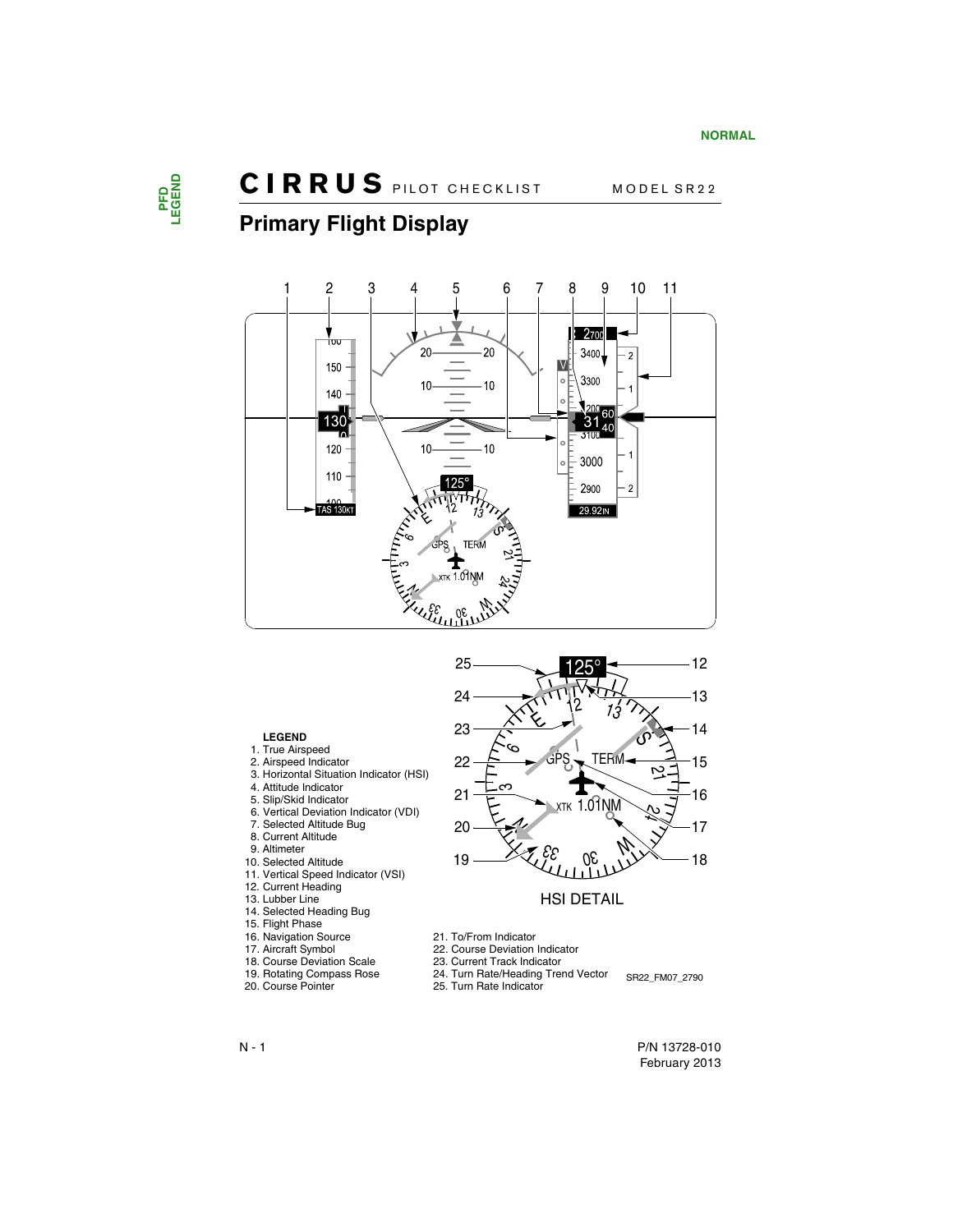

### <span id="page-3-0"></span>**Primary Flight Display**



#### **LEGEND**

- 1. True Airspeed
- 2. Airspeed Indicator
- 3. Horizontal Situation Indicator (HSI)
- 4. Attitude Indicator
- 5. Slip/Skid Indicator
- 6. Vertical Deviation Indicator (VDI)
- 7. Selected Altitude Bug
- 8. Current Altitude
- 9. Altimeter
- 10. Selected Altitude
- 11. Vertical Speed Indicator (VSI)
- 12. Current Heading
- 13. Lubber Line
- 14. Selected Heading Bug
- 15. Flight Phase
- 16. Navigation Source
- 17. Aircraft Symbol
- 18. Course Deviation Scale
- 19. Rotating Compass Rose
- 20. Course Pointer



#### HSI DETAIL

- 21. To/From Indicator
- 22. Course Deviation Indicator
- 23. Current Track Indicator
- 24. Turn Rate/Heading Trend Vector
- 24. Turn Rate/Heading Trend Vector SR22\_FM07\_2790<br>25. Turn Rate Indicator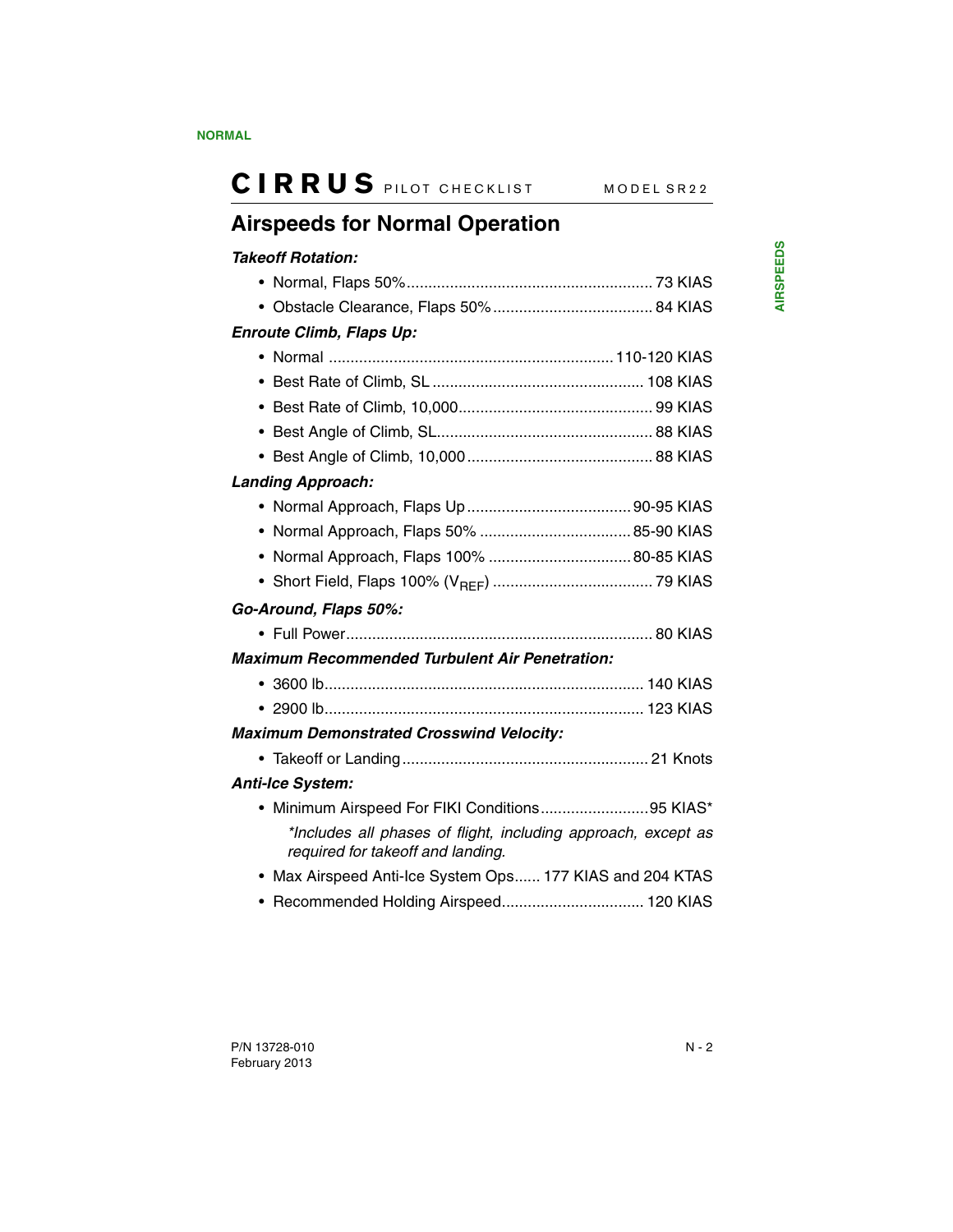## <span id="page-4-0"></span>**Airspeeds for Normal Operation**

#### *Takeoff Rotation:*

| <b>Enroute Climb, Flaps Up:</b>                                                                    |  |
|----------------------------------------------------------------------------------------------------|--|
|                                                                                                    |  |
|                                                                                                    |  |
|                                                                                                    |  |
|                                                                                                    |  |
|                                                                                                    |  |
| <b>Landing Approach:</b>                                                                           |  |
|                                                                                                    |  |
|                                                                                                    |  |
| ٠                                                                                                  |  |
|                                                                                                    |  |
| Go-Around, Flaps 50%:                                                                              |  |
|                                                                                                    |  |
| <b>Maximum Recommended Turbulent Air Penetration:</b>                                              |  |
|                                                                                                    |  |
|                                                                                                    |  |
| <b>Maximum Demonstrated Crosswind Velocity:</b>                                                    |  |
|                                                                                                    |  |
| <b>Anti-Ice System:</b>                                                                            |  |
| • Minimum Airspeed For FIKI Conditions95 KIAS*                                                     |  |
| *Includes all phases of flight, including approach, except as<br>required for takeoff and landing. |  |
| • Max Airspeed Anti-Ice System Ops 177 KIAS and 204 KTAS                                           |  |
| • Recommended Holding Airspeed 120 KIAS                                                            |  |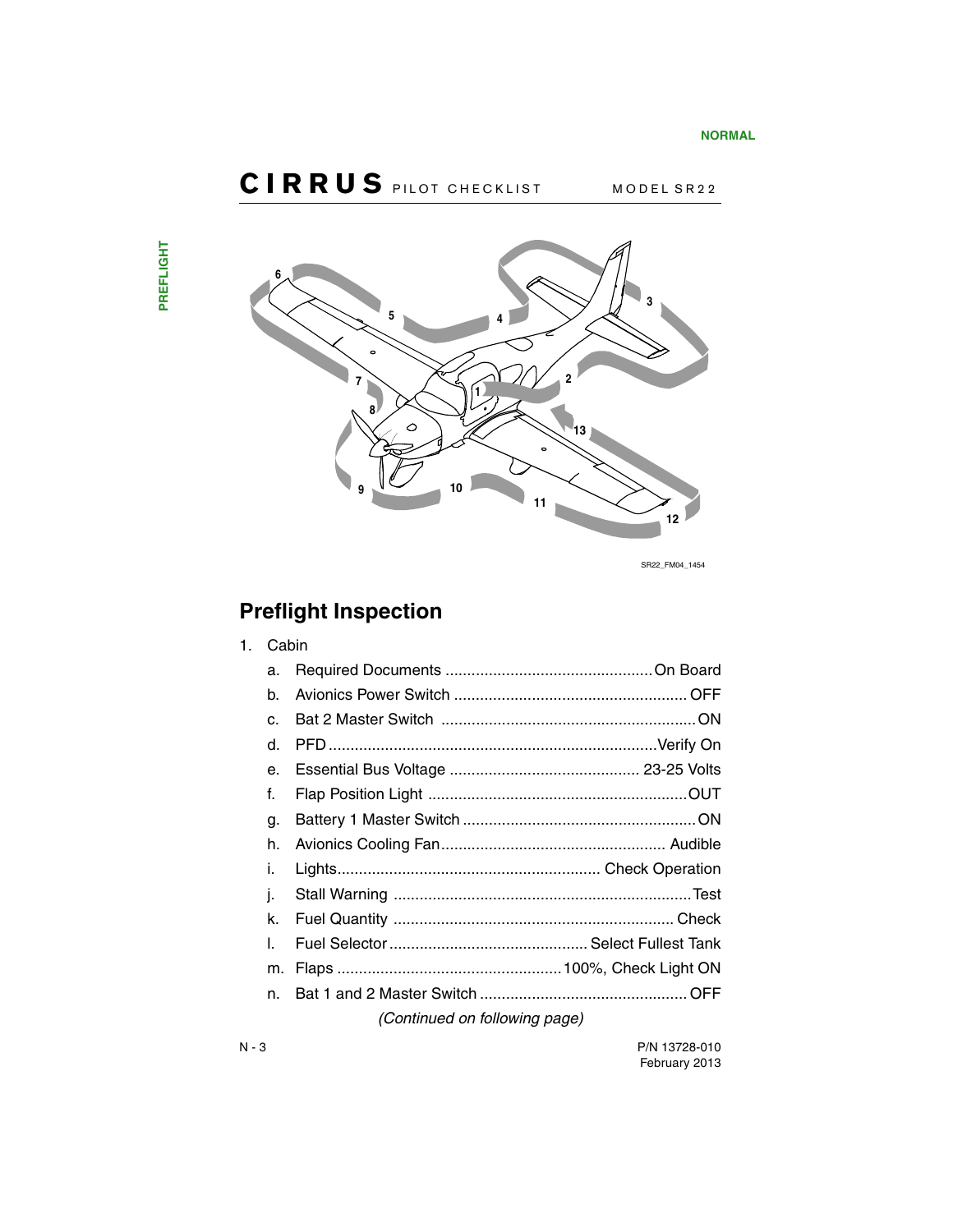

SR22\_FM04\_1454

## <span id="page-5-0"></span>**Preflight Inspection**

| 1. |              | Cabin                         |  |  |
|----|--------------|-------------------------------|--|--|
|    | a.           |                               |  |  |
|    | b.           |                               |  |  |
|    | $\mathbf{C}$ |                               |  |  |
|    | d.           |                               |  |  |
|    | e.           |                               |  |  |
|    | f.           |                               |  |  |
|    | g.           |                               |  |  |
|    | h.           |                               |  |  |
|    | i.           |                               |  |  |
|    | j.           |                               |  |  |
|    | k.           |                               |  |  |
|    | L            |                               |  |  |
|    | m.           |                               |  |  |
|    | n.           |                               |  |  |
|    |              | (Continued on following page) |  |  |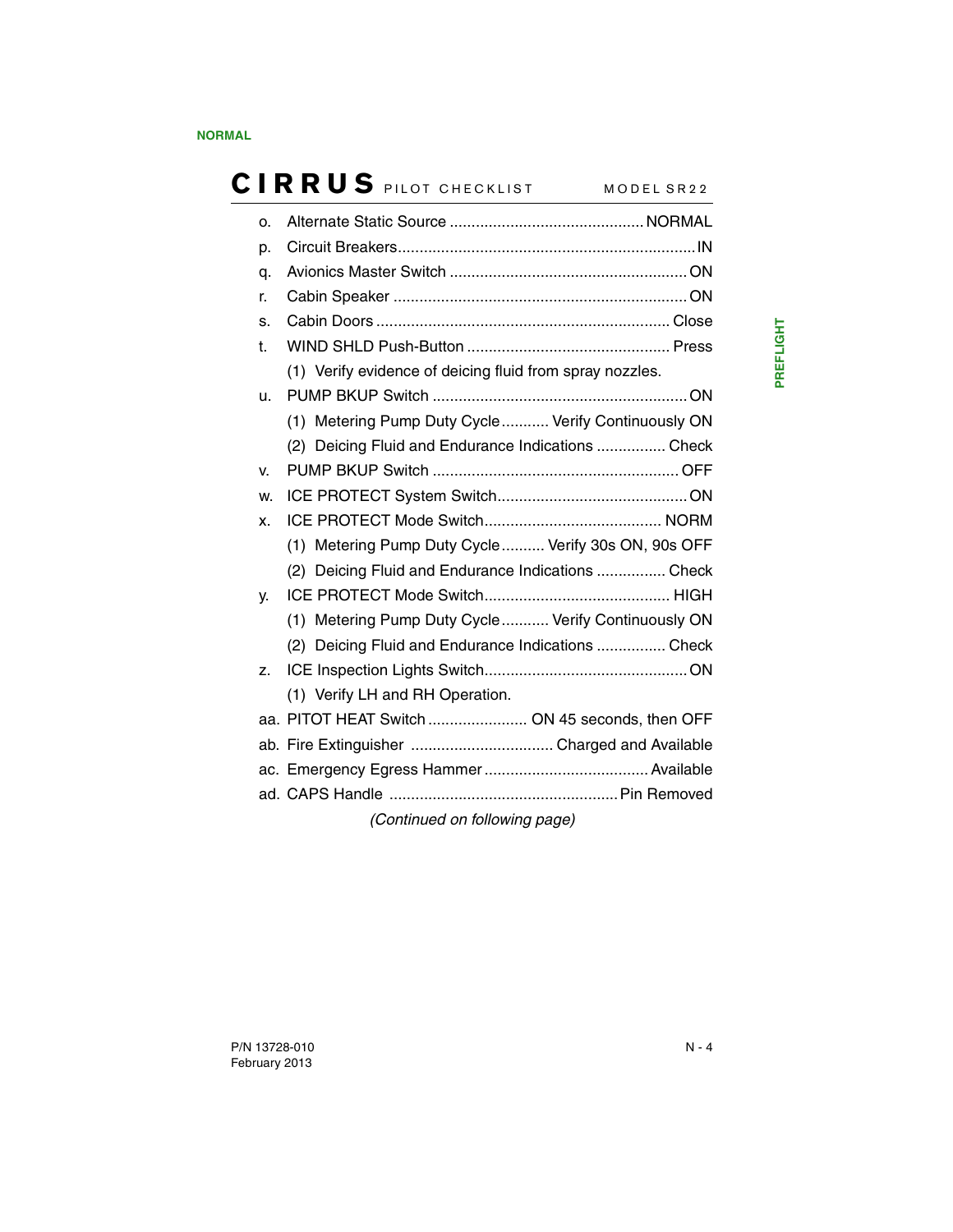| O.                            |                                                          |  |  |
|-------------------------------|----------------------------------------------------------|--|--|
| p.                            |                                                          |  |  |
| q.                            |                                                          |  |  |
| r.                            |                                                          |  |  |
| S.                            |                                                          |  |  |
| t.                            |                                                          |  |  |
|                               | (1) Verify evidence of deicing fluid from spray nozzles. |  |  |
| u.                            |                                                          |  |  |
|                               | (1) Metering Pump Duty Cycle Verify Continuously ON      |  |  |
|                               | (2) Deicing Fluid and Endurance Indications  Check       |  |  |
| V.                            |                                                          |  |  |
| W.                            |                                                          |  |  |
| X.                            |                                                          |  |  |
|                               | (1) Metering Pump Duty Cycle  Verify 30s ON, 90s OFF     |  |  |
|                               | (2) Deicing Fluid and Endurance Indications  Check       |  |  |
| γ.                            |                                                          |  |  |
|                               | (1) Metering Pump Duty Cycle Verify Continuously ON      |  |  |
|                               | (2) Deicing Fluid and Endurance Indications  Check       |  |  |
| Z.                            |                                                          |  |  |
|                               | (1) Verify LH and RH Operation.                          |  |  |
|                               | aa. PITOT HEAT Switch  ON 45 seconds, then OFF           |  |  |
|                               |                                                          |  |  |
|                               |                                                          |  |  |
|                               |                                                          |  |  |
| (Continued on following page) |                                                          |  |  |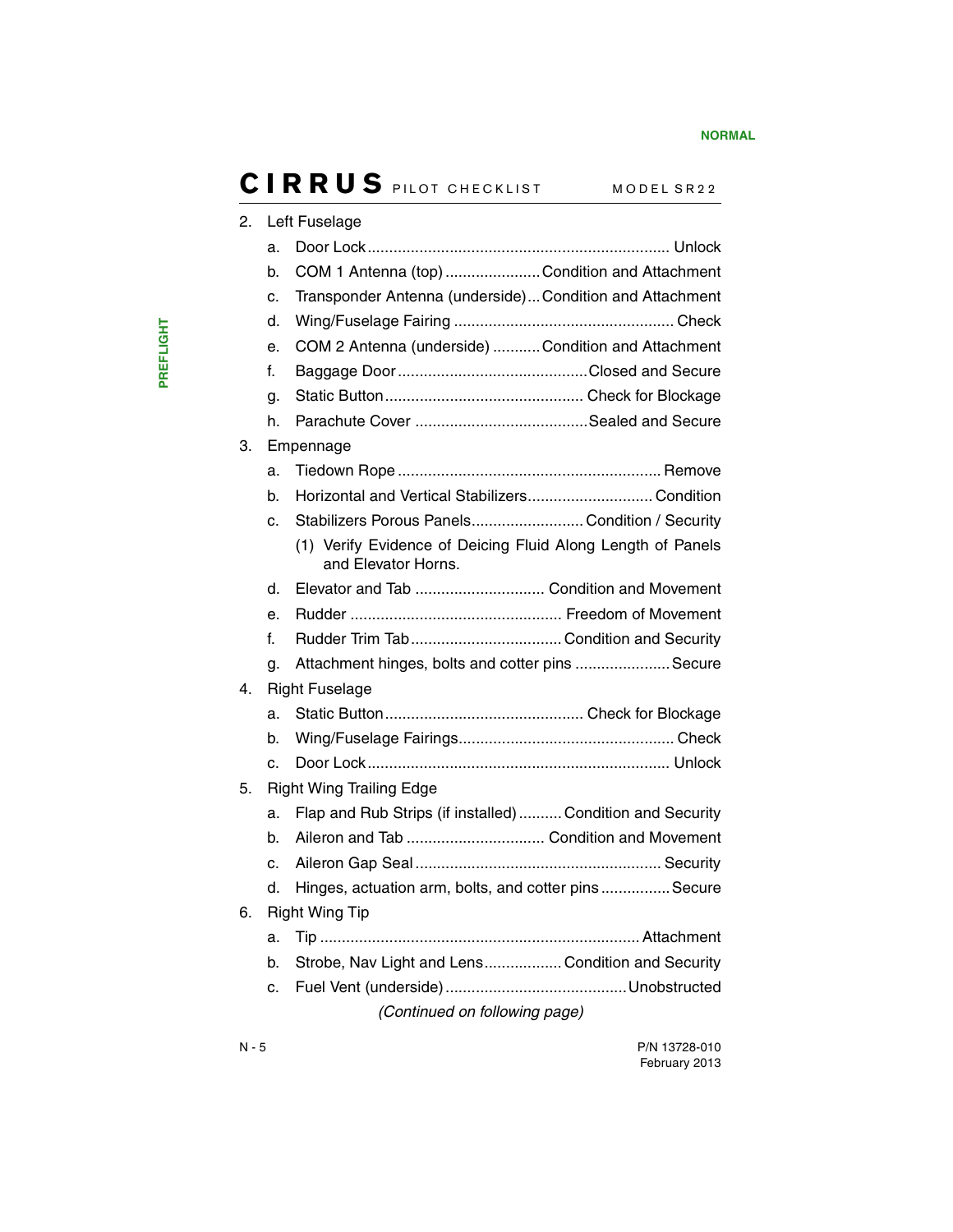| 2. | Left Fuselage                   |                                                                                                        |  |
|----|---------------------------------|--------------------------------------------------------------------------------------------------------|--|
|    | a.                              |                                                                                                        |  |
|    | b.                              | COM 1 Antenna (top) Condition and Attachment                                                           |  |
|    | c.                              | Transponder Antenna (underside) Condition and Attachment                                               |  |
|    | d.                              |                                                                                                        |  |
|    | е.                              | COM 2 Antenna (underside) Condition and Attachment                                                     |  |
|    | f.                              |                                                                                                        |  |
|    | g.                              |                                                                                                        |  |
|    | h.                              |                                                                                                        |  |
| З. |                                 | Empennage                                                                                              |  |
|    | a.                              |                                                                                                        |  |
|    | b.                              | Horizontal and Vertical StabilizersCondition                                                           |  |
|    | c.                              | Stabilizers Porous Panels Condition / Security                                                         |  |
|    |                                 | (1) Verify Evidence of Deicing Fluid Along Length of Panels<br>and Elevator Horns.                     |  |
|    | d.                              | Elevator and Tab  Condition and Movement                                                               |  |
|    | е.                              |                                                                                                        |  |
|    | f.                              |                                                                                                        |  |
|    | g.                              | Attachment hinges, bolts and cotter pins  Secure                                                       |  |
| 4. |                                 | <b>Right Fuselage</b>                                                                                  |  |
|    | a.                              |                                                                                                        |  |
|    | b.                              |                                                                                                        |  |
|    | C.                              |                                                                                                        |  |
| 5. | <b>Right Wing Trailing Edge</b> |                                                                                                        |  |
|    | a.                              | Flap and Rub Strips (if installed)  Condition and Security                                             |  |
|    | b.                              | Aileron and Tab  Condition and Movement                                                                |  |
|    | c.                              |                                                                                                        |  |
|    | d.                              | Hinges, actuation arm, bolts, and cotter pins Secure                                                   |  |
| 6. |                                 | <b>Right Wing Tip</b>                                                                                  |  |
|    | a.                              |                                                                                                        |  |
|    | b.                              | Strobe, Nav Light and LensCondition and Security                                                       |  |
|    | c.                              |                                                                                                        |  |
|    |                                 | $\mathbf{r}$ , and $\mathbf{r}$ and $\mathbf{r}$ and $\mathbf{r}$<br><b>Contract Contract Contract</b> |  |

*(Continued on following page)*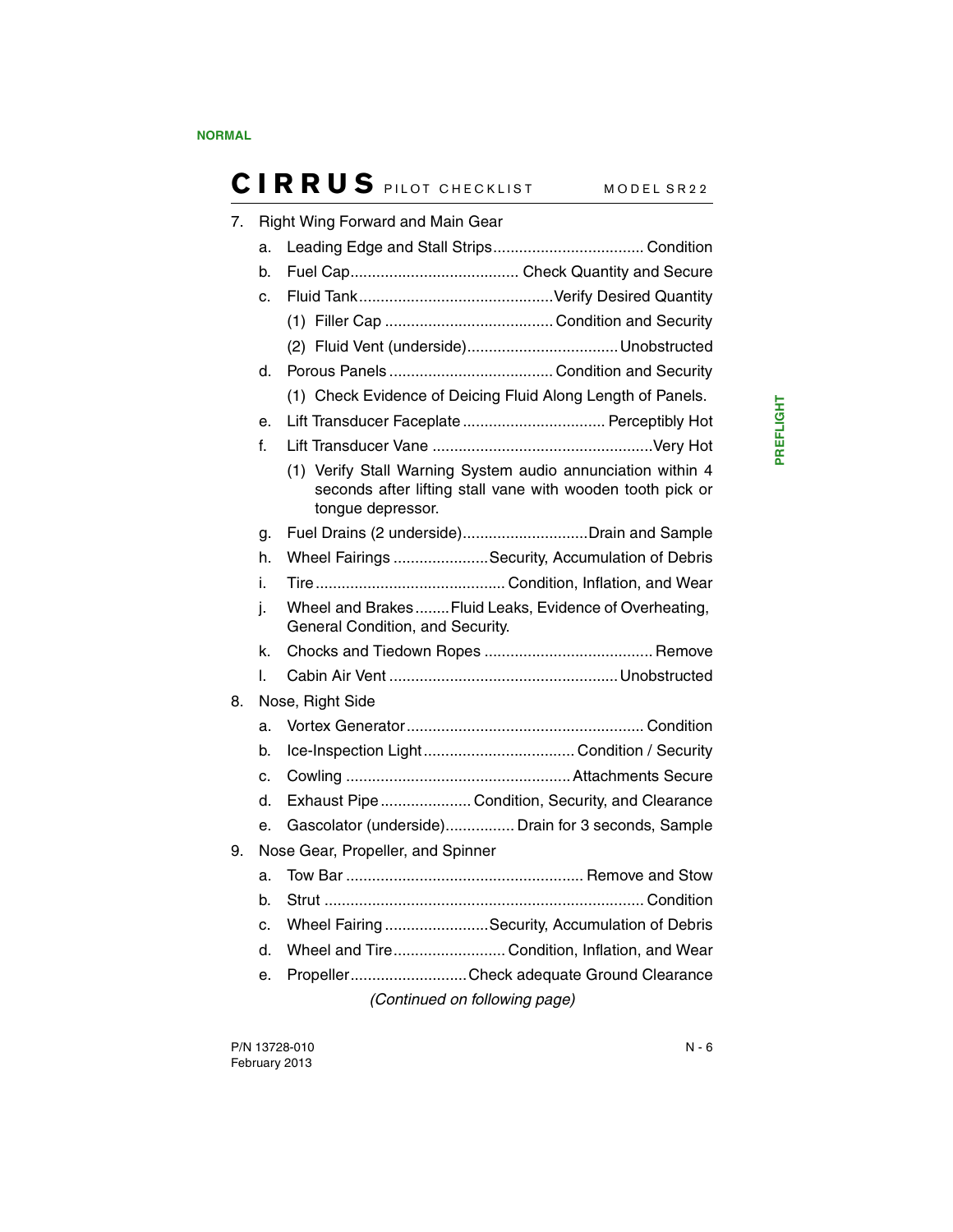| 7. |    | <b>Right Wing Forward and Main Gear</b>                                                                                                        |
|----|----|------------------------------------------------------------------------------------------------------------------------------------------------|
|    | a. |                                                                                                                                                |
|    | b. |                                                                                                                                                |
|    | c. |                                                                                                                                                |
|    |    |                                                                                                                                                |
|    |    |                                                                                                                                                |
|    | d. |                                                                                                                                                |
|    |    | (1) Check Evidence of Deicing Fluid Along Length of Panels.                                                                                    |
|    | e. | Lift Transducer Faceplate  Perceptibly Hot                                                                                                     |
|    | f. |                                                                                                                                                |
|    |    | (1) Verify Stall Warning System audio annunciation within 4<br>seconds after lifting stall vane with wooden tooth pick or<br>tongue depressor. |
|    | g. | Fuel Drains (2 underside)Drain and Sample                                                                                                      |
|    | h. | Wheel Fairings Security, Accumulation of Debris                                                                                                |
|    | i. |                                                                                                                                                |
|    | j. | Wheel and Brakes Fluid Leaks, Evidence of Overheating,<br>General Condition, and Security.                                                     |
|    | k. |                                                                                                                                                |
|    | I. |                                                                                                                                                |
| 8. |    | Nose, Right Side                                                                                                                               |
|    | a. |                                                                                                                                                |
|    | b. |                                                                                                                                                |
|    | C. |                                                                                                                                                |
|    | d. | Exhaust Pipe  Condition, Security, and Clearance                                                                                               |
|    | е. | Gascolator (underside) Drain for 3 seconds, Sample                                                                                             |
| 9. |    | Nose Gear, Propeller, and Spinner                                                                                                              |
|    | a. |                                                                                                                                                |
|    | b. |                                                                                                                                                |
|    | c. | Wheel Fairing Security, Accumulation of Debris                                                                                                 |
|    | d. | Wheel and Tire Condition, Inflation, and Wear                                                                                                  |
|    | е. | PropellerCheck adequate Ground Clearance                                                                                                       |
|    |    |                                                                                                                                                |

*(Continued on following page)*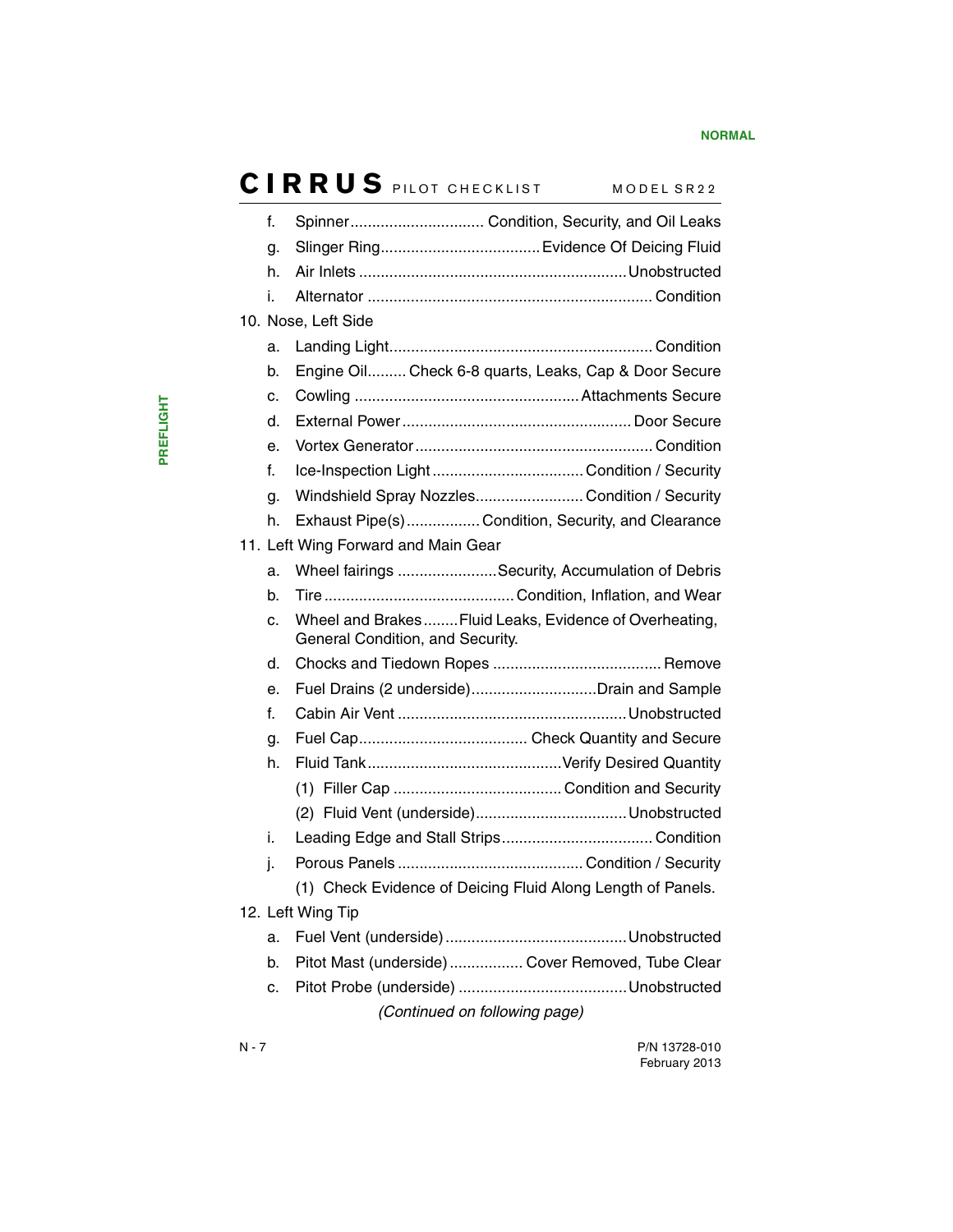| f. | Spinner Condition, Security, and Oil Leaks                                                  |
|----|---------------------------------------------------------------------------------------------|
| g. |                                                                                             |
| h. |                                                                                             |
| i. |                                                                                             |
|    | 10. Nose, Left Side                                                                         |
| a. |                                                                                             |
| b. | Engine Oil Check 6-8 quarts, Leaks, Cap & Door Secure                                       |
| c. |                                                                                             |
| d. |                                                                                             |
| е. |                                                                                             |
| f. |                                                                                             |
| g. | Windshield Spray Nozzles Condition / Security                                               |
| h. | Exhaust Pipe(s) Condition, Security, and Clearance                                          |
|    | 11. Left Wing Forward and Main Gear                                                         |
| a. | Wheel fairings Security, Accumulation of Debris                                             |
| b. |                                                                                             |
| c. | Wheel and Brakes  Fluid Leaks, Evidence of Overheating,<br>General Condition, and Security. |
| d. |                                                                                             |
| е. | Fuel Drains (2 underside)Drain and Sample                                                   |
| f. |                                                                                             |
| g. |                                                                                             |
| h. |                                                                                             |
|    |                                                                                             |
|    |                                                                                             |
| i. |                                                                                             |
| j. |                                                                                             |
|    | (1) Check Evidence of Deicing Fluid Along Length of Panels.                                 |
|    | 12. Left Wing Tip                                                                           |
| a. |                                                                                             |
| b. | Pitot Mast (underside)  Cover Removed, Tube Clear                                           |
| c. |                                                                                             |
|    | (Continued on following page)                                                               |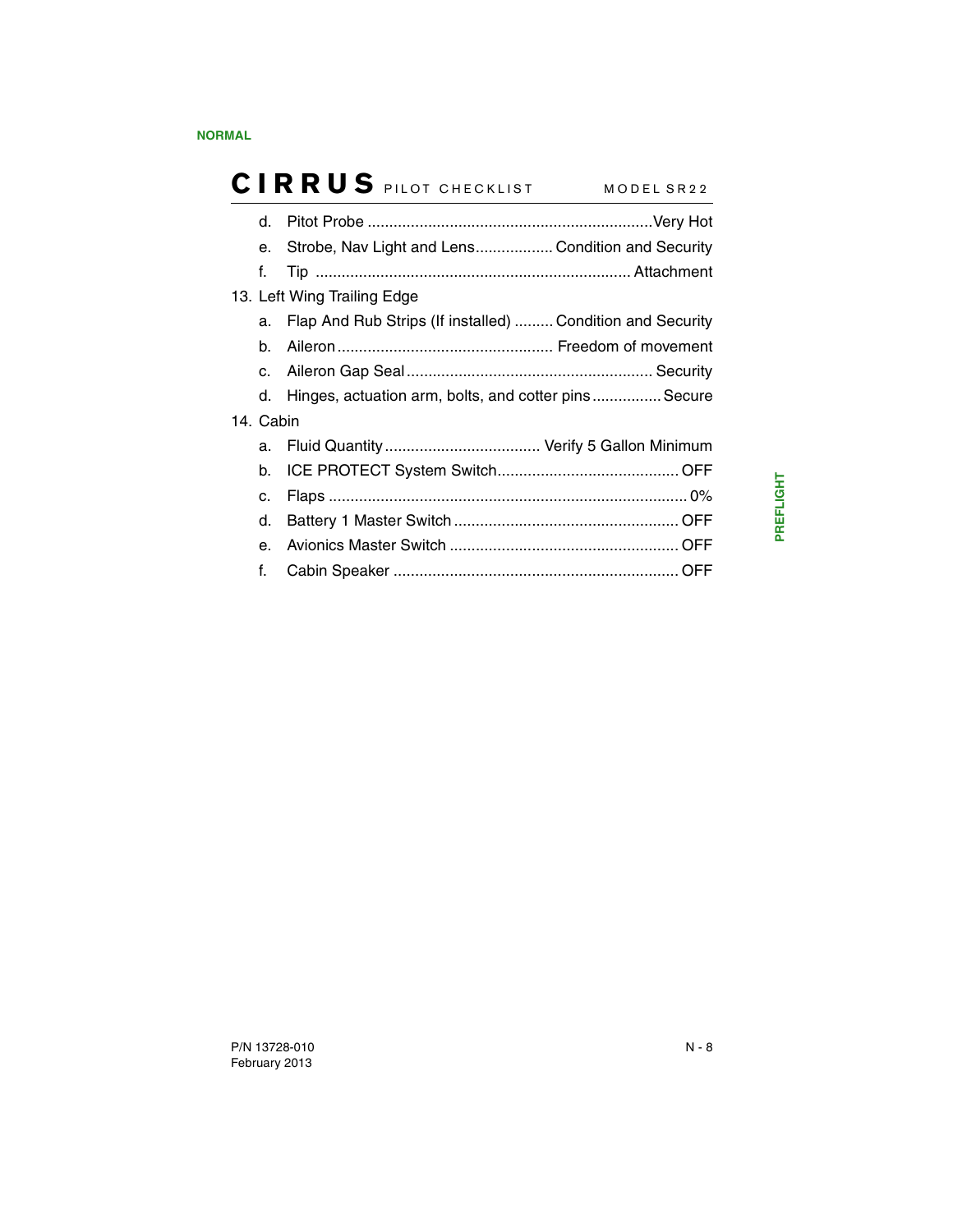| d.             |                                                            |  |
|----------------|------------------------------------------------------------|--|
| е.             | Strobe, Nav Light and Lens Condition and Security          |  |
| f.             |                                                            |  |
|                | 13. Left Wing Trailing Edge                                |  |
| a.             | Flap And Rub Strips (If installed)  Condition and Security |  |
| b.             |                                                            |  |
| C.             |                                                            |  |
|                | d. Hinges, actuation arm, bolts, and cotter pins Secure    |  |
| 14. Cabin      |                                                            |  |
| a.             |                                                            |  |
| b.             |                                                            |  |
| c.             |                                                            |  |
| d.             |                                                            |  |
| e <sub>1</sub> |                                                            |  |
| f.             |                                                            |  |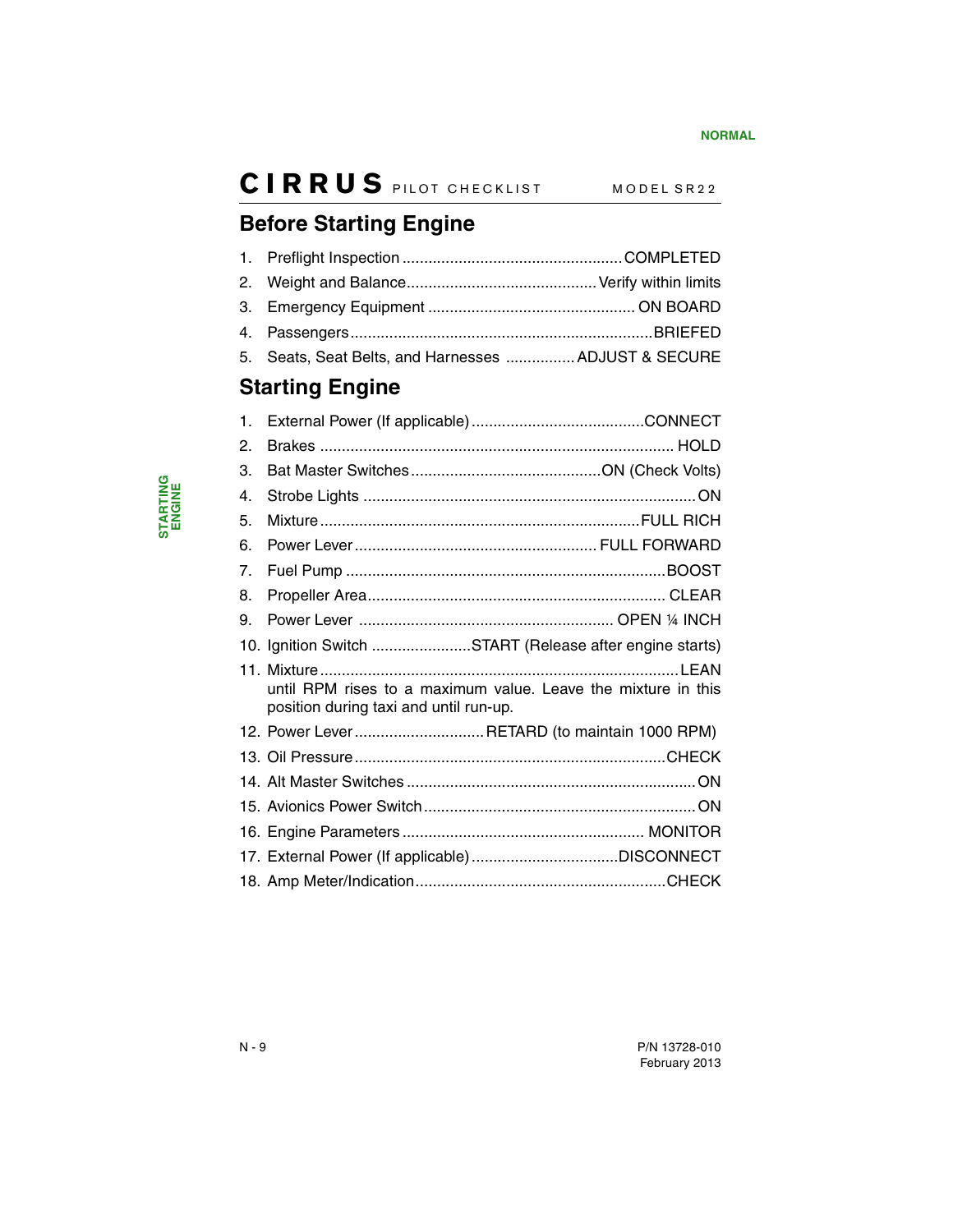## <span id="page-11-0"></span>**Before Starting Engine**

<span id="page-11-1"></span>

| $\mathbf{1}$ . |                                                                                                         |  |
|----------------|---------------------------------------------------------------------------------------------------------|--|
| 2.             |                                                                                                         |  |
| 3.             |                                                                                                         |  |
| 4.             |                                                                                                         |  |
| 5.             | Seats, Seat Belts, and Harnesses  ADJUST & SECURE                                                       |  |
|                | <b>Starting Engine</b>                                                                                  |  |
| $\mathbf 1$ .  |                                                                                                         |  |
| 2.             |                                                                                                         |  |
| 3.             |                                                                                                         |  |
| 4.             |                                                                                                         |  |
| 5.             |                                                                                                         |  |
| 6.             |                                                                                                         |  |
| 7.             |                                                                                                         |  |
| 8.             |                                                                                                         |  |
| 9.             |                                                                                                         |  |
|                | 10. Ignition Switch START (Release after engine starts)                                                 |  |
|                | until RPM rises to a maximum value. Leave the mixture in this<br>position during taxi and until run-up. |  |
|                | 12. Power Lever RETARD (to maintain 1000 RPM)                                                           |  |
|                |                                                                                                         |  |
|                |                                                                                                         |  |
|                |                                                                                                         |  |
|                |                                                                                                         |  |
|                |                                                                                                         |  |
|                |                                                                                                         |  |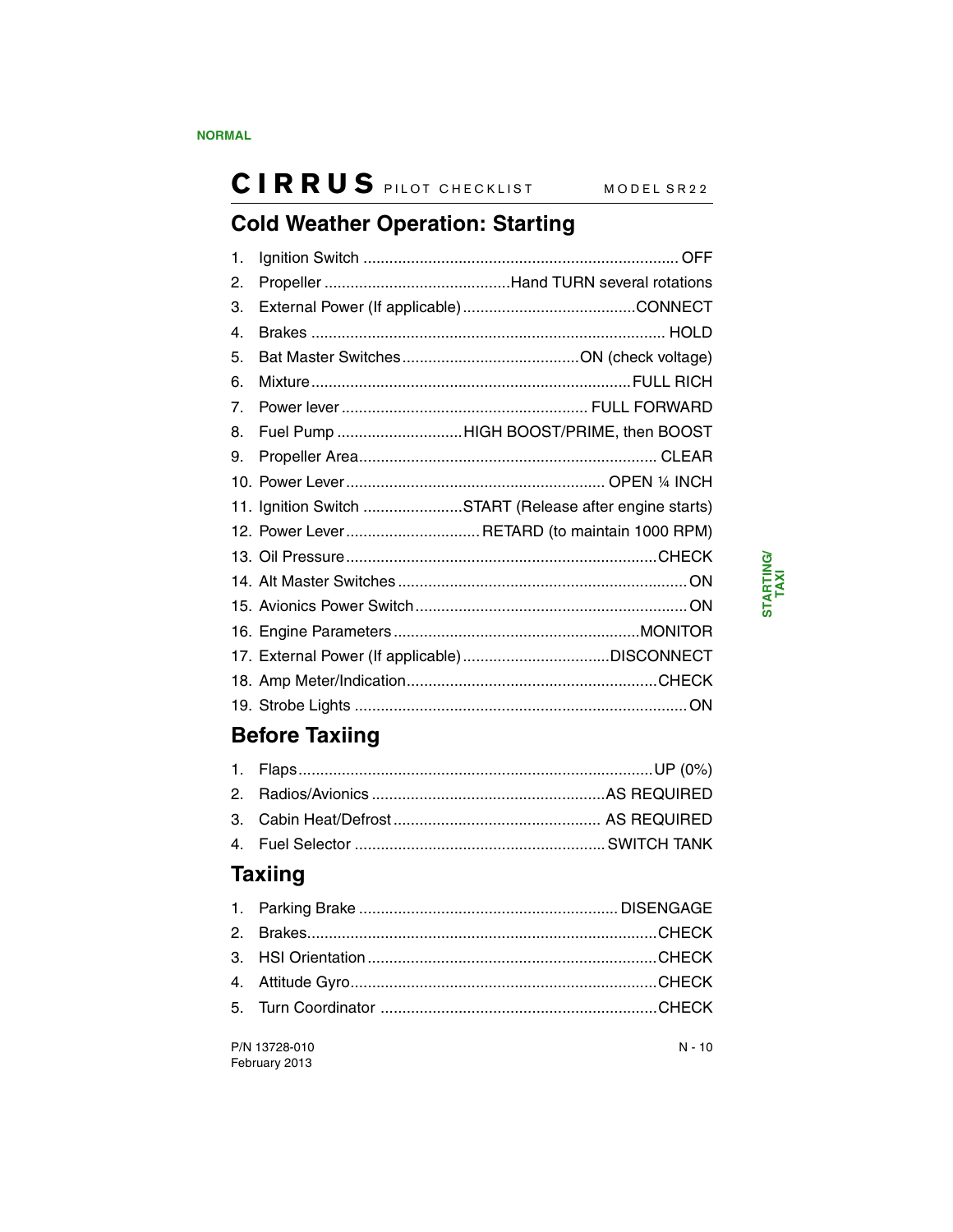## <span id="page-12-0"></span>**Cold Weather Operation: Starting**

| 1. |                                                         |
|----|---------------------------------------------------------|
| 2. |                                                         |
| 3. |                                                         |
| 4. |                                                         |
| 5. |                                                         |
| 6. |                                                         |
| 7. |                                                         |
| 8. | Fuel Pump HIGH BOOST/PRIME, then BOOST                  |
| 9. |                                                         |
|    |                                                         |
|    | 11. Ignition Switch START (Release after engine starts) |
|    | 12. Power Lever RETARD (to maintain 1000 RPM)           |
|    |                                                         |
|    |                                                         |
|    |                                                         |
|    |                                                         |
|    |                                                         |
|    |                                                         |
|    |                                                         |
|    |                                                         |

## <span id="page-12-1"></span>**Before Taxiing**

## <span id="page-12-2"></span>**Taxiing**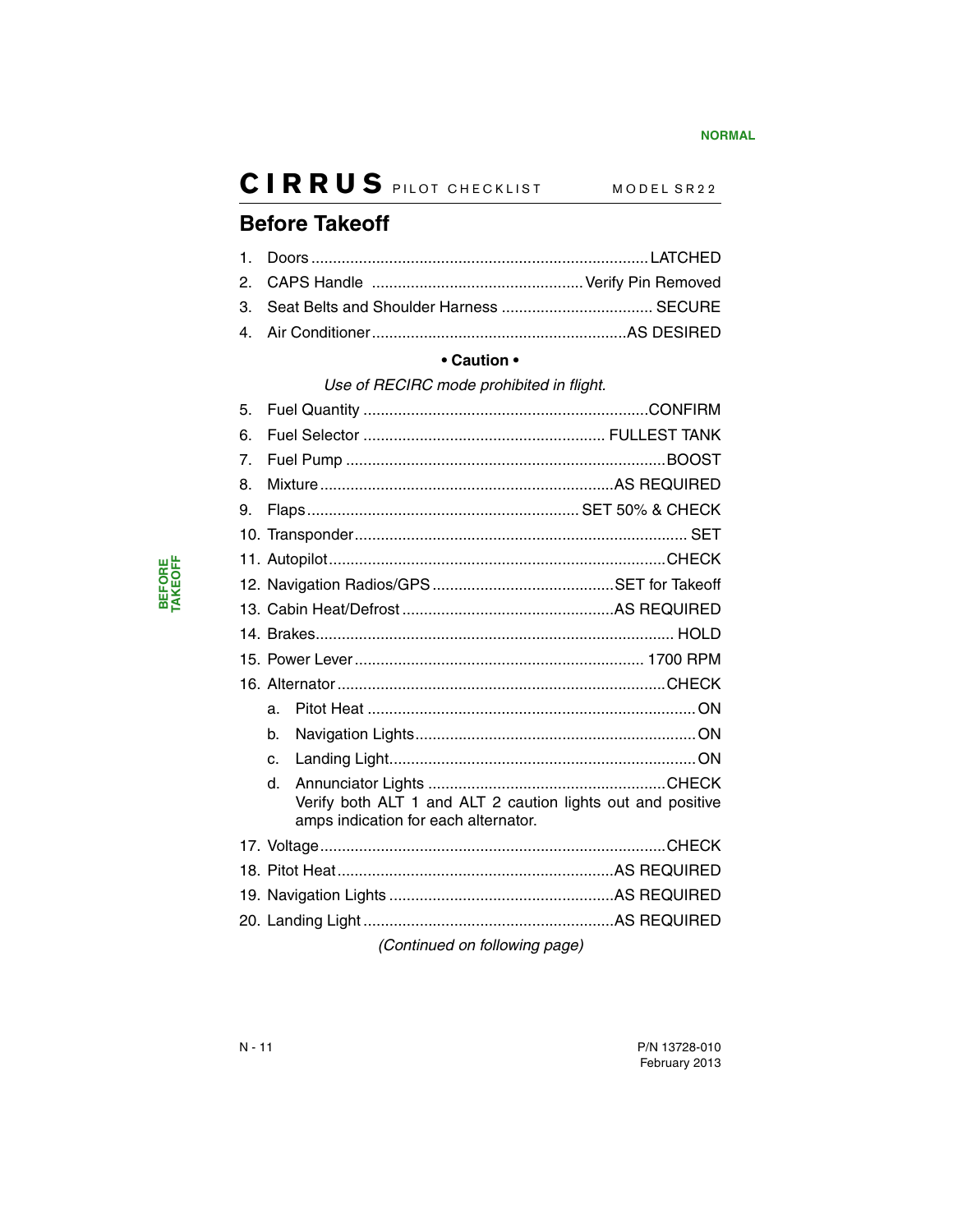### <span id="page-13-0"></span>**Before Takeoff**

#### **• Caution •**

#### *Use of RECIRC mode prohibited in flight.*

| 5. |             |                                                                                                     |  |
|----|-------------|-----------------------------------------------------------------------------------------------------|--|
| 6. |             |                                                                                                     |  |
| 7. |             |                                                                                                     |  |
| 8. |             |                                                                                                     |  |
| 9. |             |                                                                                                     |  |
|    |             |                                                                                                     |  |
|    |             |                                                                                                     |  |
|    |             |                                                                                                     |  |
|    |             |                                                                                                     |  |
|    |             |                                                                                                     |  |
|    |             |                                                                                                     |  |
|    |             |                                                                                                     |  |
|    | a.          |                                                                                                     |  |
|    | $h_{\cdot}$ |                                                                                                     |  |
|    | $\Omega$    |                                                                                                     |  |
|    | d.          | Verify both ALT 1 and ALT 2 caution lights out and positive<br>amps indication for each alternator. |  |
|    |             |                                                                                                     |  |
|    |             |                                                                                                     |  |
|    |             |                                                                                                     |  |
|    |             |                                                                                                     |  |
|    |             | (Continued on following page)                                                                       |  |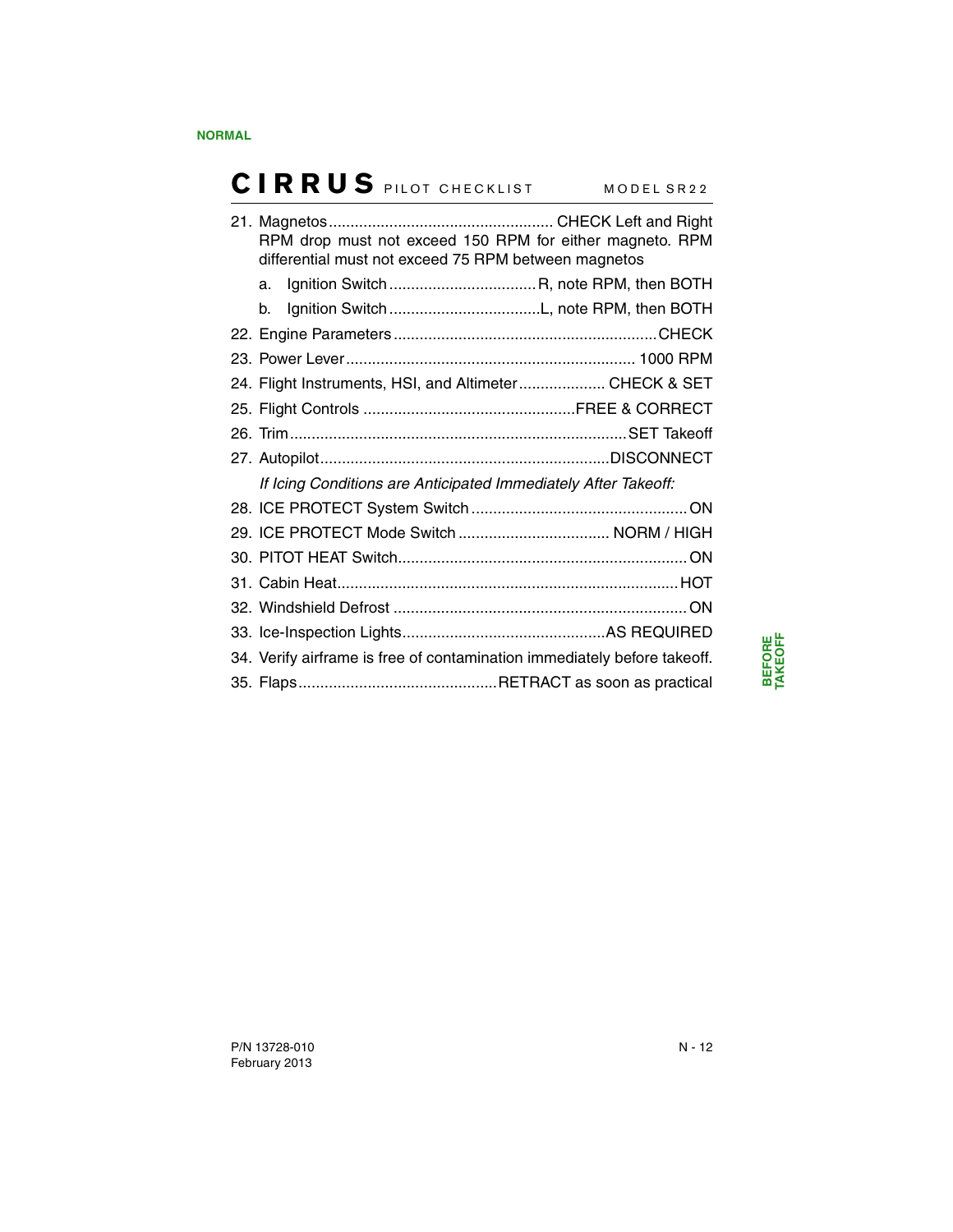|    | RPM drop must not exceed 150 RPM for either magneto. RPM<br>differential must not exceed 75 RPM between magnetos |  |
|----|------------------------------------------------------------------------------------------------------------------|--|
|    |                                                                                                                  |  |
| b. |                                                                                                                  |  |
|    |                                                                                                                  |  |
|    |                                                                                                                  |  |
|    | 24. Flight Instruments, HSI, and Altimeter CHECK & SET                                                           |  |
|    |                                                                                                                  |  |
|    |                                                                                                                  |  |
|    |                                                                                                                  |  |
|    | If Icing Conditions are Anticipated Immediately After Takeoff:                                                   |  |
|    |                                                                                                                  |  |
|    |                                                                                                                  |  |
|    |                                                                                                                  |  |
|    |                                                                                                                  |  |
|    |                                                                                                                  |  |
|    |                                                                                                                  |  |
|    | 34. Verify airframe is free of contamination immediately before takeoff.                                         |  |
|    |                                                                                                                  |  |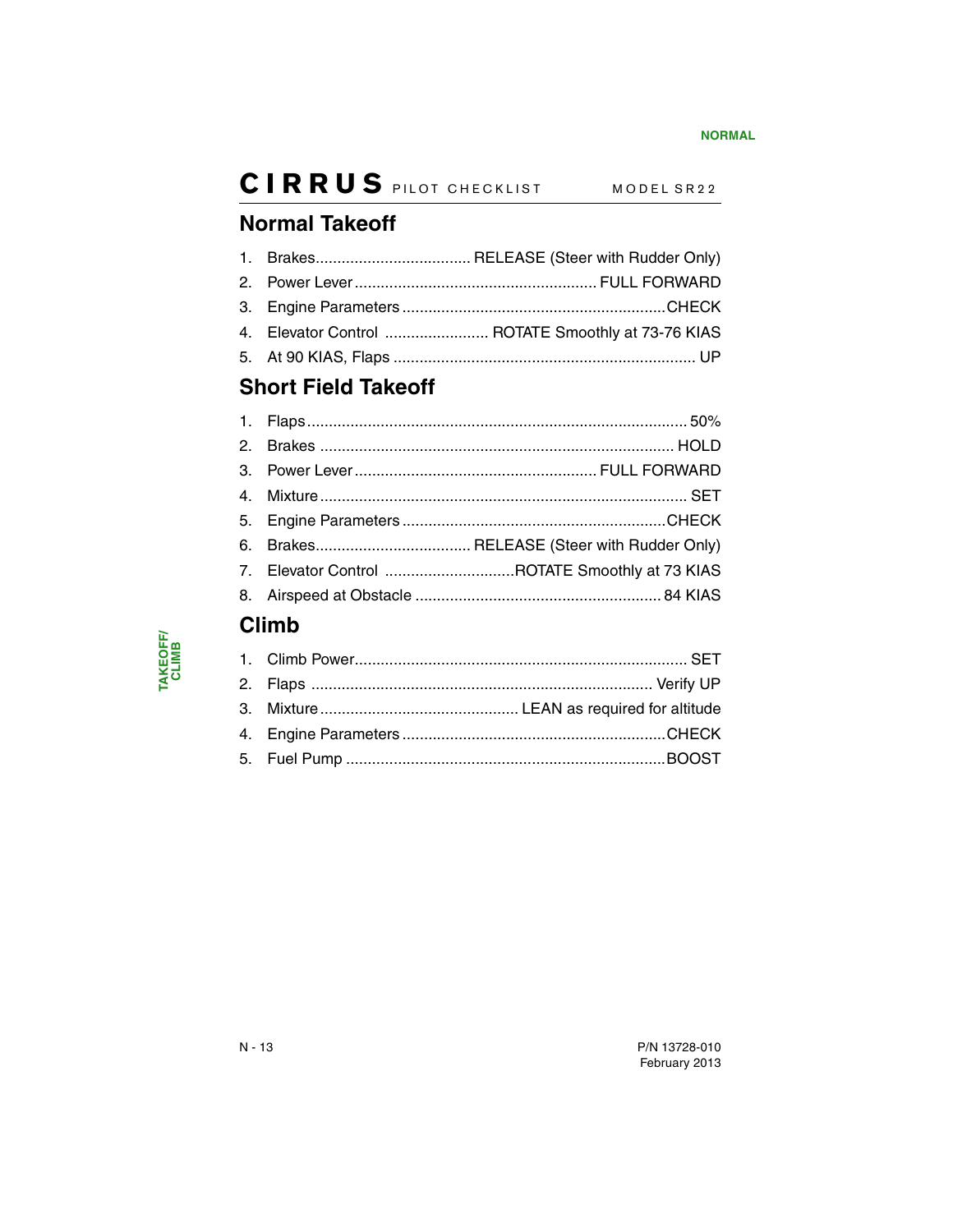### <span id="page-15-0"></span>**Normal Takeoff**

|  | 4. Elevator Control  ROTATE Smoothly at 73-76 KIAS |
|--|----------------------------------------------------|
|  |                                                    |
|  |                                                    |

### <span id="page-15-1"></span>**Short Field Takeoff**

|                                               | 7. Elevator Control ROTATE Smoothly at 73 KIAS |
|-----------------------------------------------|------------------------------------------------|
|                                               |                                                |
| Attack to the contract of the contract of the |                                                |

### <span id="page-15-2"></span>**Climb**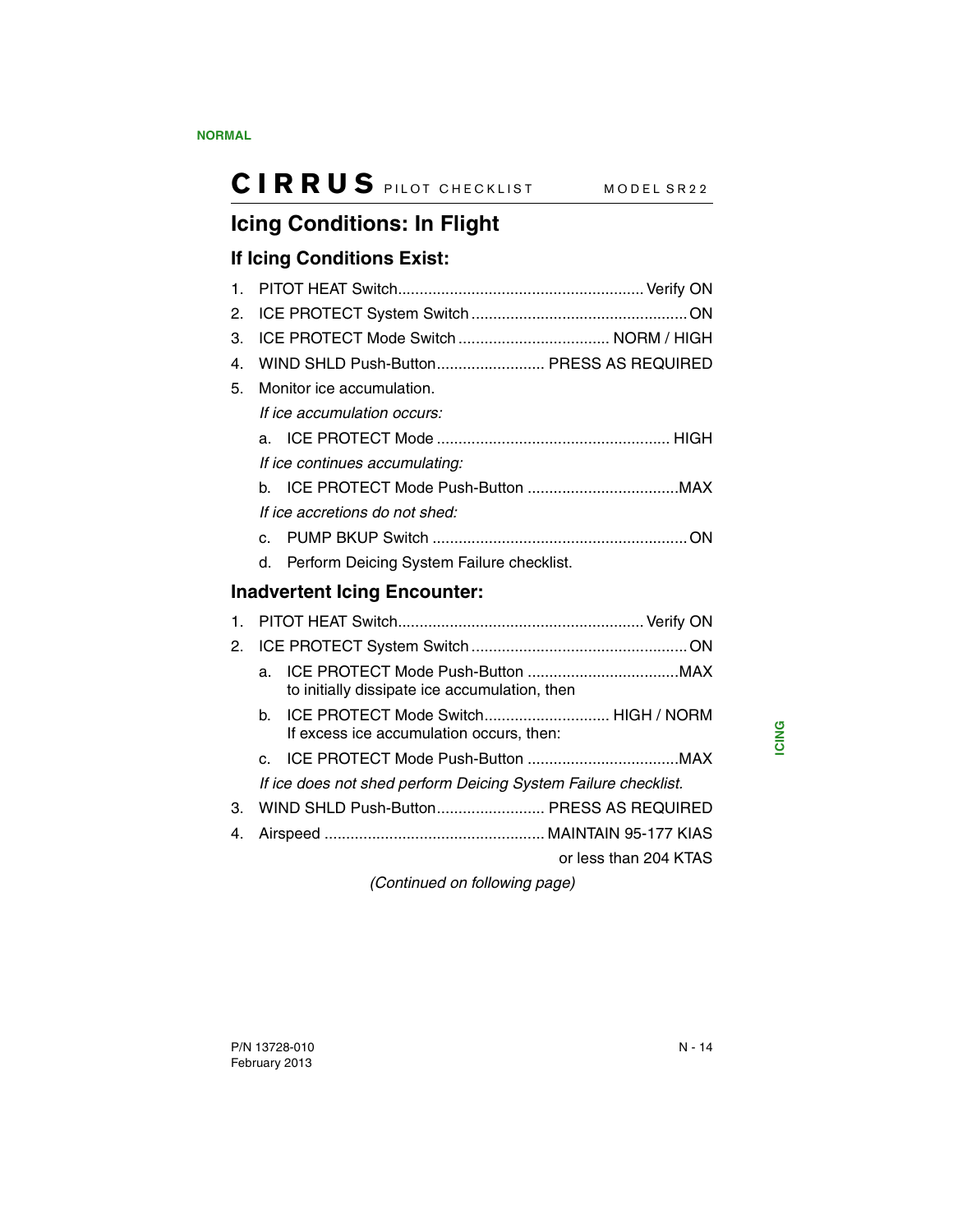# <span id="page-16-0"></span>**Icing Conditions: In Flight**

#### <span id="page-16-1"></span>**If Icing Conditions Exist:**

<span id="page-16-2"></span>

| $\mathbf{1}$ . |                |                                                                                 |
|----------------|----------------|---------------------------------------------------------------------------------|
| 2.             |                |                                                                                 |
| 3.             |                |                                                                                 |
| 4.             |                | WIND SHLD Push-Button PRESS AS REQUIRED                                         |
| 5.             |                | Monitor ice accumulation.                                                       |
|                |                | If ice accumulation occurs:                                                     |
|                |                |                                                                                 |
|                |                | If ice continues accumulating:                                                  |
|                | h.             |                                                                                 |
|                |                | If ice accretions do not shed:                                                  |
|                | $\mathbf{C}$ . |                                                                                 |
|                | d.             | Perform Deicing System Failure checklist.                                       |
|                |                | <b>Inadvertent Icing Encounter:</b>                                             |
| 1.             |                |                                                                                 |
| 2.             |                |                                                                                 |
|                | a.             | to initially dissipate ice accumulation, then                                   |
|                | b.             | ICE PROTECT Mode Switch HIGH / NORM<br>If excess ice accumulation occurs, then: |
|                | C.             |                                                                                 |
|                |                | If ice does not shed perform Deicing System Failure checklist.                  |
| 3.             |                | WIND SHLD Push-Button PRESS AS REQUIRED                                         |
| 4.             |                |                                                                                 |
|                |                | or less than 204 KTAS                                                           |

*(Continued on following page)*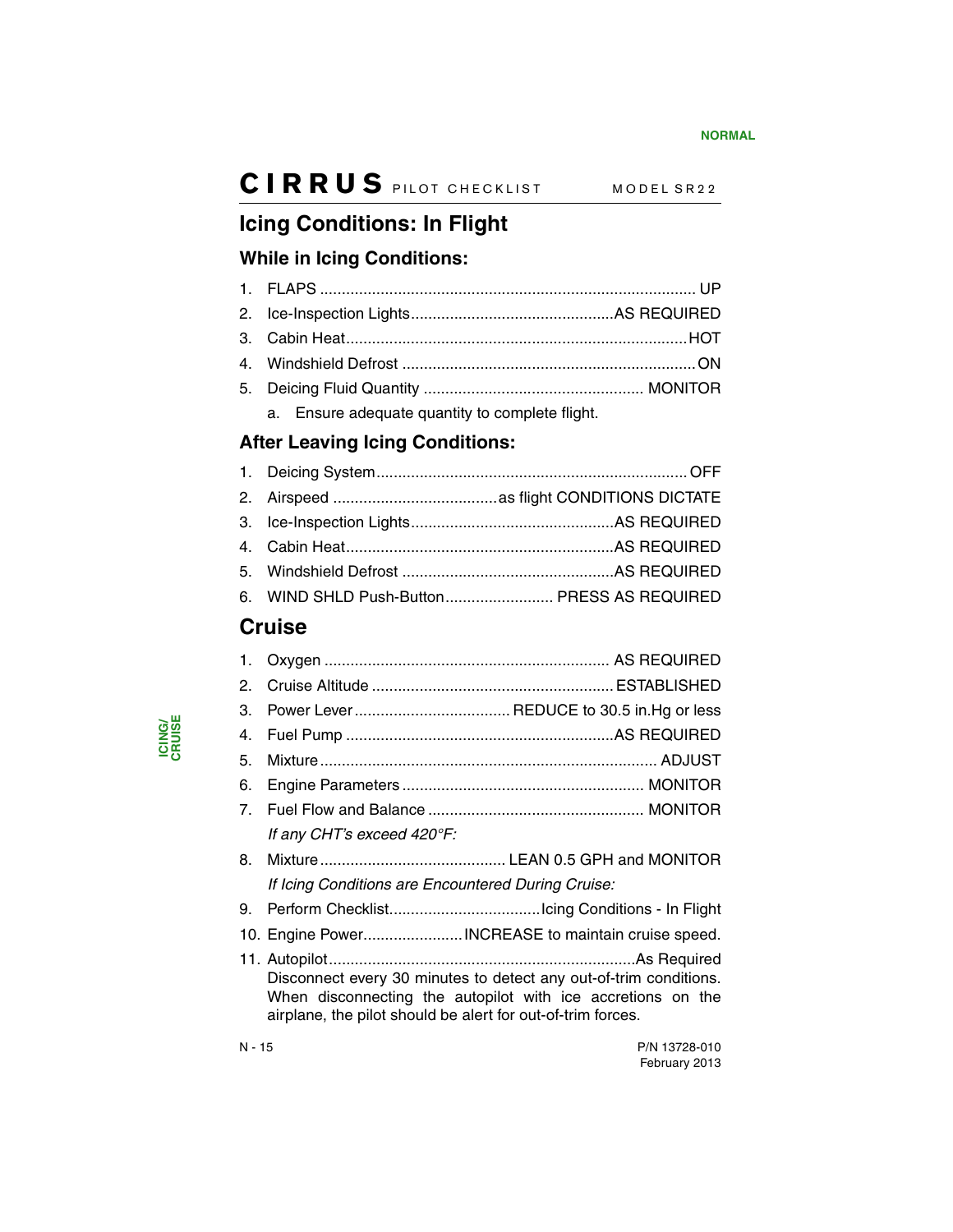## <span id="page-17-0"></span>**Icing Conditions: In Flight**

#### <span id="page-17-1"></span>**While in Icing Conditions:**

a. Ensure adequate quantity to complete flight.

#### <span id="page-17-2"></span>**After Leaving Icing Conditions:**

|  | 6. WIND SHLD Push-Button PRESS AS REQUIRED |
|--|--------------------------------------------|
|  |                                            |

### <span id="page-17-3"></span>**Cruise**

| 1.             |                                                                                                                                                                                                 |  |
|----------------|-------------------------------------------------------------------------------------------------------------------------------------------------------------------------------------------------|--|
| 2.             |                                                                                                                                                                                                 |  |
| З.             |                                                                                                                                                                                                 |  |
| 4.             |                                                                                                                                                                                                 |  |
| 5.             |                                                                                                                                                                                                 |  |
| 6.             |                                                                                                                                                                                                 |  |
| 7 <sub>1</sub> |                                                                                                                                                                                                 |  |
|                | If any CHT's exceed 420°F:                                                                                                                                                                      |  |
| 8.             |                                                                                                                                                                                                 |  |
|                | If Icing Conditions are Encountered During Cruise:                                                                                                                                              |  |
| 9.             |                                                                                                                                                                                                 |  |
|                | 10. Engine Power INCREASE to maintain cruise speed.                                                                                                                                             |  |
|                | Disconnect every 30 minutes to detect any out-of-trim conditions.<br>When disconnecting the autopilot with ice accretions on the<br>airplane, the pilot should be alert for out-of-trim forces. |  |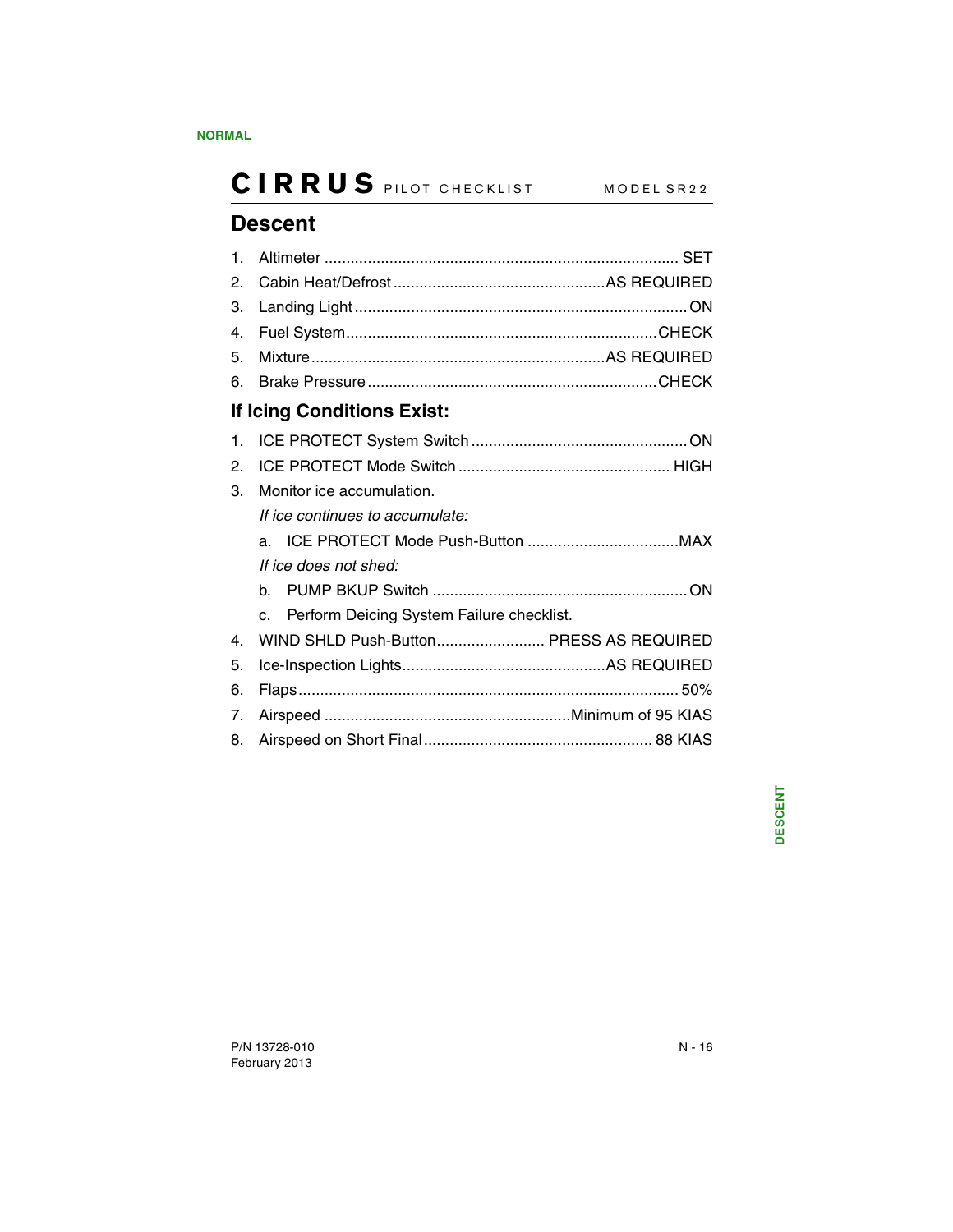## <span id="page-18-0"></span>**Descent**

<span id="page-18-1"></span>

| $\mathbf 1$ .  |                                                         |  |
|----------------|---------------------------------------------------------|--|
| 2.             |                                                         |  |
| 3.             |                                                         |  |
| 4.             |                                                         |  |
| 5.             |                                                         |  |
| 6.             |                                                         |  |
|                | If Icing Conditions Exist:                              |  |
| 1.             |                                                         |  |
| 2.             |                                                         |  |
| 3.             | Monitor ice accumulation.                               |  |
|                | If ice continues to accumulate:                         |  |
|                |                                                         |  |
|                | If ice does not shed:                                   |  |
|                | h.                                                      |  |
|                | Perform Deicing System Failure checklist.<br>$\Omega$ . |  |
| $\mathbf{4}$ . | WIND SHLD Push-Button PRESS AS REQUIRED                 |  |
| 5.             |                                                         |  |
| 6.             |                                                         |  |
| 7.             |                                                         |  |
| 8.             |                                                         |  |
|                |                                                         |  |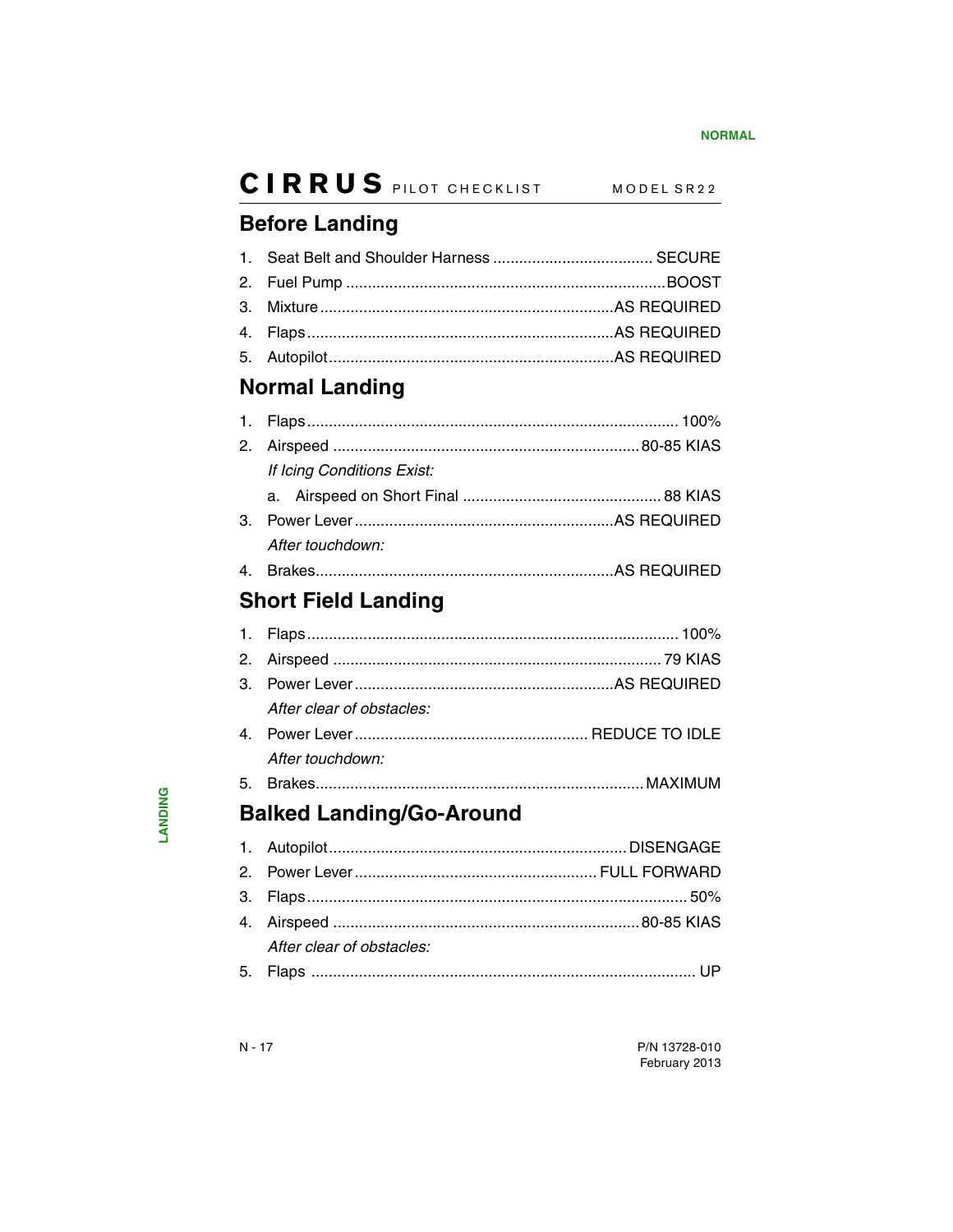### <span id="page-19-0"></span>**Before Landing**

### <span id="page-19-1"></span>**Normal Landing**

| If Icing Conditions Exist: |  |
|----------------------------|--|
|                            |  |
|                            |  |
| After touchdown:           |  |
|                            |  |

## <span id="page-19-2"></span>**Short Field Landing**

| After clear of obstacles: |  |
|---------------------------|--|
|                           |  |
| After touchdown:          |  |
|                           |  |

## <span id="page-19-3"></span>**Balked Landing/Go-Around**

| After clear of obstacles: |  |
|---------------------------|--|
|                           |  |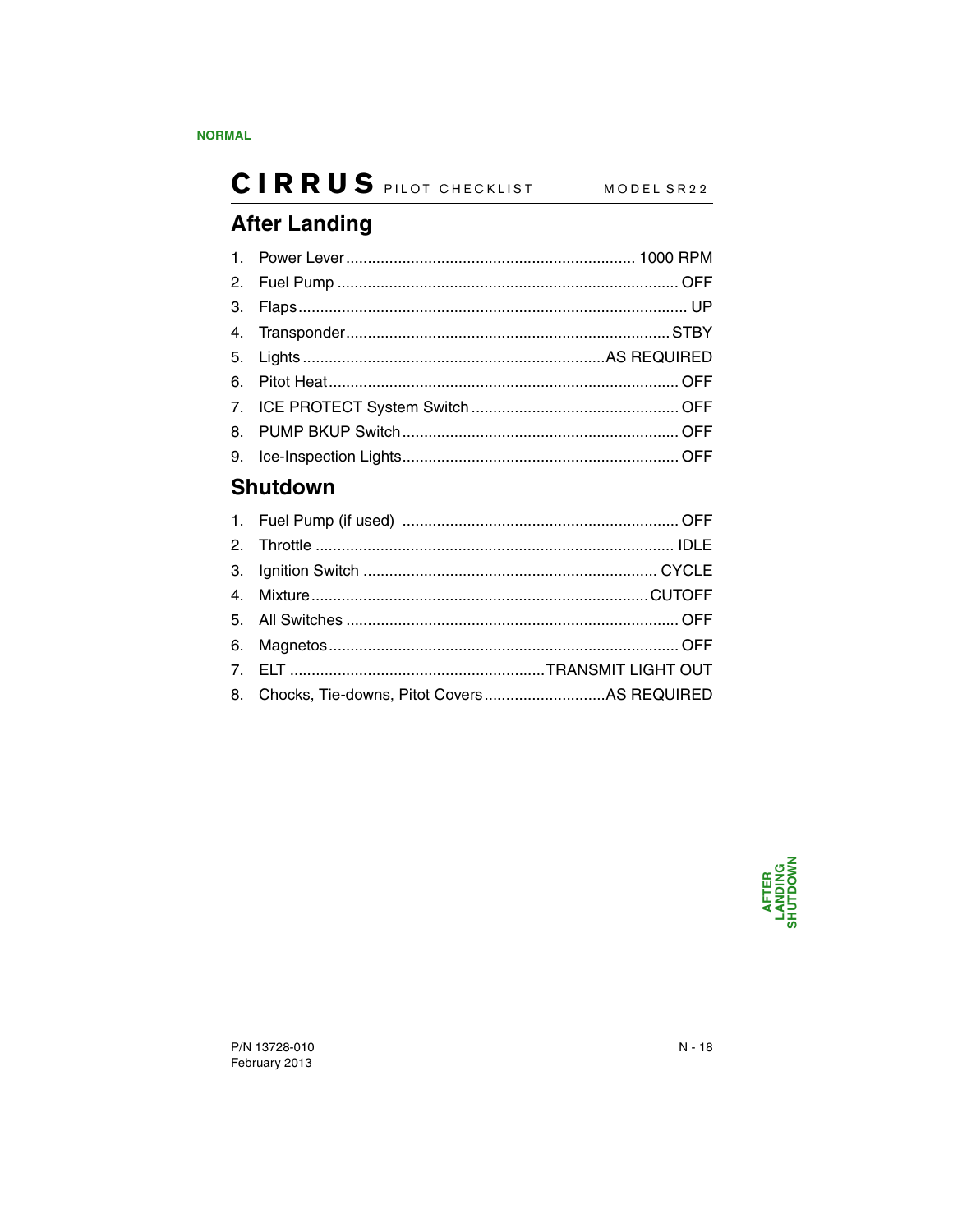## <span id="page-20-0"></span>**After Landing**

### <span id="page-20-1"></span>**Shutdown**

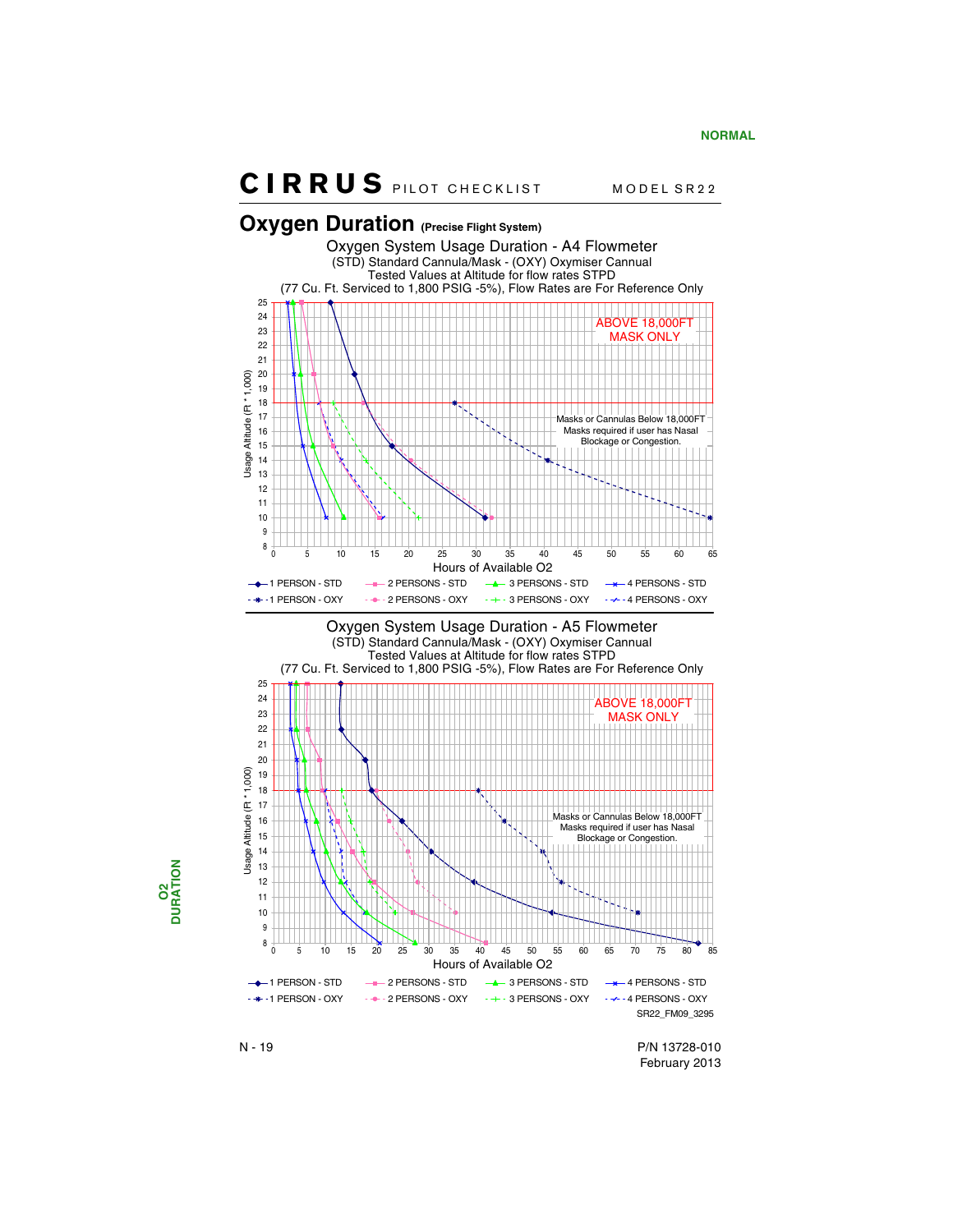<span id="page-21-0"></span>

N - 19 P/N 13728-010 February 2013

$$
\begin{array}{c}\n 02 \\
\hline\n \text{DURATION}\n \end{array}
$$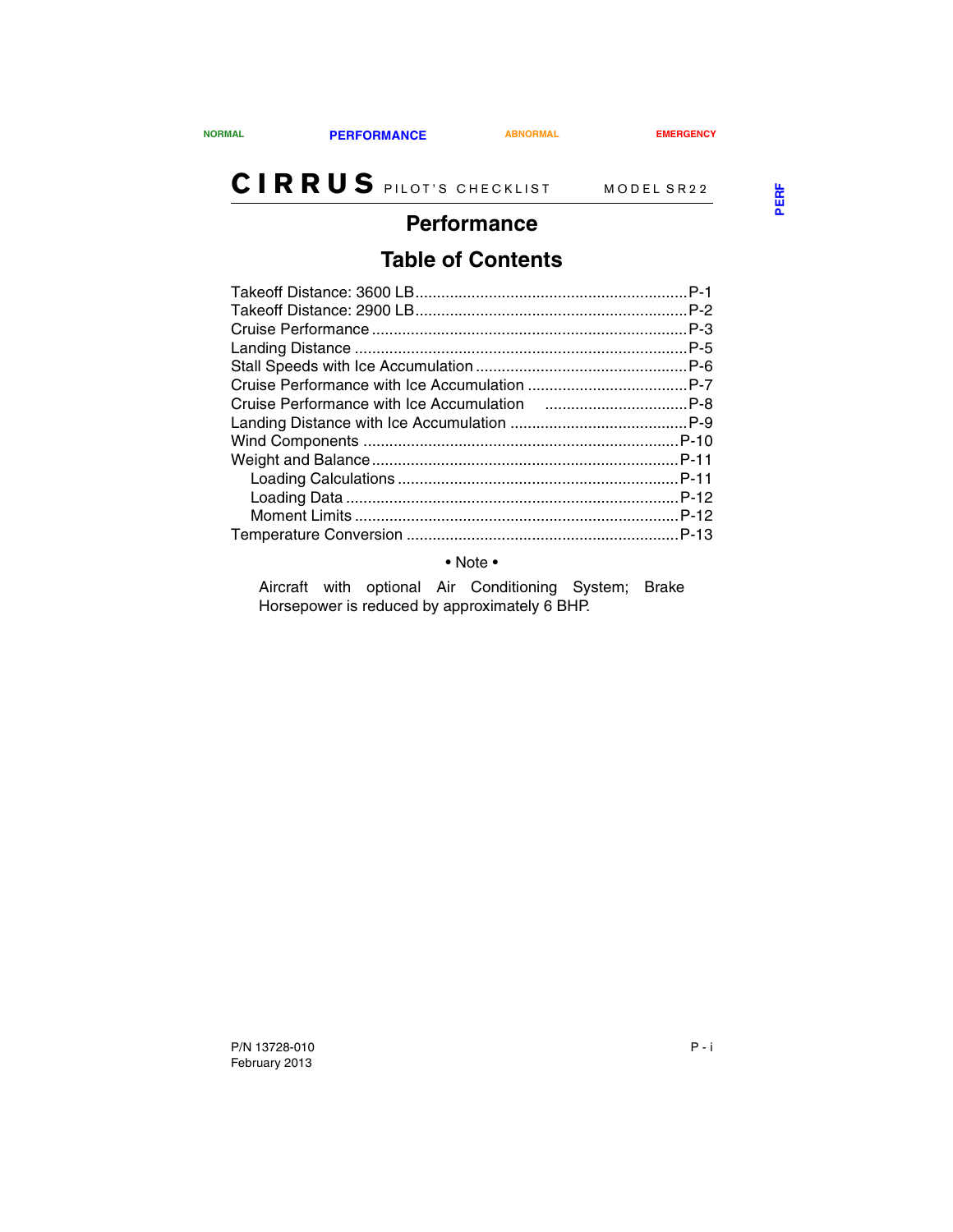#### <span id="page-22-1"></span><span id="page-22-0"></span>**Performance**

### **Table of Contents**

• Note •

Aircraft with optional Air Conditioning System; Brake Horsepower is reduced by approximately 6 BHP.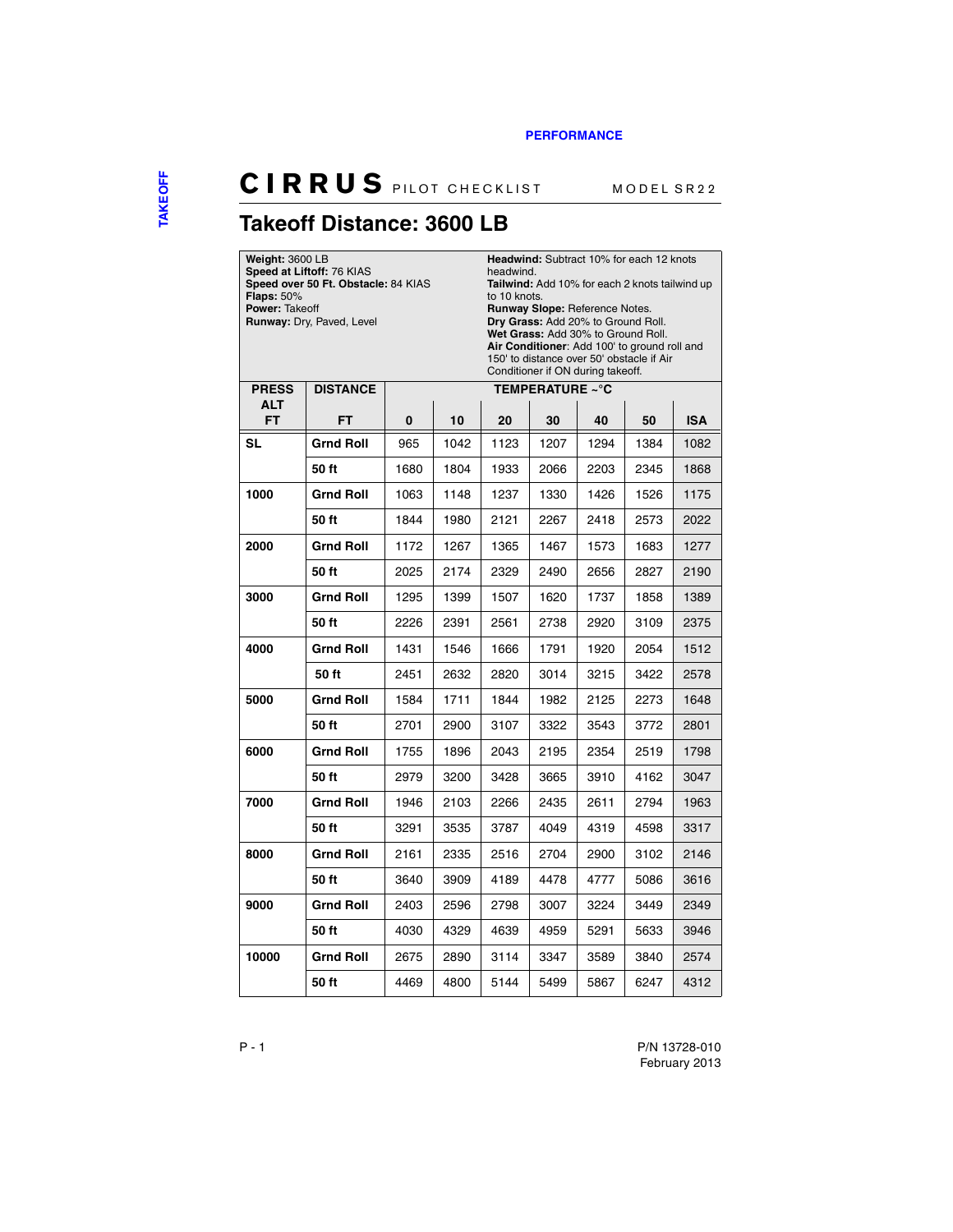**Headwind:** Subtract 10% for each 12 knots

# **CIRRUS** PILOT CHECKLIST MODEL SR22

## <span id="page-23-0"></span>**Takeoff Distance: 3600 LB**

**Weight:** 3600 LB

| <b>Flaps: 50%</b><br>Power: Takeoff | Speed at Liftoff: 76 KIAS<br>Speed over 50 Ft. Obstacle: 84 KIAS<br>Runway: Dry, Paved, Level |      |      | headwind.<br>Tailwind: Add 10% for each 2 knots tailwind up<br>to 10 knots.<br><b>Runway Slope: Reference Notes.</b><br>Dry Grass: Add 20% to Ground Roll.<br>Wet Grass: Add 30% to Ground Roll.<br>Air Conditioner: Add 100' to ground roll and<br>150' to distance over 50' obstacle if Air<br>Conditioner if ON during takeoff. |                        |      |      |            |  |
|-------------------------------------|-----------------------------------------------------------------------------------------------|------|------|------------------------------------------------------------------------------------------------------------------------------------------------------------------------------------------------------------------------------------------------------------------------------------------------------------------------------------|------------------------|------|------|------------|--|
| <b>PRESS</b>                        | <b>DISTANCE</b>                                                                               |      |      |                                                                                                                                                                                                                                                                                                                                    | <b>TEMPERATURE ~°C</b> |      |      |            |  |
| ALT<br>FT                           | FT                                                                                            | 0    | 10   | 20                                                                                                                                                                                                                                                                                                                                 | 30                     | 40   | 50   | <b>ISA</b> |  |
| SL                                  | <b>Grnd Roll</b>                                                                              | 965  | 1042 | 1123                                                                                                                                                                                                                                                                                                                               | 1207                   | 1294 | 1384 | 1082       |  |
|                                     | 50 ft                                                                                         | 1680 | 1804 | 1933                                                                                                                                                                                                                                                                                                                               | 2066                   | 2203 | 2345 | 1868       |  |
| 1000                                | <b>Grnd Roll</b>                                                                              | 1063 | 1148 | 1237                                                                                                                                                                                                                                                                                                                               | 1330                   | 1426 | 1526 | 1175       |  |
|                                     | 50 ft                                                                                         | 1844 | 1980 | 2121                                                                                                                                                                                                                                                                                                                               | 2267                   | 2418 | 2573 | 2022       |  |
| 2000                                | <b>Grnd Roll</b>                                                                              | 1172 | 1267 | 1365                                                                                                                                                                                                                                                                                                                               | 1467                   | 1573 | 1683 | 1277       |  |
|                                     | 50 ft                                                                                         | 2025 | 2174 | 2329                                                                                                                                                                                                                                                                                                                               | 2490                   | 2656 | 2827 | 2190       |  |
| 3000                                | Grnd Roll                                                                                     | 1295 | 1399 | 1507                                                                                                                                                                                                                                                                                                                               | 1620                   | 1737 | 1858 | 1389       |  |
|                                     | 50 ft                                                                                         | 2226 | 2391 | 2561                                                                                                                                                                                                                                                                                                                               | 2738                   | 2920 | 3109 | 2375       |  |
| 4000                                | <b>Grnd Roll</b>                                                                              | 1431 | 1546 | 1666                                                                                                                                                                                                                                                                                                                               | 1791                   | 1920 | 2054 | 1512       |  |
|                                     | 50 ft                                                                                         | 2451 | 2632 | 2820                                                                                                                                                                                                                                                                                                                               | 3014                   | 3215 | 3422 | 2578       |  |
| 5000                                | <b>Grnd Roll</b>                                                                              | 1584 | 1711 | 1844                                                                                                                                                                                                                                                                                                                               | 1982                   | 2125 | 2273 | 1648       |  |
|                                     | 50 ft                                                                                         | 2701 | 2900 | 3107                                                                                                                                                                                                                                                                                                                               | 3322                   | 3543 | 3772 | 2801       |  |
| 6000                                | <b>Grnd Roll</b>                                                                              | 1755 | 1896 | 2043                                                                                                                                                                                                                                                                                                                               | 2195                   | 2354 | 2519 | 1798       |  |
|                                     | 50 ft                                                                                         | 2979 | 3200 | 3428                                                                                                                                                                                                                                                                                                                               | 3665                   | 3910 | 4162 | 3047       |  |
| 7000                                | <b>Grnd Roll</b>                                                                              | 1946 | 2103 | 2266                                                                                                                                                                                                                                                                                                                               | 2435                   | 2611 | 2794 | 1963       |  |
|                                     | 50 ft                                                                                         | 3291 | 3535 | 3787                                                                                                                                                                                                                                                                                                                               | 4049                   | 4319 | 4598 | 3317       |  |
| 8000                                | <b>Grnd Roll</b>                                                                              | 2161 | 2335 | 2516                                                                                                                                                                                                                                                                                                                               | 2704                   | 2900 | 3102 | 2146       |  |
|                                     | 50 ft                                                                                         | 3640 | 3909 | 4189                                                                                                                                                                                                                                                                                                                               | 4478                   | 4777 | 5086 | 3616       |  |
| 9000                                | <b>Grnd Roll</b>                                                                              | 2403 | 2596 | 2798                                                                                                                                                                                                                                                                                                                               | 3007                   | 3224 | 3449 | 2349       |  |
|                                     | 50 ft                                                                                         | 4030 | 4329 | 4639                                                                                                                                                                                                                                                                                                                               | 4959                   | 5291 | 5633 | 3946       |  |
| 10000                               | Grnd Roll                                                                                     | 2675 | 2890 | 3114                                                                                                                                                                                                                                                                                                                               | 3347                   | 3589 | 3840 | 2574       |  |
|                                     | 50 ft                                                                                         | 4469 | 4800 | 5144                                                                                                                                                                                                                                                                                                                               | 5499                   | 5867 | 6247 | 4312       |  |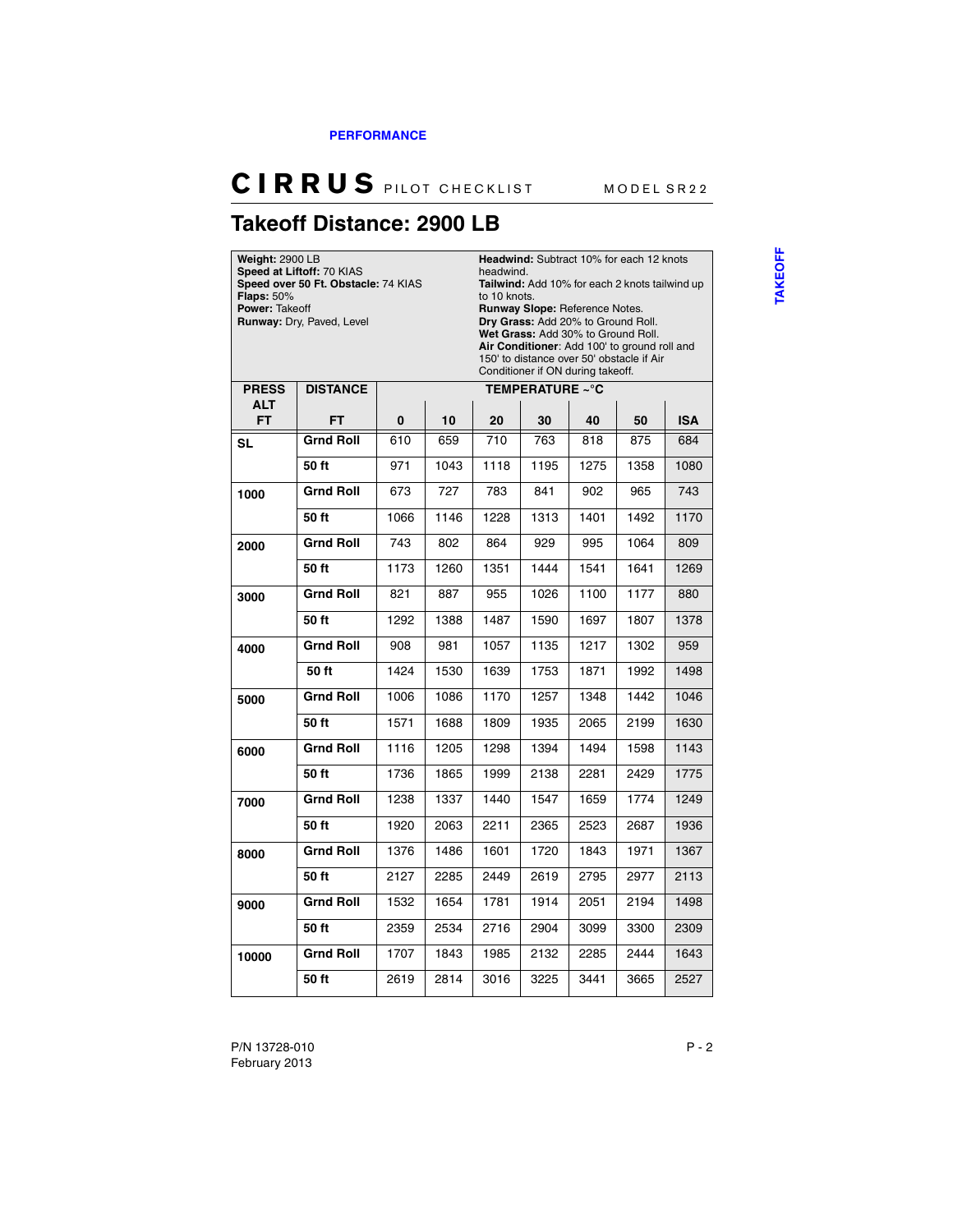### <span id="page-24-0"></span>**Takeoff Distance: 2900 LB**

| <b>Weight: 2900 LB</b><br><b>Flaps: 50%</b><br>Power: Takeoff | Speed at Liftoff: 70 KIAS<br>Speed over 50 Ft. Obstacle: 74 KIAS<br>Runway: Dry, Paved, Level | Headwind: Subtract 10% for each 12 knots<br>headwind.<br>Tailwind: Add 10% for each 2 knots tailwind up<br>to 10 knots.<br>Runway Slope: Reference Notes.<br>Dry Grass: Add 20% to Ground Roll.<br>Wet Grass: Add 30% to Ground Roll.<br>Air Conditioner: Add 100' to ground roll and<br>150' to distance over 50' obstacle if Air<br>Conditioner if ON during takeoff. |      |      |                 |      |      |      |
|---------------------------------------------------------------|-----------------------------------------------------------------------------------------------|-------------------------------------------------------------------------------------------------------------------------------------------------------------------------------------------------------------------------------------------------------------------------------------------------------------------------------------------------------------------------|------|------|-----------------|------|------|------|
| <b>PRESS</b>                                                  | <b>DISTANCE</b>                                                                               |                                                                                                                                                                                                                                                                                                                                                                         |      |      | TEMPERATURE ~°C |      |      |      |
| <b>ALT</b><br><b>FT</b>                                       | FT                                                                                            | 0                                                                                                                                                                                                                                                                                                                                                                       | 10   | 20   | <b>ISA</b>      |      |      |      |
| SL                                                            | <b>Grnd Roll</b>                                                                              | 610                                                                                                                                                                                                                                                                                                                                                                     | 659  | 710  | 763             | 818  | 875  | 684  |
|                                                               | 50 ft                                                                                         | 971                                                                                                                                                                                                                                                                                                                                                                     | 1043 | 1118 | 1195            | 1275 | 1358 | 1080 |
| 1000                                                          | <b>Grnd Roll</b>                                                                              | 673                                                                                                                                                                                                                                                                                                                                                                     | 727  | 783  | 841             | 902  | 965  | 743  |
|                                                               | 50 ft                                                                                         | 1066                                                                                                                                                                                                                                                                                                                                                                    | 1146 | 1228 | 1313            | 1401 | 1492 | 1170 |
| 2000                                                          | <b>Grnd Roll</b>                                                                              | 743                                                                                                                                                                                                                                                                                                                                                                     | 802  | 864  | 929             | 995  | 1064 | 809  |
|                                                               | 50 ft                                                                                         | 1173                                                                                                                                                                                                                                                                                                                                                                    | 1260 | 1351 | 1444            | 1541 | 1641 | 1269 |
| 3000                                                          | <b>Grnd Roll</b>                                                                              | 821                                                                                                                                                                                                                                                                                                                                                                     | 887  | 955  | 1026            | 1100 | 1177 | 880  |
|                                                               | 50 ft                                                                                         | 1292                                                                                                                                                                                                                                                                                                                                                                    | 1388 | 1487 | 1590            | 1697 | 1807 | 1378 |
| 4000                                                          | <b>Grnd Roll</b>                                                                              | 908                                                                                                                                                                                                                                                                                                                                                                     | 981  | 1057 | 1135            | 1217 | 1302 | 959  |
|                                                               | 50 ft                                                                                         | 1424                                                                                                                                                                                                                                                                                                                                                                    | 1530 | 1639 | 1753            | 1871 | 1992 | 1498 |
| 5000                                                          | <b>Grnd Roll</b>                                                                              | 1006                                                                                                                                                                                                                                                                                                                                                                    | 1086 | 1170 | 1257            | 1348 | 1442 | 1046 |
|                                                               | 50 ft                                                                                         | 1571                                                                                                                                                                                                                                                                                                                                                                    | 1688 | 1809 | 1935            | 2065 | 2199 | 1630 |
| 6000                                                          | <b>Grnd Roll</b>                                                                              | 1116                                                                                                                                                                                                                                                                                                                                                                    | 1205 | 1298 | 1394            | 1494 | 1598 | 1143 |
|                                                               | 50 ft                                                                                         | 1736                                                                                                                                                                                                                                                                                                                                                                    | 1865 | 1999 | 2138            | 2281 | 2429 | 1775 |
| 7000                                                          | <b>Grnd Roll</b>                                                                              | 1238                                                                                                                                                                                                                                                                                                                                                                    | 1337 | 1440 | 1547            | 1659 | 1774 | 1249 |
|                                                               | 50 ft                                                                                         | 1920                                                                                                                                                                                                                                                                                                                                                                    | 2063 | 2211 | 2365            | 2523 | 2687 | 1936 |
| 8000                                                          | <b>Grnd Roll</b>                                                                              | 1376                                                                                                                                                                                                                                                                                                                                                                    | 1486 | 1601 | 1720            | 1843 | 1971 | 1367 |
|                                                               | 50 ft                                                                                         | 2127                                                                                                                                                                                                                                                                                                                                                                    | 2285 | 2449 | 2619            | 2795 | 2977 | 2113 |
| 9000                                                          | <b>Grnd Roll</b>                                                                              | 1532                                                                                                                                                                                                                                                                                                                                                                    | 1654 | 1781 | 1914            | 2051 | 2194 | 1498 |
|                                                               | 50 ft                                                                                         | 2359                                                                                                                                                                                                                                                                                                                                                                    | 2534 | 2716 | 2904            | 3099 | 3300 | 2309 |
| 10000                                                         | <b>Grnd Roll</b>                                                                              | 1707                                                                                                                                                                                                                                                                                                                                                                    | 1843 | 1985 | 2132            | 2285 | 2444 | 1643 |
|                                                               | 50 ft                                                                                         | 2619                                                                                                                                                                                                                                                                                                                                                                    | 2814 | 3016 | 3225            | 3441 | 3665 | 2527 |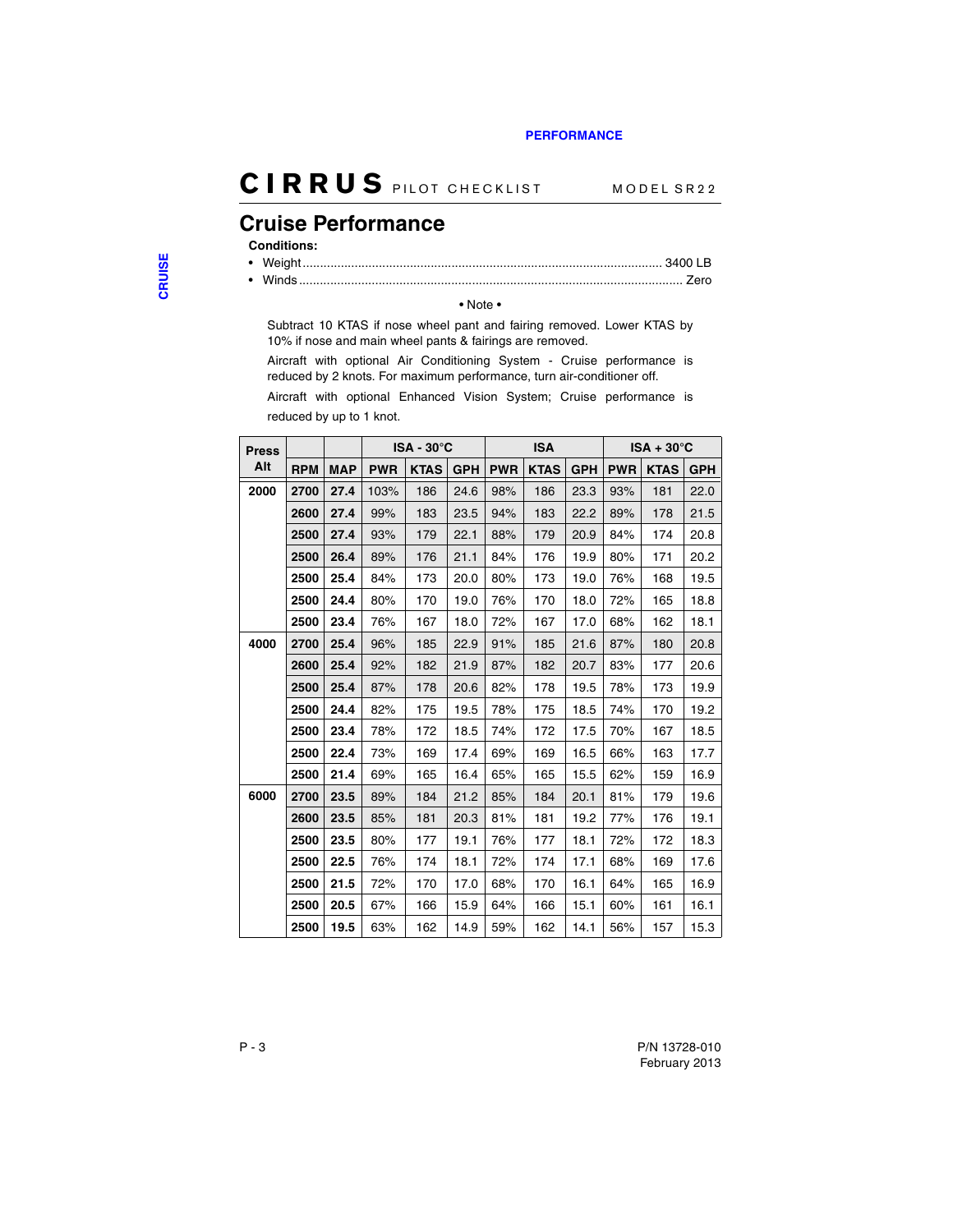### <span id="page-25-0"></span>**Cruise Performance**

#### **Conditions:**

- Weight........................................................................................................ 3400 LB • Winds ............................................................................................................... Zero
	-

#### • Note •

Subtract 10 KTAS if nose wheel pant and fairing removed. Lower KTAS by 10% if nose and main wheel pants & fairings are removed.

Aircraft with optional Air Conditioning System - Cruise performance is reduced by 2 knots. For maximum performance, turn air-conditioner off.

Aircraft with optional Enhanced Vision System; Cruise performance is reduced by up to 1 knot.

| <b>Press</b> |            |            | $ISA - 30^{\circ}C$ |             |            | <b>ISA</b> |             |            | $ISA + 30^{\circ}C$ |             |            |
|--------------|------------|------------|---------------------|-------------|------------|------------|-------------|------------|---------------------|-------------|------------|
| Alt          | <b>RPM</b> | <b>MAP</b> | <b>PWR</b>          | <b>KTAS</b> | <b>GPH</b> | <b>PWR</b> | <b>KTAS</b> | <b>GPH</b> | <b>PWR</b>          | <b>KTAS</b> | <b>GPH</b> |
| 2000         | 2700       | 27.4       | 103%                | 186         | 24.6       | 98%        | 186         | 23.3       | 93%                 | 181         | 22.0       |
|              | 2600       | 27.4       | 99%                 | 183         | 23.5       | 94%        | 183         | 22.2       | 89%                 | 178         | 21.5       |
|              | 2500       | 27.4       | 93%                 | 179         | 22.1       | 88%        | 179         | 20.9       | 84%                 | 174         | 20.8       |
|              | 2500       | 26.4       | 89%                 | 176         | 21.1       | 84%        | 176         | 19.9       | 80%                 | 171         | 20.2       |
|              | 2500       | 25.4       | 84%                 | 173         | 20.0       | 80%        | 173         | 19.0       | 76%                 | 168         | 19.5       |
|              | 2500       | 24.4       | 80%                 | 170         | 19.0       | 76%        | 170         | 18.0       | 72%                 | 165         | 18.8       |
|              | 2500       | 23.4       | 76%                 | 167         | 18.0       | 72%        | 167         | 17.0       | 68%                 | 162         | 18.1       |
| 4000         | 2700       | 25.4       | 96%                 | 185         | 22.9       | 91%        | 185         | 21.6       | 87%                 | 180         | 20.8       |
|              | 2600       | 25.4       | 92%                 | 182         | 21.9       | 87%        | 182         | 20.7       | 83%                 | 177         | 20.6       |
|              | 2500       | 25.4       | 87%                 | 178         | 20.6       | 82%        | 178         | 19.5       | 78%                 | 173         | 19.9       |
|              | 2500       | 24.4       | 82%                 | 175         | 19.5       | 78%        | 175         | 18.5       | 74%                 | 170         | 19.2       |
|              | 2500       | 23.4       | 78%                 | 172         | 18.5       | 74%        | 172         | 17.5       | 70%                 | 167         | 18.5       |
|              | 2500       | 22.4       | 73%                 | 169         | 17.4       | 69%        | 169         | 16.5       | 66%                 | 163         | 17.7       |
|              | 2500       | 21.4       | 69%                 | 165         | 16.4       | 65%        | 165         | 15.5       | 62%                 | 159         | 16.9       |
| 6000         | 2700       | 23.5       | 89%                 | 184         | 21.2       | 85%        | 184         | 20.1       | 81%                 | 179         | 19.6       |
|              | 2600       | 23.5       | 85%                 | 181         | 20.3       | 81%        | 181         | 19.2       | 77%                 | 176         | 19.1       |
|              | 2500       | 23.5       | 80%                 | 177         | 19.1       | 76%        | 177         | 18.1       | 72%                 | 172         | 18.3       |
|              | 2500       | 22.5       | 76%                 | 174         | 18.1       | 72%        | 174         | 17.1       | 68%                 | 169         | 17.6       |
|              | 2500       | 21.5       | 72%                 | 170         | 17.0       | 68%        | 170         | 16.1       | 64%                 | 165         | 16.9       |
|              | 2500       | 20.5       | 67%                 | 166         | 15.9       | 64%        | 166         | 15.1       | 60%                 | 161         | 16.1       |
|              | 2500       | 19.5       | 63%                 | 162         | 14.9       | 59%        | 162         | 14.1       | 56%                 | 157         | 15.3       |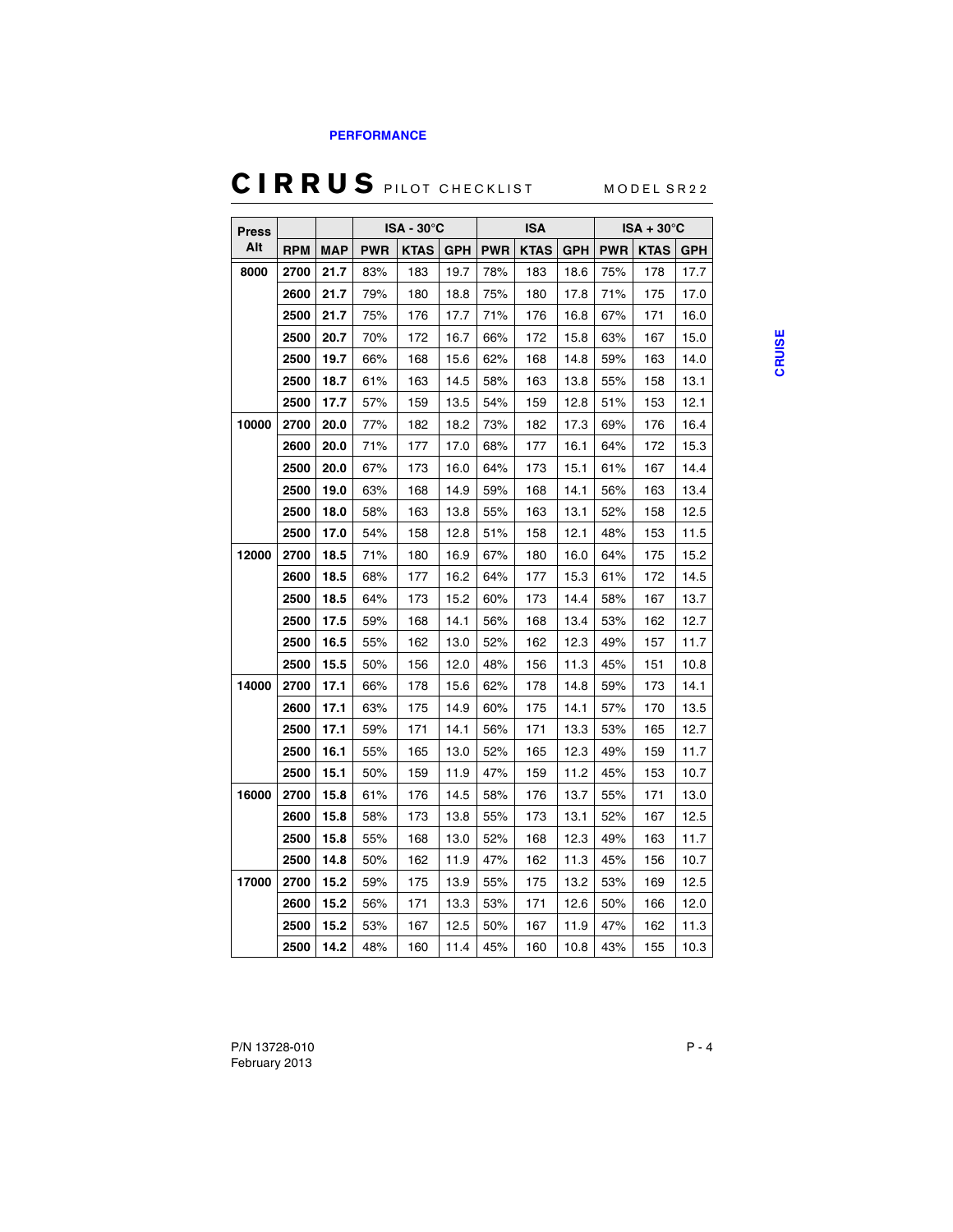#### **[PERFORMANCE](#page-22-0)**

# CIRRUS PILOT CHECKLIST MODEL SR22

| <b>Press</b> | ISA - 30°C |            | <b>ISA</b> |             |            | $ISA + 30^{\circ}C$ |             |            |            |             |            |
|--------------|------------|------------|------------|-------------|------------|---------------------|-------------|------------|------------|-------------|------------|
| Alt          | <b>RPM</b> | <b>MAP</b> | <b>PWR</b> | <b>KTAS</b> | <b>GPH</b> | <b>PWR</b>          | <b>KTAS</b> | <b>GPH</b> | <b>PWR</b> | <b>KTAS</b> | <b>GPH</b> |
| 8000         | 2700       | 21.7       | 83%        | 183         | 19.7       | 78%                 | 183         | 18.6       | 75%        | 178         | 17.7       |
|              | 2600       | 21.7       | 79%        | 180         | 18.8       | 75%                 | 180         | 17.8       | 71%        | 175         | 17.0       |
|              | 2500       | 21.7       | 75%        | 176         | 17.7       | 71%                 | 176         | 16.8       | 67%        | 171         | 16.0       |
|              | 2500       | 20.7       | 70%        | 172         | 16.7       | 66%                 | 172         | 15.8       | 63%        | 167         | 15.0       |
|              | 2500       | 19.7       | 66%        | 168         | 15.6       | 62%                 | 168         | 14.8       | 59%        | 163         | 14.0       |
|              | 2500       | 18.7       | 61%        | 163         | 14.5       | 58%                 | 163         | 13.8       | 55%        | 158         | 13.1       |
|              | 2500       | 17.7       | 57%        | 159         | 13.5       | 54%                 | 159         | 12.8       | 51%        | 153         | 12.1       |
| 10000        | 2700       | 20.0       | 77%        | 182         | 18.2       | 73%                 | 182         | 17.3       | 69%        | 176         | 16.4       |
|              | 2600       | 20.0       | 71%        | 177         | 17.0       | 68%                 | 177         | 16.1       | 64%        | 172         | 15.3       |
|              | 2500       | 20.0       | 67%        | 173         | 16.0       | 64%                 | 173         | 15.1       | 61%        | 167         | 14.4       |
|              | 2500       | 19.0       | 63%        | 168         | 14.9       | 59%                 | 168         | 14.1       | 56%        | 163         | 13.4       |
|              | 2500       | 18.0       | 58%        | 163         | 13.8       | 55%                 | 163         | 13.1       | 52%        | 158         | 12.5       |
|              | 2500       | 17.0       | 54%        | 158         | 12.8       | 51%                 | 158         | 12.1       | 48%        | 153         | 11.5       |
| 12000        | 2700       | 18.5       | 71%        | 180         | 16.9       | 67%                 | 180         | 16.0       | 64%        | 175         | 15.2       |
|              | 2600       | 18.5       | 68%        | 177         | 16.2       | 64%                 | 177         | 15.3       | 61%        | 172         | 14.5       |
|              | 2500       | 18.5       | 64%        | 173         | 15.2       | 60%                 | 173         | 14.4       | 58%        | 167         | 13.7       |
|              | 2500       | 17.5       | 59%        | 168         | 14.1       | 56%                 | 168         | 13.4       | 53%        | 162         | 12.7       |
|              | 2500       | 16.5       | 55%        | 162         | 13.0       | 52%                 | 162         | 12.3       | 49%        | 157         | 11.7       |
|              | 2500       | 15.5       | 50%        | 156         | 12.0       | 48%                 | 156         | 11.3       | 45%        | 151         | 10.8       |
| 14000        | 2700       | 17.1       | 66%        | 178         | 15.6       | 62%                 | 178         | 14.8       | 59%        | 173         | 14.1       |
|              | 2600       | 17.1       | 63%        | 175         | 14.9       | 60%                 | 175         | 14.1       | 57%        | 170         | 13.5       |
|              | 2500       | 17.1       | 59%        | 171         | 14.1       | 56%                 | 171         | 13.3       | 53%        | 165         | 12.7       |
|              | 2500       | 16.1       | 55%        | 165         | 13.0       | 52%                 | 165         | 12.3       | 49%        | 159         | 11.7       |
|              | 2500       | 15.1       | 50%        | 159         | 11.9       | 47%                 | 159         | 11.2       | 45%        | 153         | 10.7       |
| 16000        | 2700       | 15.8       | 61%        | 176         | 14.5       | 58%                 | 176         | 13.7       | 55%        | 171         | 13.0       |
|              | 2600       | 15.8       | 58%        | 173         | 13.8       | 55%                 | 173         | 13.1       | 52%        | 167         | 12.5       |
|              | 2500       | 15.8       | 55%        | 168         | 13.0       | 52%                 | 168         | 12.3       | 49%        | 163         | 11.7       |
|              | 2500       | 14.8       | 50%        | 162         | 11.9       | 47%                 | 162         | 11.3       | 45%        | 156         | 10.7       |
| 17000        | 2700       | 15.2       | 59%        | 175         | 13.9       | 55%                 | 175         | 13.2       | 53%        | 169         | 12.5       |
|              | 2600       | 15.2       | 56%        | 171         | 13.3       | 53%                 | 171         | 12.6       | 50%        | 166         | 12.0       |
|              | 2500       | 15.2       | 53%        | 167         | 12.5       | 50%                 | 167         | 11.9       | 47%        | 162         | 11.3       |
|              | 2500       | 14.2       | 48%        | 160         | 11.4       | 45%                 | 160         | 10.8       | 43%        | 155         | 10.3       |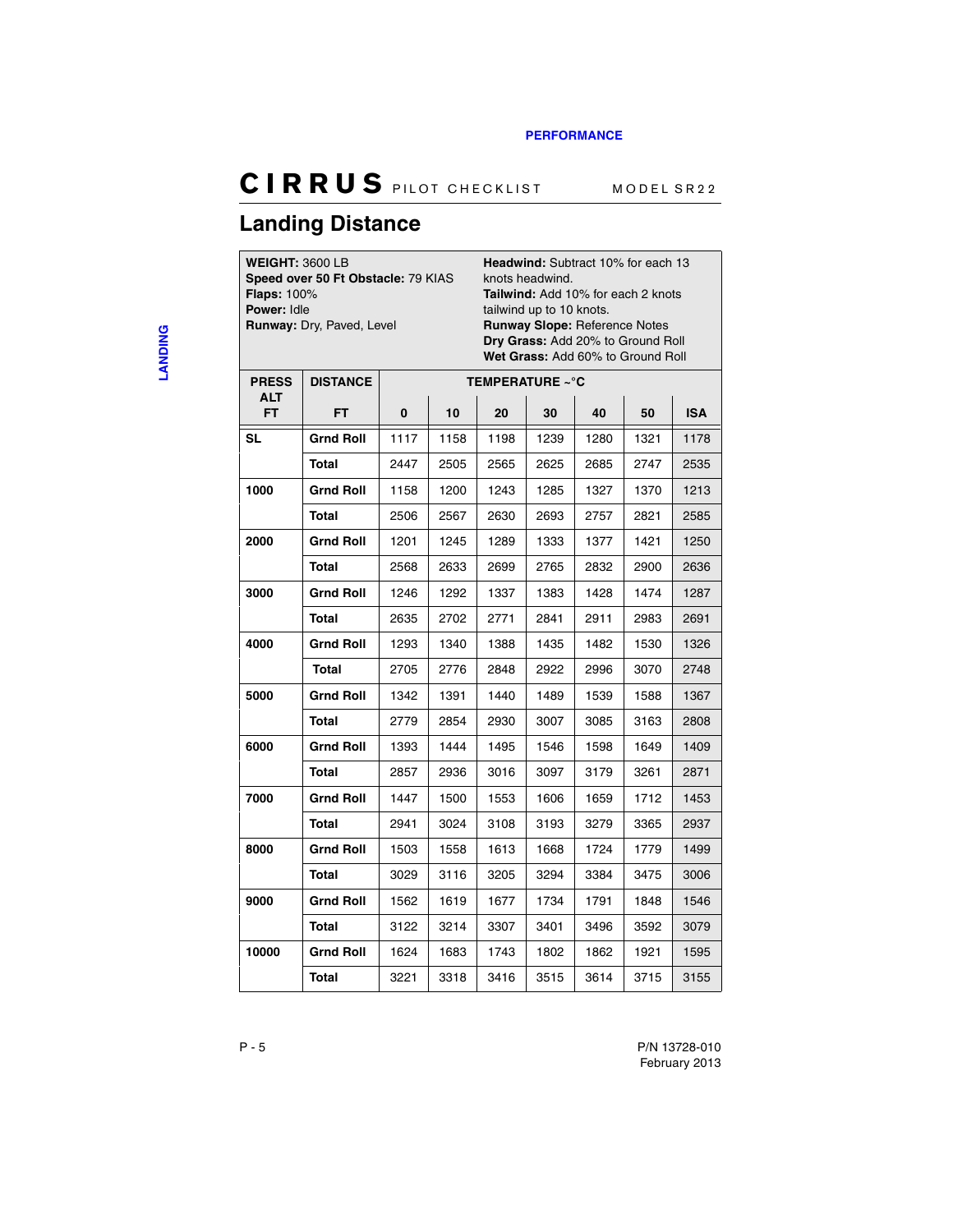### <span id="page-27-0"></span>**Landing Distance**

**WEIGHT:** 3600 LB

**Speed over 50 Ft Obstacle:** 79 KIAS **Flaps:** 100% **Power:** Idle **Runway:** Dry, Paved, Level

**Headwind:** Subtract 10% for each 13 knots headwind.

**Tailwind:** Add 10% for each 2 knots tailwind up to 10 knots. **Runway Slope:** Reference Notes **Dry Grass:** Add 20% to Ground Roll **Wet Grass:** Add 60% to Ground Roll

| <b>PRESS</b>      | <b>DISTANCE</b>  | TEMPERATURE ~°C |      |      |      |      |      |            |  |  |
|-------------------|------------------|-----------------|------|------|------|------|------|------------|--|--|
| <b>ALT</b><br>FT. | FT.              | 0               | 10   | 20   | 30   | 40   | 50   | <b>ISA</b> |  |  |
| <b>SL</b>         | <b>Grnd Roll</b> | 1117            | 1158 | 1198 | 1239 | 1280 | 1321 | 1178       |  |  |
|                   | Total            | 2447            | 2505 | 2565 | 2625 | 2685 | 2747 | 2535       |  |  |
| 1000              | Grnd Roll        | 1158            | 1200 | 1243 | 1285 | 1327 | 1370 | 1213       |  |  |
|                   | <b>Total</b>     | 2506            | 2567 | 2630 | 2693 | 2757 | 2821 | 2585       |  |  |
| 2000              | <b>Grnd Roll</b> | 1201            | 1245 | 1289 | 1333 | 1377 | 1421 | 1250       |  |  |
|                   | <b>Total</b>     | 2568            | 2633 | 2699 | 2765 | 2832 | 2900 | 2636       |  |  |
| 3000              | <b>Grnd Roll</b> | 1246            | 1292 | 1337 | 1383 | 1428 | 1474 | 1287       |  |  |
|                   | Total            | 2635            | 2702 | 2771 | 2841 | 2911 | 2983 | 2691       |  |  |
| 4000              | <b>Grnd Roll</b> | 1293            | 1340 | 1388 | 1435 | 1482 | 1530 | 1326       |  |  |
|                   | <b>Total</b>     | 2705            | 2776 | 2848 | 2922 | 2996 | 3070 | 2748       |  |  |
| 5000              | Grnd Roll        | 1342            | 1391 | 1440 | 1489 | 1539 | 1588 | 1367       |  |  |
|                   | <b>Total</b>     | 2779            | 2854 | 2930 | 3007 | 3085 | 3163 | 2808       |  |  |
| 6000              | <b>Grnd Roll</b> | 1393            | 1444 | 1495 | 1546 | 1598 | 1649 | 1409       |  |  |
|                   | Total            | 2857            | 2936 | 3016 | 3097 | 3179 | 3261 | 2871       |  |  |
| 7000              | <b>Grnd Roll</b> | 1447            | 1500 | 1553 | 1606 | 1659 | 1712 | 1453       |  |  |
|                   | <b>Total</b>     | 2941            | 3024 | 3108 | 3193 | 3279 | 3365 | 2937       |  |  |
| 8000              | Grnd Roll        | 1503            | 1558 | 1613 | 1668 | 1724 | 1779 | 1499       |  |  |
|                   | Total            | 3029            | 3116 | 3205 | 3294 | 3384 | 3475 | 3006       |  |  |
| 9000              | <b>Grnd Roll</b> | 1562            | 1619 | 1677 | 1734 | 1791 | 1848 | 1546       |  |  |
|                   | Total            | 3122            | 3214 | 3307 | 3401 | 3496 | 3592 | 3079       |  |  |
| 10000             | <b>Grnd Roll</b> | 1624            | 1683 | 1743 | 1802 | 1862 | 1921 | 1595       |  |  |
|                   | <b>Total</b>     | 3221            | 3318 | 3416 | 3515 | 3614 | 3715 | 3155       |  |  |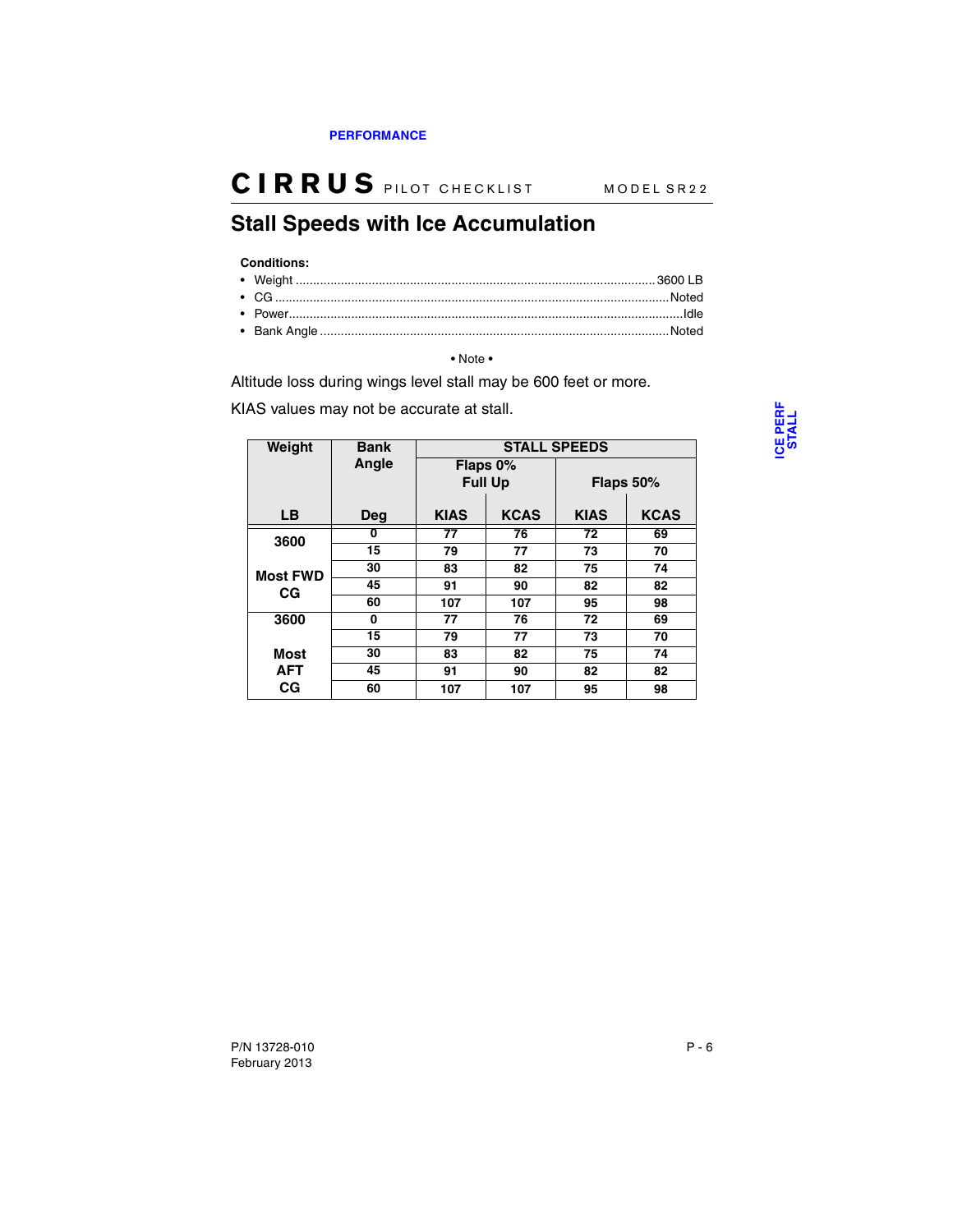### <span id="page-28-0"></span>**Stall Speeds with Ice Accumulation**

#### **Conditions:**

• Note •

Altitude loss during wings level stall may be 600 feet or more.

KIAS values may not be accurate at stall.

| Weight          | <b>Bank</b> |                            |                 | <b>STALL SPEEDS</b> |             |
|-----------------|-------------|----------------------------|-----------------|---------------------|-------------|
|                 | Angle       | Flaps 0%<br><b>Full Up</b> |                 | Flaps 50%           |             |
| <b>LB</b>       | Deg         | <b>KIAS</b>                | <b>KCAS</b>     | <b>KIAS</b>         | <b>KCAS</b> |
| 3600            | 0           | $\overline{77}$            | $\overline{76}$ | 72                  | 69          |
|                 | 15          | 79                         | 77              | 73                  | 70          |
| <b>Most FWD</b> | 30          | 83                         | 82              | 75                  | 74          |
| СG              | 45          | 91                         | 90              | 82                  | 82          |
|                 | 60          | 107                        | 107             | 95                  | 98          |
| 3600            | 0           | 77                         | 76              | 72                  | 69          |
|                 | 15          | 79                         | 77              | 73                  | 70          |
| Most            | 30          | 83                         | 82              | 75                  | 74          |
| <b>AFT</b>      | 45          | 91                         | 90              | 82                  | 82          |
| СG              | 60          | 107                        | 107             | 95                  | 98          |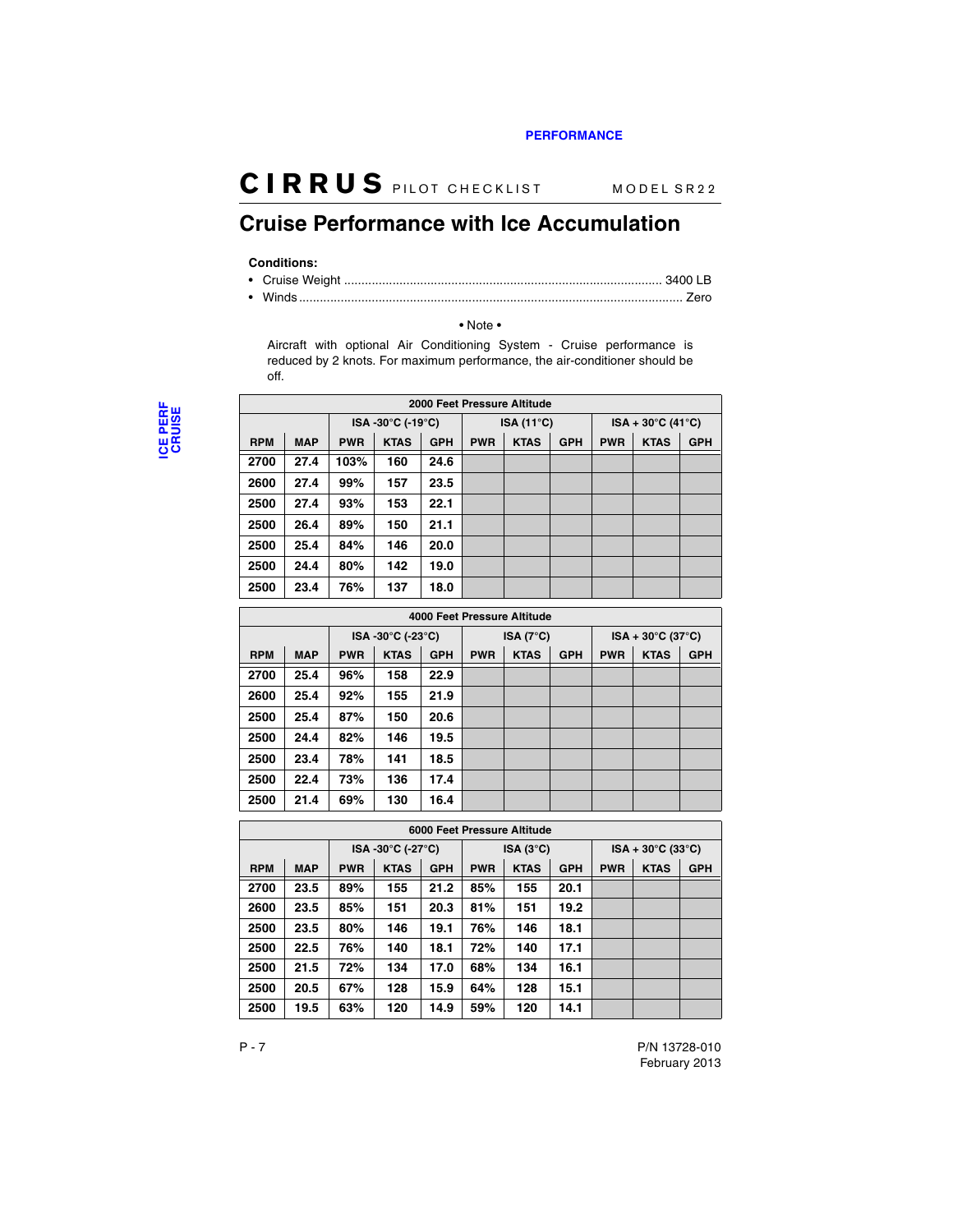### <span id="page-29-0"></span>**Cruise Performance with Ice Accumulation**

#### **Conditions:**

#### • Note •

Aircraft with optional Air Conditioning System - Cruise performance is reduced by 2 knots. For maximum performance, the air-conditioner should be off.

|            | 2000 Feet Pressure Altitude |            |                  |            |            |                     |            |            |                                   |            |  |
|------------|-----------------------------|------------|------------------|------------|------------|---------------------|------------|------------|-----------------------------------|------------|--|
|            |                             |            | ISA-30°C (-19°C) |            |            | ISA $(11^{\circ}C)$ |            |            | $ISA + 30^{\circ}C (41^{\circ}C)$ |            |  |
| <b>RPM</b> | <b>MAP</b>                  | <b>PWR</b> | <b>KTAS</b>      | <b>GPH</b> | <b>PWR</b> | <b>KTAS</b>         | <b>GPH</b> | <b>PWR</b> | <b>KTAS</b>                       | <b>GPH</b> |  |
| 2700       | 27.4                        | 103%       | 160              | 24.6       |            |                     |            |            |                                   |            |  |
| 2600       | 27.4                        | 99%        | 157              | 23.5       |            |                     |            |            |                                   |            |  |
| 2500       | 27.4                        | 93%        | 153              | 22.1       |            |                     |            |            |                                   |            |  |
| 2500       | 26.4                        | 89%        | 150              | 21.1       |            |                     |            |            |                                   |            |  |
| 2500       | 25.4                        | 84%        | 146              | 20.0       |            |                     |            |            |                                   |            |  |
| 2500       | 24.4                        | 80%        | 142              | 19.0       |            |                     |            |            |                                   |            |  |
| 2500       | 23.4                        | 76%        | 137              | 18.0       |            |                     |            |            |                                   |            |  |

|            | 4000 Feet Pressure Altitude |            |                  |            |                    |             |            |                                   |             |            |  |
|------------|-----------------------------|------------|------------------|------------|--------------------|-------------|------------|-----------------------------------|-------------|------------|--|
|            |                             |            | ISA-30°C (-23°C) |            | ISA $(7^{\circ}C)$ |             |            | $ISA + 30^{\circ}C (37^{\circ}C)$ |             |            |  |
| <b>RPM</b> | <b>MAP</b>                  | <b>PWR</b> | <b>KTAS</b>      | <b>GPH</b> | <b>PWR</b>         | <b>KTAS</b> | <b>GPH</b> | <b>PWR</b>                        | <b>KTAS</b> | <b>GPH</b> |  |
| 2700       | 25.4                        | 96%        | 158              | 22.9       |                    |             |            |                                   |             |            |  |
| 2600       | 25.4                        | 92%        | 155              | 21.9       |                    |             |            |                                   |             |            |  |
| 2500       | 25.4                        | 87%        | 150              | 20.6       |                    |             |            |                                   |             |            |  |
| 2500       | 24.4                        | 82%        | 146              | 19.5       |                    |             |            |                                   |             |            |  |
| 2500       | 23.4                        | 78%        | 141              | 18.5       |                    |             |            |                                   |             |            |  |
| 2500       | 22.4                        | 73%        | 136              | 17.4       |                    |             |            |                                   |             |            |  |
| 2500       | 21.4                        | 69%        | 130              | 16.4       |                    |             |            |                                   |             |            |  |

|            | 6000 Feet Pressure Altitude |            |                   |            |            |                   |            |            |                                   |            |  |
|------------|-----------------------------|------------|-------------------|------------|------------|-------------------|------------|------------|-----------------------------------|------------|--|
|            |                             |            | ISA -30°C (-27°C) |            |            | $ISA(3^{\circ}C)$ |            |            | $ISA + 30^{\circ}C (33^{\circ}C)$ |            |  |
| <b>RPM</b> | <b>MAP</b>                  | <b>PWR</b> | <b>KTAS</b>       | <b>GPH</b> | <b>PWR</b> | <b>KTAS</b>       | <b>GPH</b> | <b>PWR</b> | <b>KTAS</b>                       | <b>GPH</b> |  |
| 2700       | 23.5                        | 89%        | 155               | 21.2       | 85%        | 155               | 20.1       |            |                                   |            |  |
| 2600       | 23.5                        | 85%        | 151               | 20.3       | 81%        | 151               | 19.2       |            |                                   |            |  |
| 2500       | 23.5                        | 80%        | 146               | 19.1       | 76%        | 146               | 18.1       |            |                                   |            |  |
| 2500       | 22.5                        | 76%        | 140               | 18.1       | 72%        | 140               | 17.1       |            |                                   |            |  |
| 2500       | 21.5                        | 72%        | 134               | 17.0       | 68%        | 134               | 16.1       |            |                                   |            |  |
| 2500       | 20.5                        | 67%        | 128               | 15.9       | 64%        | 128               | 15.1       |            |                                   |            |  |
| 2500       | 19.5                        | 63%        | 120               | 14.9       | 59%        | 120               | 14.1       |            |                                   |            |  |

February 2013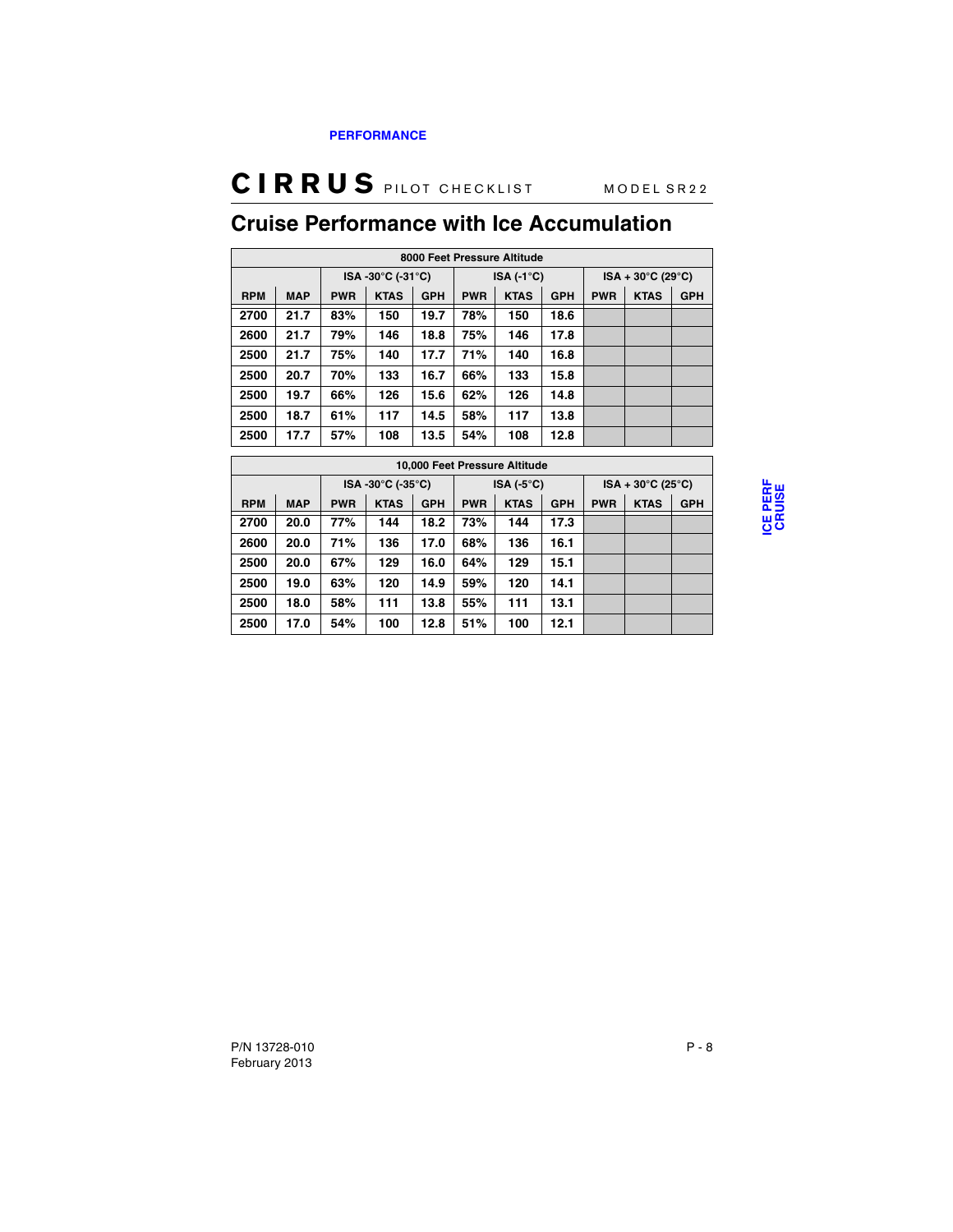## <span id="page-30-0"></span>**Cruise Performance with Ice Accumulation**

|            | 8000 Feet Pressure Altitude |            |                   |            |            |                     |            |            |                                   |            |  |
|------------|-----------------------------|------------|-------------------|------------|------------|---------------------|------------|------------|-----------------------------------|------------|--|
|            |                             |            | ISA -30°C (-31°C) |            |            | ISA $(-1^{\circ}C)$ |            |            | $ISA + 30^{\circ}C (29^{\circ}C)$ |            |  |
| <b>RPM</b> | <b>MAP</b>                  | <b>PWR</b> | <b>KTAS</b>       | <b>GPH</b> | <b>PWR</b> | <b>KTAS</b>         | <b>GPH</b> | <b>PWR</b> | <b>KTAS</b>                       | <b>GPH</b> |  |
| 2700       | 21.7                        | 83%        | 150               | 19.7       | 78%        | 150                 | 18.6       |            |                                   |            |  |
| 2600       | 21.7                        | 79%        | 146               | 18.8       | 75%        | 146                 | 17.8       |            |                                   |            |  |
| 2500       | 21.7                        | 75%        | 140               | 17.7       | 71%        | 140                 | 16.8       |            |                                   |            |  |
| 2500       | 20.7                        | 70%        | 133               | 16.7       | 66%        | 133                 | 15.8       |            |                                   |            |  |
| 2500       | 19.7                        | 66%        | 126               | 15.6       | 62%        | 126                 | 14.8       |            |                                   |            |  |
| 2500       | 18.7                        | 61%        | 117               | 14.5       | 58%        | 117                 | 13.8       |            |                                   |            |  |
| 2500       | 17.7                        | 57%        | 108               | 13.5       | 54%        | 108                 | 12.8       |            |                                   |            |  |

|            | 10,000 Feet Pressure Altitude |                   |             |            |                     |             |            |                                   |             |            |
|------------|-------------------------------|-------------------|-------------|------------|---------------------|-------------|------------|-----------------------------------|-------------|------------|
|            |                               | ISA -30°C (-35°C) |             |            | ISA $(-5^{\circ}C)$ |             |            | $ISA + 30^{\circ}C (25^{\circ}C)$ |             |            |
| <b>RPM</b> | <b>MAP</b>                    | <b>PWR</b>        | <b>KTAS</b> | <b>GPH</b> | <b>PWR</b>          | <b>KTAS</b> | <b>GPH</b> | <b>PWR</b>                        | <b>KTAS</b> | <b>GPH</b> |
| 2700       | 20.0                          | 77%               | 144         | 18.2       | 73%                 | 144         | 17.3       |                                   |             |            |
| 2600       | 20.0                          | 71%               | 136         | 17.0       | 68%                 | 136         | 16.1       |                                   |             |            |
| 2500       | 20.0                          | 67%               | 129         | 16.0       | 64%                 | 129         | 15.1       |                                   |             |            |
| 2500       | 19.0                          | 63%               | 120         | 14.9       | 59%                 | 120         | 14.1       |                                   |             |            |
| 2500       | 18.0                          | 58%               | 111         | 13.8       | 55%                 | 111         | 13.1       |                                   |             |            |
| 2500       | 17.0                          | 54%               | 100         | 12.8       | 51%                 | 100         | 12.1       |                                   |             |            |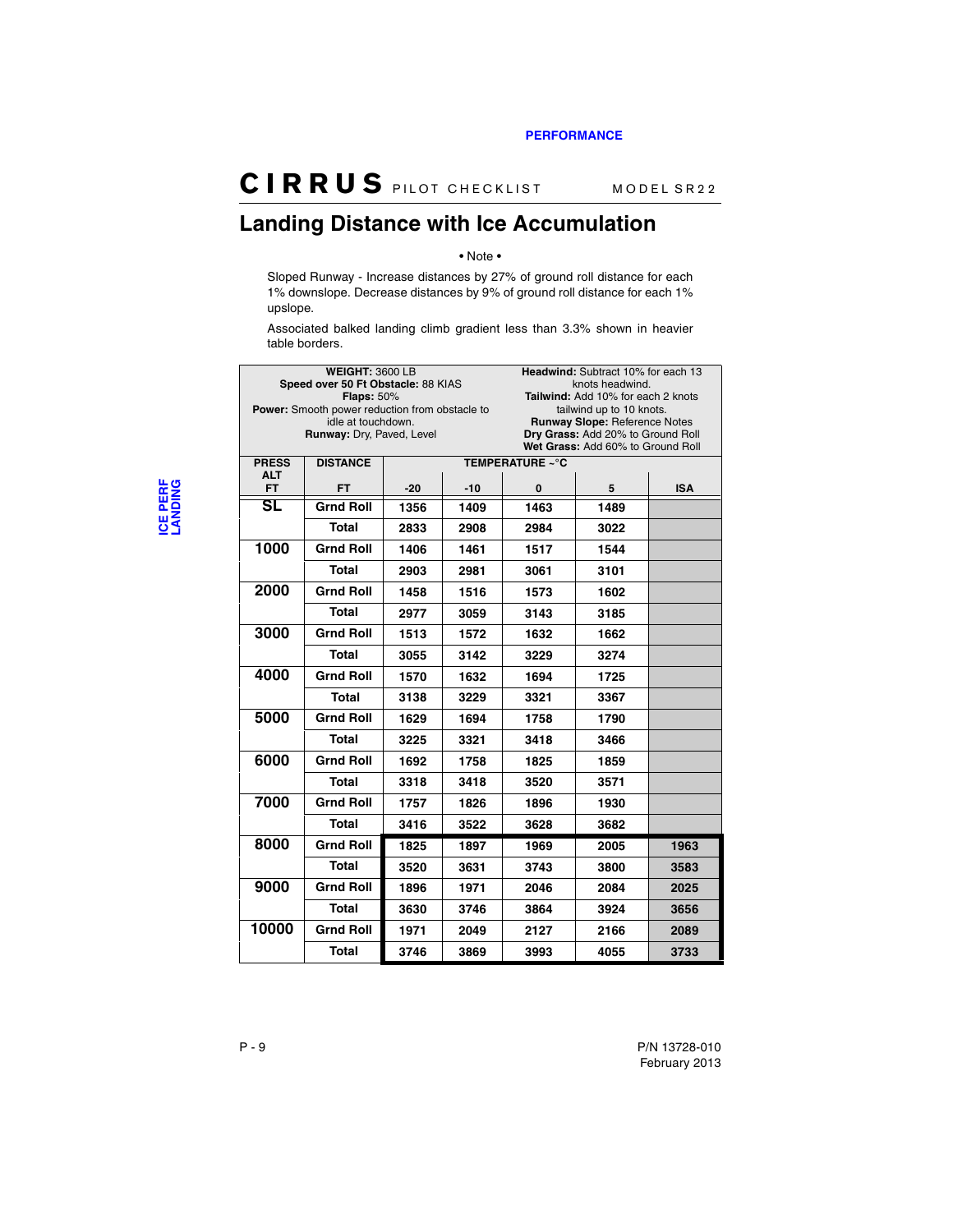#### <span id="page-31-0"></span>**Landing Distance with Ice Accumulation**

#### • Note •

Sloped Runway - Increase distances by 27% of ground roll distance for each 1% downslope. Decrease distances by 9% of ground roll distance for each 1% upslope.

Associated balked landing climb gradient less than 3.3% shown in heavier table borders.

|                            | <b>WEIGHT: 3600 LB</b><br>Speed over 50 Ft Obstacle: 88 KIAS |       |       | Headwind: Subtract 10% for each 13<br>knots headwind. |                                                                           |            |  |  |
|----------------------------|--------------------------------------------------------------|-------|-------|-------------------------------------------------------|---------------------------------------------------------------------------|------------|--|--|
|                            | <b>Flaps: 50%</b>                                            |       |       |                                                       | Tailwind: Add 10% for each 2 knots                                        |            |  |  |
|                            | <b>Power:</b> Smooth power reduction from obstacle to        |       |       | tailwind up to 10 knots.                              |                                                                           |            |  |  |
|                            | idle at touchdown.<br>Runway: Dry, Paved, Level              |       |       |                                                       | <b>Runway Slope: Reference Notes</b><br>Dry Grass: Add 20% to Ground Roll |            |  |  |
|                            |                                                              |       |       |                                                       | Wet Grass: Add 60% to Ground Roll                                         |            |  |  |
| <b>PRESS</b><br><b>ALT</b> | <b>DISTANCE</b>                                              |       |       | TEMPERATURE ~°C                                       |                                                                           |            |  |  |
| <b>FT</b>                  | FT.                                                          | $-20$ | $-10$ | 0                                                     | 5                                                                         | <b>ISA</b> |  |  |
| SL                         | <b>Grnd Roll</b>                                             | 1356  | 1409  | 1463                                                  | 1489                                                                      |            |  |  |
|                            | <b>Total</b>                                                 | 2833  | 2908  | 2984                                                  | 3022                                                                      |            |  |  |
| 1000                       | <b>Grnd Roll</b>                                             | 1406  | 1461  | 1517                                                  | 1544                                                                      |            |  |  |
|                            | <b>Total</b>                                                 | 2903  | 2981  | 3061                                                  | 3101                                                                      |            |  |  |
| 2000                       | <b>Grnd Roll</b>                                             | 1458  | 1516  | 1573                                                  | 1602                                                                      |            |  |  |
|                            | <b>Total</b>                                                 | 2977  | 3059  | 3143                                                  | 3185                                                                      |            |  |  |
| 3000                       | <b>Grnd Roll</b>                                             | 1513  | 1572  | 1632                                                  | 1662                                                                      |            |  |  |
|                            | <b>Total</b>                                                 | 3055  | 3142  | 3229                                                  | 3274                                                                      |            |  |  |
| 4000                       | <b>Grnd Roll</b>                                             | 1570  | 1632  | 1694                                                  | 1725                                                                      |            |  |  |
|                            | Total                                                        | 3138  | 3229  | 3321                                                  | 3367                                                                      |            |  |  |
| 5000                       | <b>Grnd Roll</b>                                             | 1629  | 1694  | 1758                                                  | 1790                                                                      |            |  |  |
|                            | <b>Total</b>                                                 | 3225  | 3321  | 3418                                                  | 3466                                                                      |            |  |  |
| 6000                       | <b>Grnd Roll</b>                                             | 1692  | 1758  | 1825                                                  | 1859                                                                      |            |  |  |
|                            | <b>Total</b>                                                 | 3318  | 3418  | 3520                                                  | 3571                                                                      |            |  |  |
| 7000                       | <b>Grnd Roll</b>                                             | 1757  | 1826  | 1896                                                  | 1930                                                                      |            |  |  |
|                            | <b>Total</b>                                                 | 3416  | 3522  | 3628                                                  | 3682                                                                      |            |  |  |
| 8000                       | <b>Grnd Roll</b>                                             | 1825  | 1897  | 1969                                                  | 2005                                                                      | 1963       |  |  |
|                            | <b>Total</b>                                                 | 3520  | 3631  | 3743                                                  | 3800                                                                      | 3583       |  |  |
| 9000                       | <b>Grnd Roll</b>                                             | 1896  | 1971  | 2046                                                  | 2084                                                                      | 2025       |  |  |
|                            | Total                                                        | 3630  | 3746  | 3864                                                  | 3924                                                                      | 3656       |  |  |
| 10000                      | <b>Grnd Roll</b>                                             | 1971  | 2049  | 2127                                                  | 2166                                                                      | 2089       |  |  |
|                            | <b>Total</b>                                                 | 3746  | 3869  | 3993                                                  | 4055                                                                      | 3733       |  |  |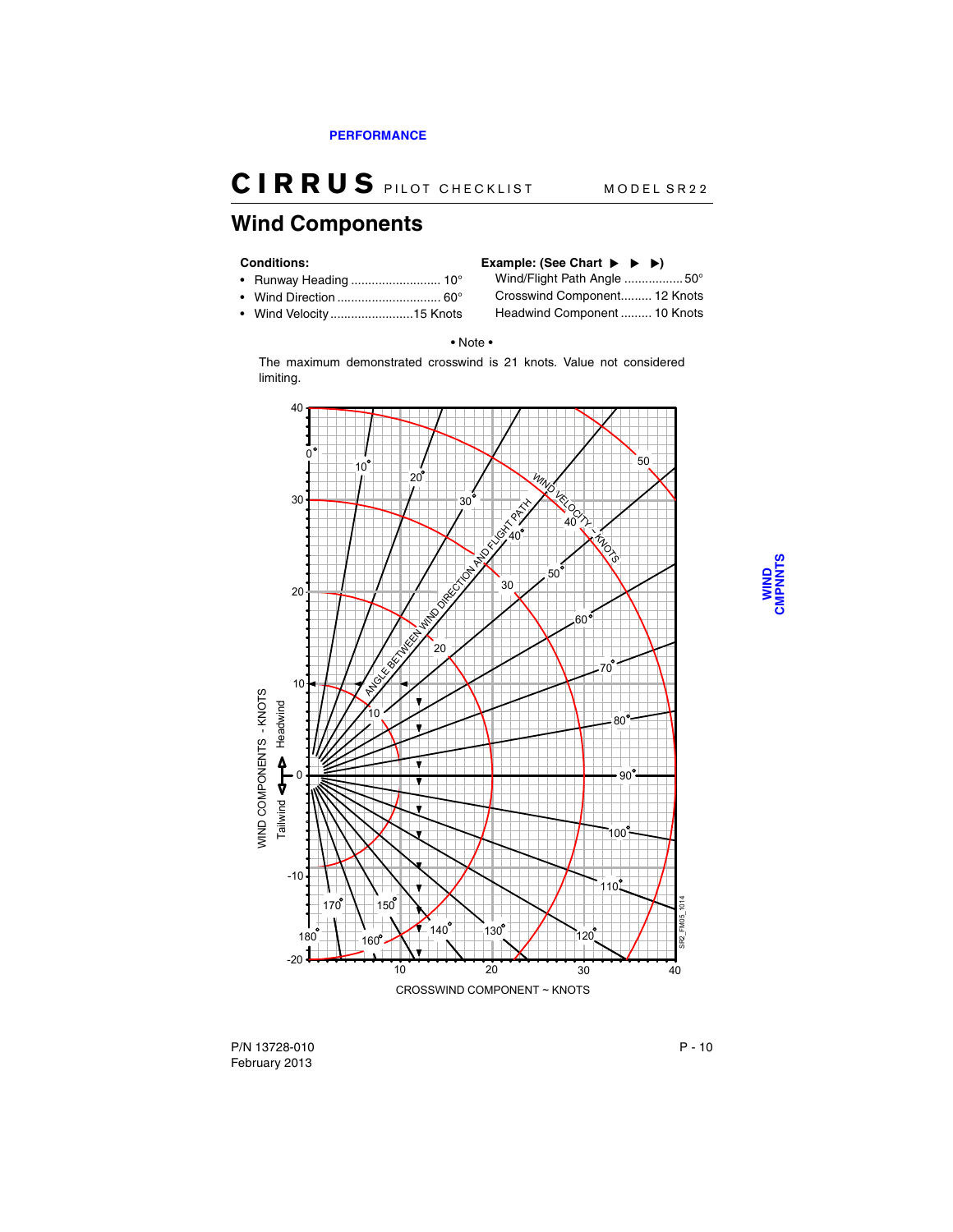#### <span id="page-32-0"></span>**Wind Components**

- Runway Heading .......................... 10° Wind/Flight Path Angle .................50°
- 
- 

## **Conditions: Example: (See Chart )**

• Wind Direction .............................. 60° Crosswind Component......... 12 Knots • Wind Velocity........................15 Knots Headwind Component ......... 10 Knots

#### • Note •

The maximum demonstrated crosswind is 21 knots. Value not considered limiting.



P/N 13728-010 P - 10 February 2013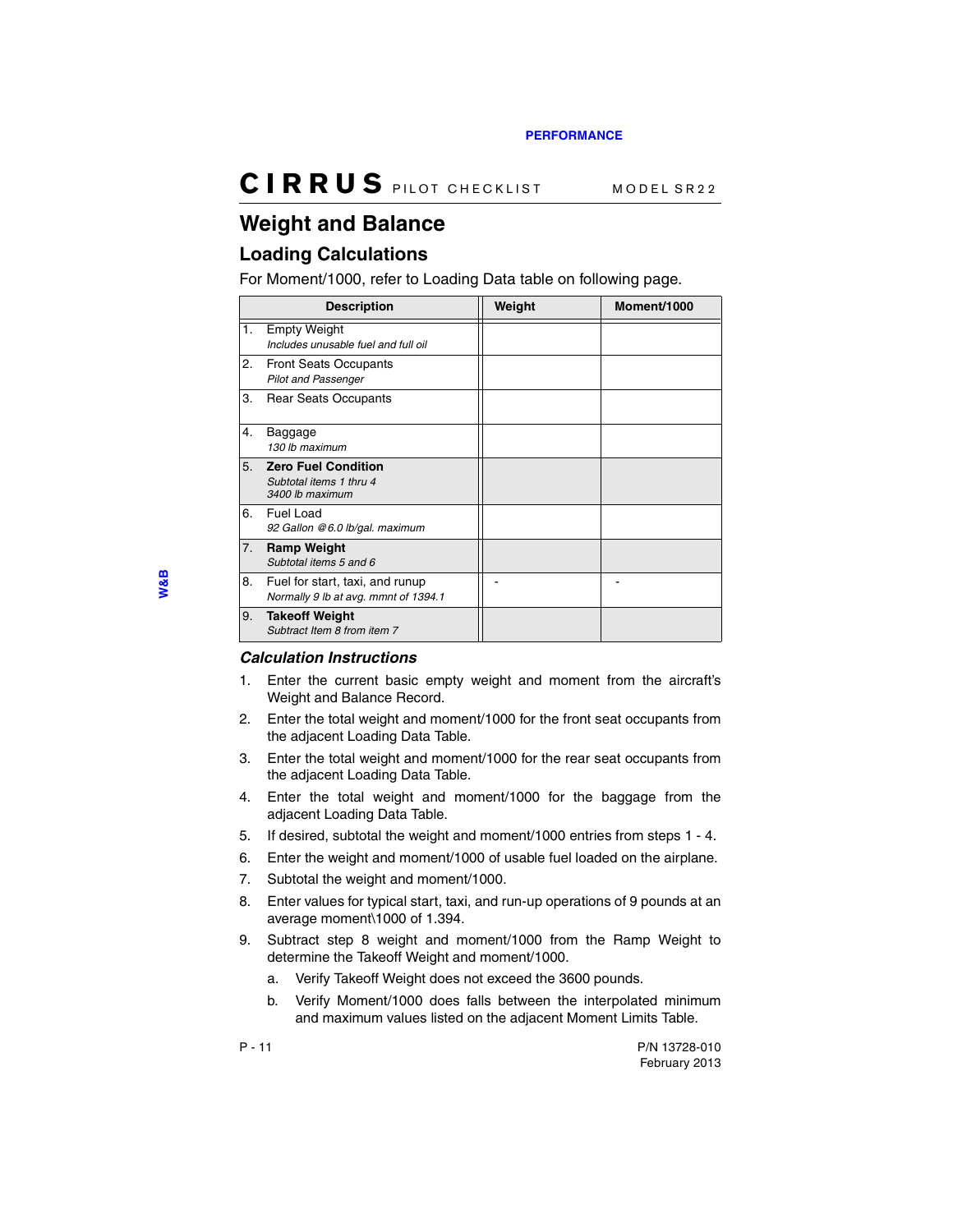### <span id="page-33-0"></span>**Weight and Balance**

#### <span id="page-33-1"></span>**Loading Calculations**

For Moment/1000, refer to Loading Data table on following page.

|    | <b>Description</b>                                                       | Weight | Moment/1000 |
|----|--------------------------------------------------------------------------|--------|-------------|
| 1. | <b>Empty Weight</b><br>Includes unusable fuel and full oil               |        |             |
| 2. | <b>Front Seats Occupants</b><br><b>Pilot and Passenger</b>               |        |             |
| 3. | <b>Rear Seats Occupants</b>                                              |        |             |
| 4. | Baggage<br>130 lb maximum                                                |        |             |
| 5. | <b>Zero Fuel Condition</b><br>Subtotal items 1 thru 4<br>3400 lb maximum |        |             |
| 6. | Fuel Load<br>92 Gallon @6.0 lb/gal. maximum                              |        |             |
| 7. | <b>Ramp Weight</b><br>Subtotal items 5 and 6                             |        |             |
| 8. | Fuel for start, taxi, and runup<br>Normally 9 lb at avg. mmnt of 1394.1  |        |             |
| 9. | <b>Takeoff Weight</b><br>Subtract Item 8 from item 7                     |        |             |

#### *Calculation Instructions*

- 1. Enter the current basic empty weight and moment from the aircraft's Weight and Balance Record.
- 2. Enter the total weight and moment/1000 for the front seat occupants from the adjacent Loading Data Table.
- 3. Enter the total weight and moment/1000 for the rear seat occupants from the adjacent Loading Data Table.
- 4. Enter the total weight and moment/1000 for the baggage from the adjacent Loading Data Table.
- 5. If desired, subtotal the weight and moment/1000 entries from steps 1 4.
- 6. Enter the weight and moment/1000 of usable fuel loaded on the airplane.
- 7. Subtotal the weight and moment/1000.
- 8. Enter values for typical start, taxi, and run-up operations of 9 pounds at an average moment\1000 of 1.394.
- 9. Subtract step 8 weight and moment/1000 from the Ramp Weight to determine the Takeoff Weight and moment/1000.
	- a. Verify Takeoff Weight does not exceed the 3600 pounds.
	- b. Verify Moment/1000 does falls between the interpolated minimum and maximum values listed on the adjacent Moment Limits Table.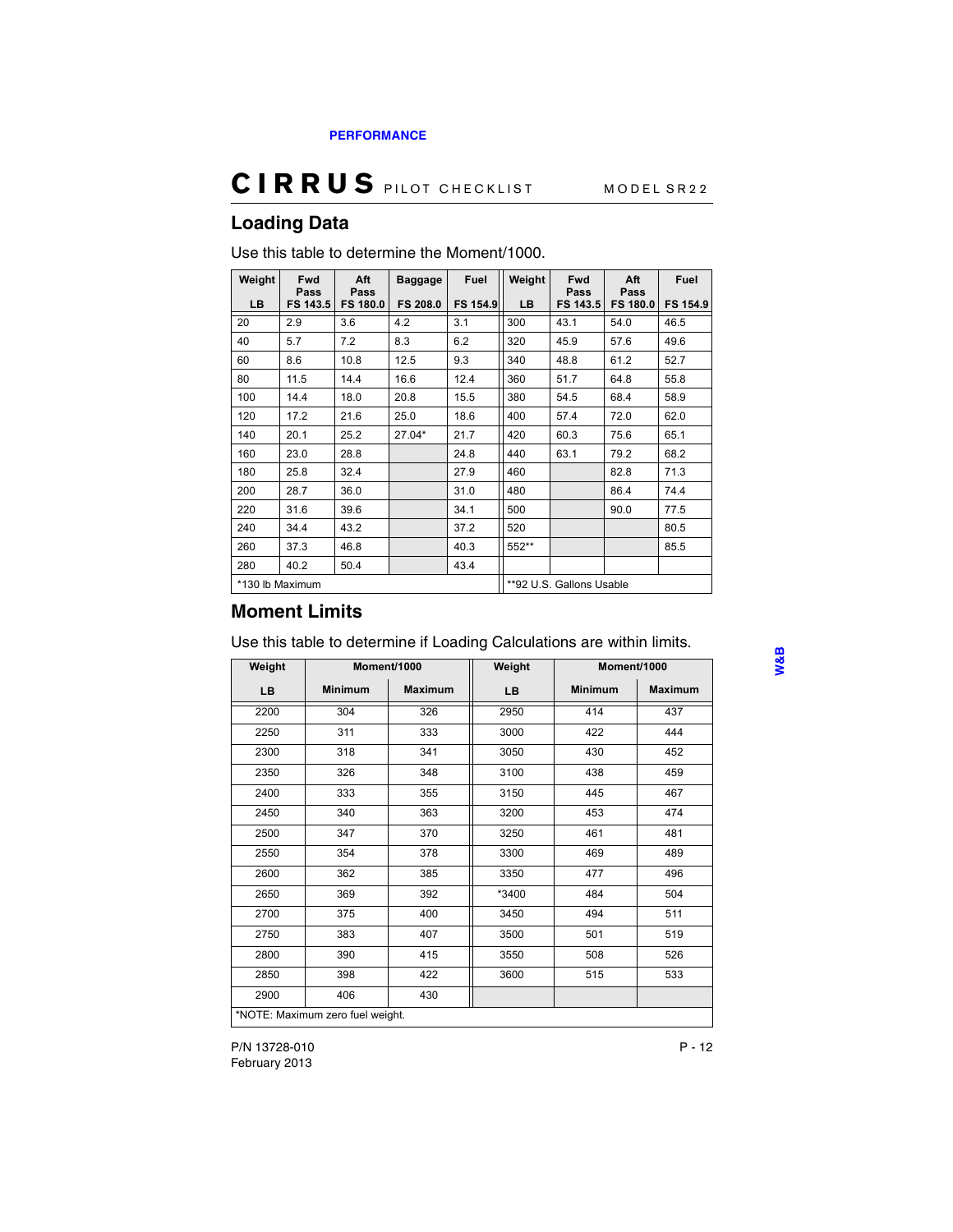#### <span id="page-34-0"></span>**Loading Data**

| Weight | <b>Fwd</b><br>Pass | Aft<br>Pass     | <b>Baggage</b>  | Fuel            | Weight | Fwd<br>Pass              | Aft<br>Pass     | Fuel     |
|--------|--------------------|-----------------|-----------------|-----------------|--------|--------------------------|-----------------|----------|
| LB.    | FS 143.5           | <b>FS 180.0</b> | <b>FS 208.0</b> | <b>FS 154.9</b> | LB     | FS 143.5                 | <b>FS 180.0</b> | FS 154.9 |
| 20     | 2.9                | 3.6             | 4.2             | 3.1             | 300    | 43.1                     | 54.0            | 46.5     |
| 40     | 5.7                | 7.2             | 8.3             | 6.2             | 320    | 45.9                     | 57.6            | 49.6     |
| 60     | 8.6                | 10.8            | 12.5            | 9.3             | 340    | 48.8                     | 61.2            | 52.7     |
| 80     | 11.5               | 14.4            | 16.6            | 12.4            | 360    | 51.7                     | 64.8            | 55.8     |
| 100    | 14.4               | 18.0            | 20.8            | 15.5            | 380    | 54.5                     | 68.4            | 58.9     |
| 120    | 17.2               | 21.6            | 25.0            | 18.6            | 400    | 57.4                     | 72.0            | 62.0     |
| 140    | 20.1               | 25.2            | 27.04*          | 21.7            | 420    | 60.3                     | 75.6            | 65.1     |
| 160    | 23.0               | 28.8            |                 | 24.8            | 440    | 63.1                     | 79.2            | 68.2     |
| 180    | 25.8               | 32.4            |                 | 27.9            | 460    |                          | 82.8            | 71.3     |
| 200    | 28.7               | 36.0            |                 | 31.0            | 480    |                          | 86.4            | 74.4     |
| 220    | 31.6               | 39.6            |                 | 34.1            | 500    |                          | 90.0            | 77.5     |
| 240    | 34.4               | 43.2            |                 | 37.2            | 520    |                          |                 | 80.5     |
| 260    | 37.3               | 46.8            |                 | 40.3            | 552**  |                          |                 | 85.5     |
| 280    | 40.2               | 50.4            |                 | 43.4            |        |                          |                 |          |
|        | *130 lb Maximum    |                 |                 |                 |        | **92 U.S. Gallons Usable |                 |          |

Use this table to determine the Moment/1000.

#### <span id="page-34-1"></span>**Moment Limits**

Use this table to determine if Loading Calculations are within limits.

| Weight | Moment/1000                      |                | Weight | Moment/1000    |                |
|--------|----------------------------------|----------------|--------|----------------|----------------|
| LB     | <b>Minimum</b>                   | <b>Maximum</b> | LB     | <b>Minimum</b> | <b>Maximum</b> |
| 2200   | 304                              | 326            | 2950   | 414            | 437            |
| 2250   | 311                              | 333            | 3000   | 422            | 444            |
| 2300   | 318                              | 341            | 3050   | 430            | 452            |
| 2350   | 326                              | 348            | 3100   | 438            | 459            |
| 2400   | 333                              | 355            | 3150   | 445            | 467            |
| 2450   | 340                              | 363            | 3200   | 453            | 474            |
| 2500   | 347                              | 370            | 3250   | 461            | 481            |
| 2550   | 354                              | 378            | 3300   | 469            | 489            |
| 2600   | 362                              | 385            | 3350   | 477            | 496            |
| 2650   | 369                              | 392            | *3400  | 484            | 504            |
| 2700   | 375                              | 400            | 3450   | 494            | 511            |
| 2750   | 383                              | 407            | 3500   | 501            | 519            |
| 2800   | 390                              | 415            | 3550   | 508            | 526            |
| 2850   | 398                              | 422            | 3600   | 515            | 533            |
| 2900   | 406                              | 430            |        |                |                |
|        | *NOTE: Maximum zero fuel weight. |                |        |                |                |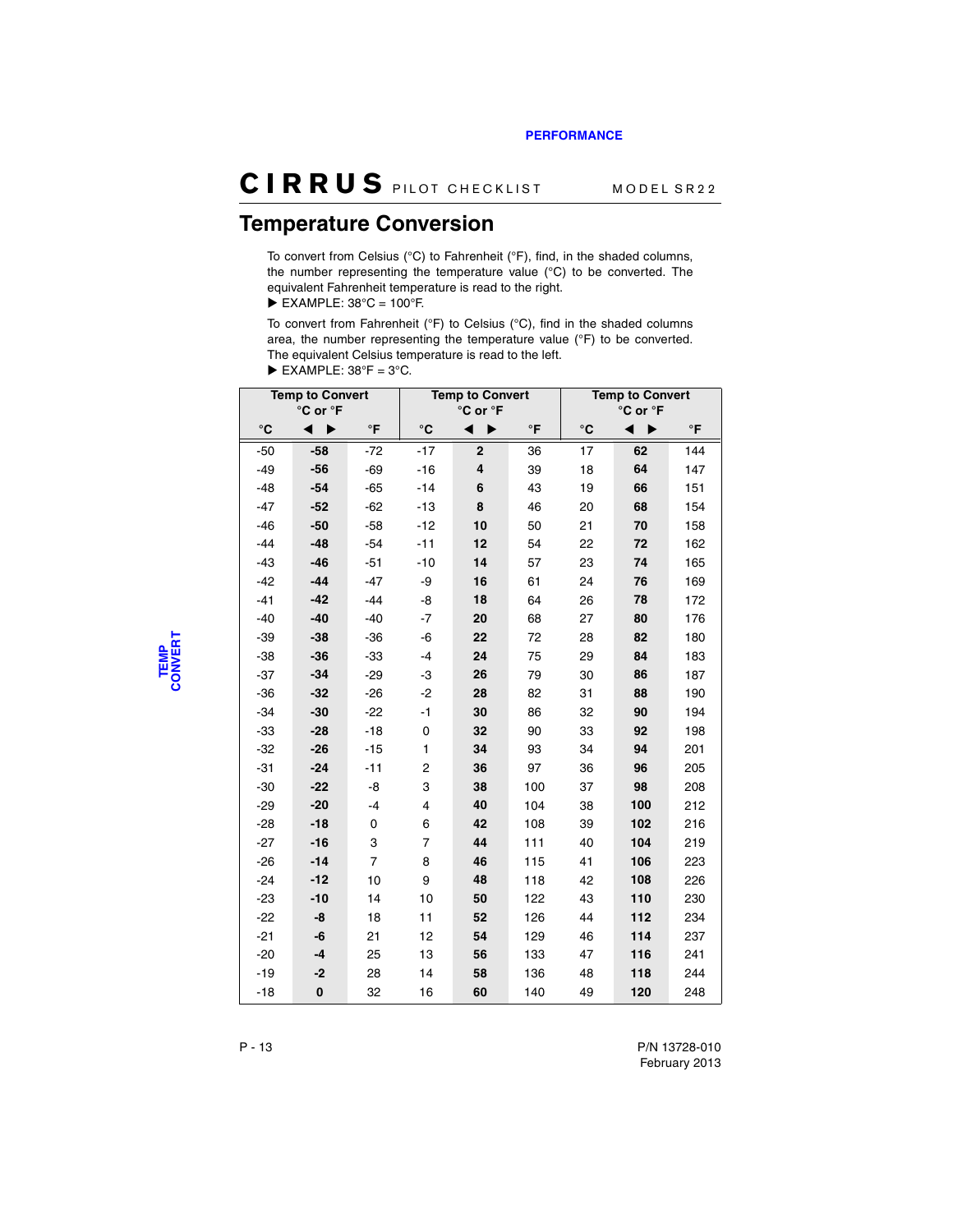#### <span id="page-35-0"></span>**Temperature Conversion**

To convert from Celsius (°C) to Fahrenheit (°F), find, in the shaded columns, the number representing the temperature value (°C) to be converted. The equivalent Fahrenheit temperature is read to the right.

 $\blacktriangleright$  EXAMPLE: 38°C = 100°F.

To convert from Fahrenheit (°F) to Celsius (°C), find in the shaded columns area, the number representing the temperature value (°F) to be converted. The equivalent Celsius temperature is read to the left.

|  | $\blacktriangleright$ EXAMPLE: 38°F = 3°C. |  |  |
|--|--------------------------------------------|--|--|
|--|--------------------------------------------|--|--|

| <b>Temp to Convert</b> |          |                | <b>Temp to Convert</b> |                |           | <b>Temp to Convert</b> |     |           |
|------------------------|----------|----------------|------------------------|----------------|-----------|------------------------|-----|-----------|
| °C or °F               |          |                | °C or °F               |                |           | °C or °F               |     |           |
| $^{\circ}$ C           | ▶        | $\circ$ F      | °C                     | ▶              | $\circ$ F | °C                     |     | $\circ$ F |
| $-50$                  | $-58$    | $-72$          | $-17$                  | $\overline{2}$ | 36        | 17                     | 62  | 144       |
| $-49$                  | $-56$    | $-69$          | $-16$                  | 4              | 39        | 18                     | 64  | 147       |
| $-48$                  | $-54$    | $-65$          | $-14$                  | 6              | 43        | 19                     | 66  | 151       |
| $-47$                  | $-52$    | $-62$          | $-13$                  | 8              | 46        | 20                     | 68  | 154       |
| $-46$                  | $-50$    | $-58$          | $-12$                  | 10             | 50        | 21                     | 70  | 158       |
| $-44$                  | $-48$    | $-54$          | $-11$                  | 12             | 54        | 22                     | 72  | 162       |
| $-43$                  | $-46$    | $-51$          | $-10$                  | 14             | 57        | 23                     | 74  | 165       |
| $-42$                  | $-44$    | $-47$          | -9                     | 16             | 61        | 24                     | 76  | 169       |
| $-41$                  | $-42$    | $-44$          | -8                     | 18             | 64        | 26                     | 78  | 172       |
| $-40$                  | $-40$    | $-40$          | $-7$                   | 20             | 68        | 27                     | 80  | 176       |
| $-39$                  | $-38$    | $-36$          | -6                     | 22             | 72        | 28                     | 82  | 180       |
| $-38$                  | $-36$    | $-33$          | $-4$                   | 24             | 75        | 29                     | 84  | 183       |
| $-37$                  | $-34$    | $-29$          | -3                     | 26             | 79        | 30                     | 86  | 187       |
| $-36$                  | $-32$    | $-26$          | $-2$                   | 28             | 82        | 31                     | 88  | 190       |
| $-34$                  | $-30$    | $-22$          | $-1$                   | 30             | 86        | 32                     | 90  | 194       |
| $-33$                  | $-28$    | $-18$          | 0                      | 32             | 90        | 33                     | 92  | 198       |
| $-32$                  | $-26$    | $-15$          | 1                      | 34             | 93        | 34                     | 94  | 201       |
| $-31$                  | $-24$    | $-11$          | 2                      | 36             | 97        | 36                     | 96  | 205       |
| $-30$                  | $-22$    | -8             | 3                      | 38             | 100       | 37                     | 98  | 208       |
| $-29$                  | $-20$    | $-4$           | 4                      | 40             | 104       | 38                     | 100 | 212       |
| $-28$                  | $-18$    | 0              | 6                      | 42             | 108       | 39                     | 102 | 216       |
| $-27$                  | $-16$    | 3              | 7                      | 44             | 111       | 40                     | 104 | 219       |
| $-26$                  | $-14$    | $\overline{7}$ | 8                      | 46             | 115       | 41                     | 106 | 223       |
| $-24$                  | -12      | 10             | 9                      | 48             | 118       | 42                     | 108 | 226       |
| $-23$                  | $-10$    | 14             | 10                     | 50             | 122       | 43                     | 110 | 230       |
| $-22$                  | -8       | 18             | 11                     | 52             | 126       | 44                     | 112 | 234       |
| $-21$                  | -6       | 21             | 12                     | 54             | 129       | 46                     | 114 | 237       |
| $-20$                  | $-4$     | 25             | 13                     | 56             | 133       | 47                     | 116 | 241       |
| $-19$                  | -2       | 28             | 14                     | 58             | 136       | 48                     | 118 | 244       |
| $-18$                  | $\bf{0}$ | 32             | 16                     | 60             | 140       | 49                     | 120 | 248       |

**TEMP CONVERT**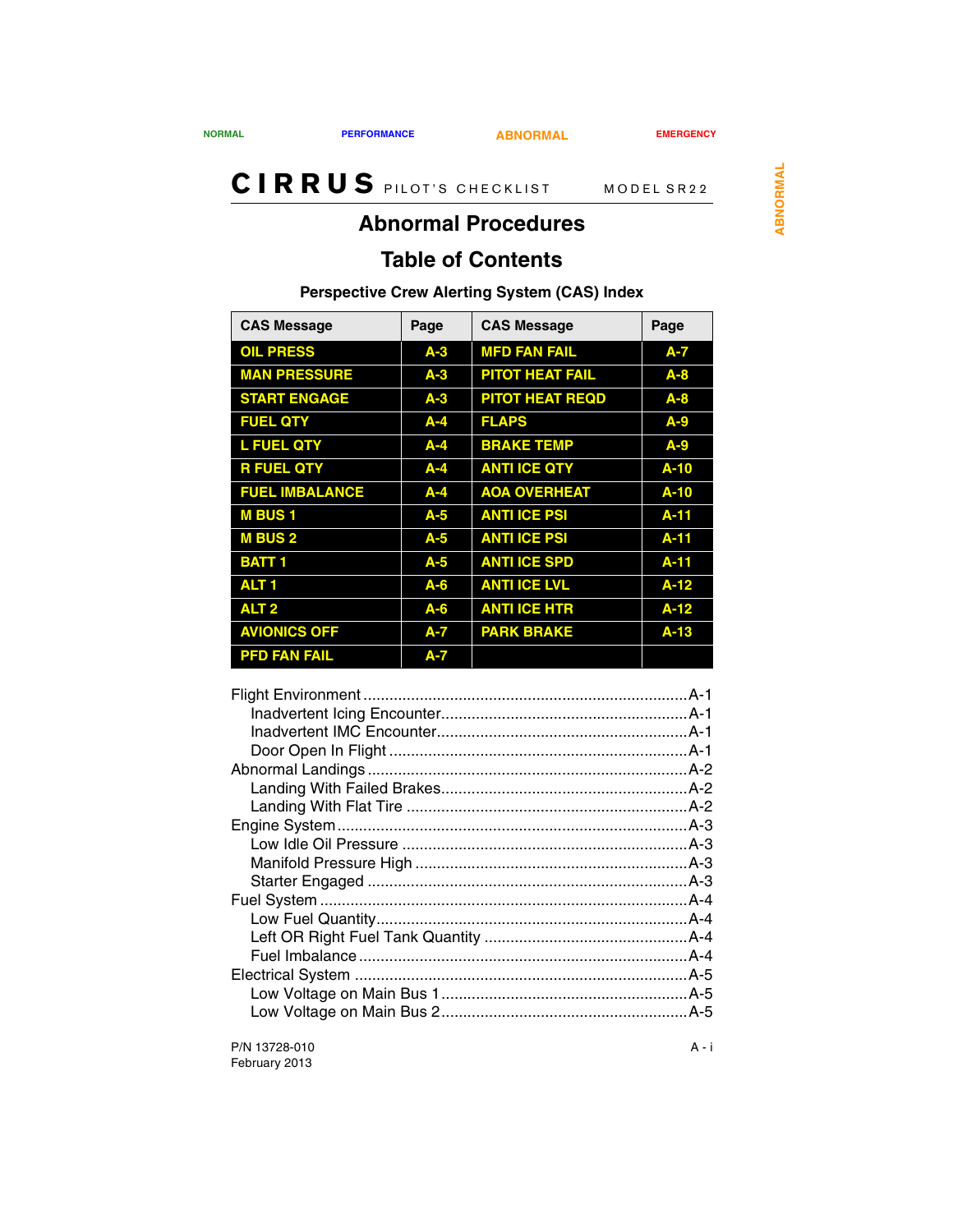<span id="page-36-1"></span>

## <span id="page-36-0"></span>**Abnormal Procedures**

## **Table of Contents**

### **Perspective Crew Alerting System (CAS) Index**

| <b>CAS Message</b>    | Page    | <b>CAS Message</b>     | Page     |
|-----------------------|---------|------------------------|----------|
| <b>OIL PRESS</b>      | $A-3$   | <b>MFD FAN FAIL</b>    | $A - 7$  |
| <b>MAN PRESSURE</b>   | $A-3$   | <b>PITOT HEAT FAIL</b> | $A - 8$  |
| <b>START ENGAGE</b>   | $A-3$   | <b>PITOT HEAT REQD</b> | $A - 8$  |
| <b>FUEL QTY</b>       | $A - 4$ | <b>FLAPS</b>           | $A-9$    |
| <b>L FUEL QTY</b>     | $A - 4$ | <b>BRAKE TEMP</b>      | $A-9$    |
| <b>R FUEL QTY</b>     | $A - 4$ | <b>ANTI ICE QTY</b>    | $A-10$   |
| <b>FUEL IMBALANCE</b> | $A - 4$ | <b>AOA OVERHEAT</b>    | $A-10$   |
| <b>MBUS1</b>          | $A-5$   | <b>ANTI ICE PSI</b>    | $A - 11$ |
| <b>MBUS2</b>          | $A-5$   | <b>ANTI ICE PSI</b>    | $A-11$   |
| <b>BATT1</b>          | $A-5$   | <b>ANTI ICE SPD</b>    | A-11     |
| ALT <sub>1</sub>      | $A - 6$ | <b>ANTI ICE LVL</b>    | $A-12$   |
| ALT <sub>2</sub>      | $A - 6$ | <b>ANTI ICE HTR</b>    | $A-12$   |
| <b>AVIONICS OFF</b>   | $A - 7$ | <b>PARK BRAKE</b>      | $A-13$   |
| <b>PFD FAN FAIL</b>   | $A - 7$ |                        |          |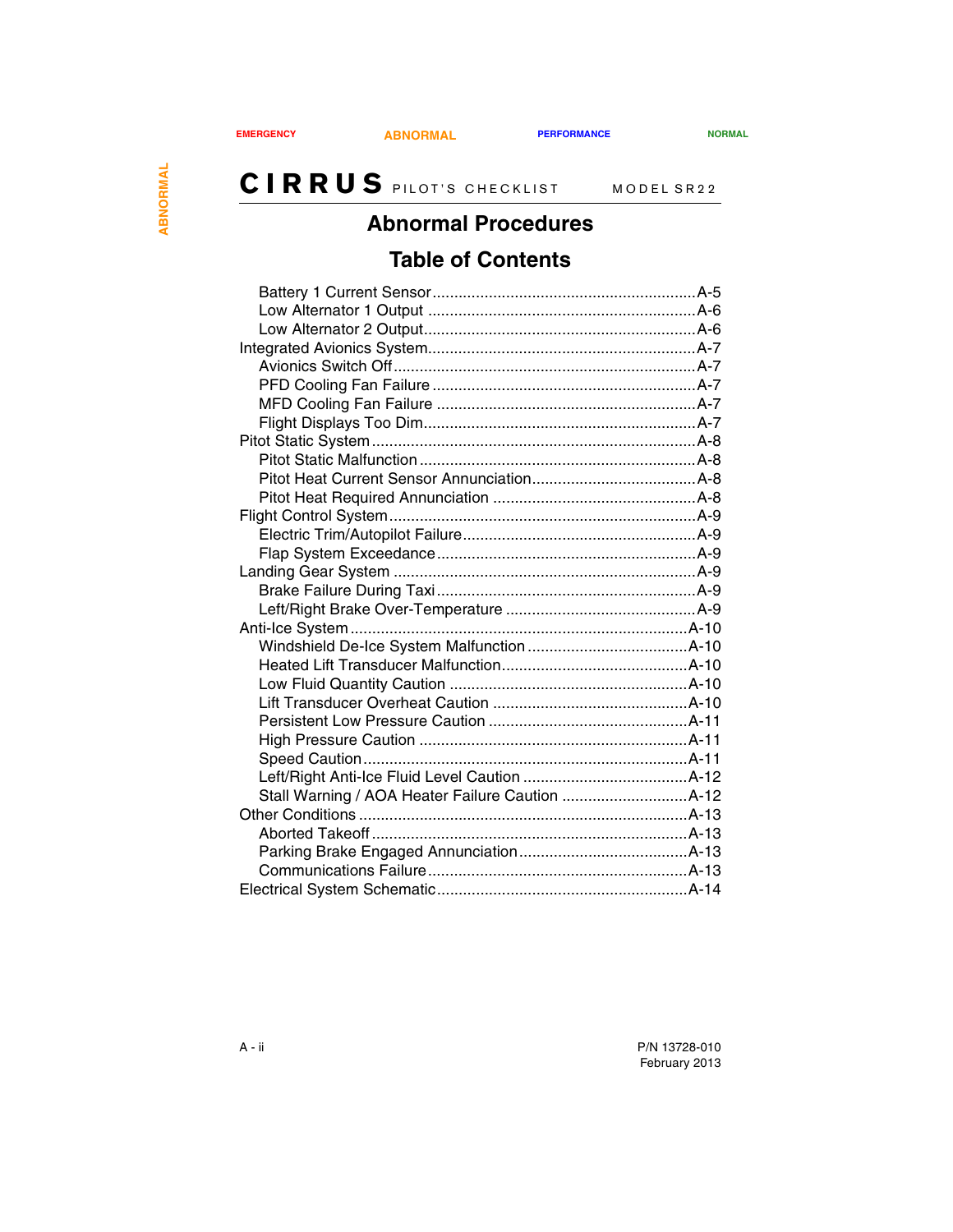## **Abnormal Procedures**

## **Table of Contents**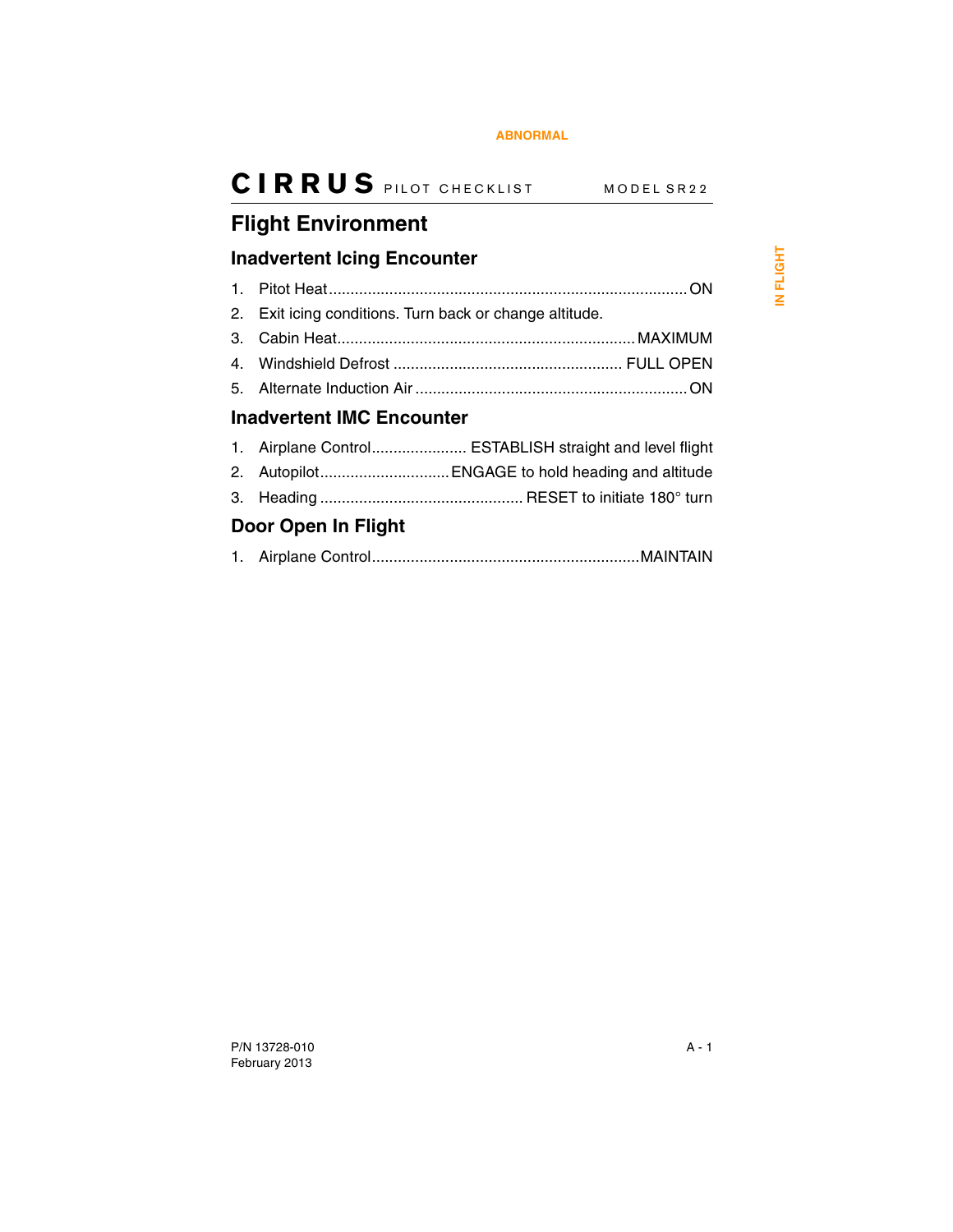## <span id="page-38-0"></span>**Flight Environment**

### <span id="page-38-1"></span>**Inadvertent Icing Encounter**

<span id="page-38-2"></span>

|                                  | 2. Exit icing conditions. Turn back or change altitude. |  |
|----------------------------------|---------------------------------------------------------|--|
|                                  |                                                         |  |
|                                  |                                                         |  |
|                                  |                                                         |  |
| <b>Inadvertent IMC Encounter</b> |                                                         |  |
|                                  | 1. Airplane Control ESTABLISH straight and level flight |  |
|                                  | 2. Autopilot ENGAGE to hold heading and altitude        |  |
|                                  |                                                         |  |
| Door Open In Flight              |                                                         |  |

<span id="page-38-3"></span>

|--|--|--|--|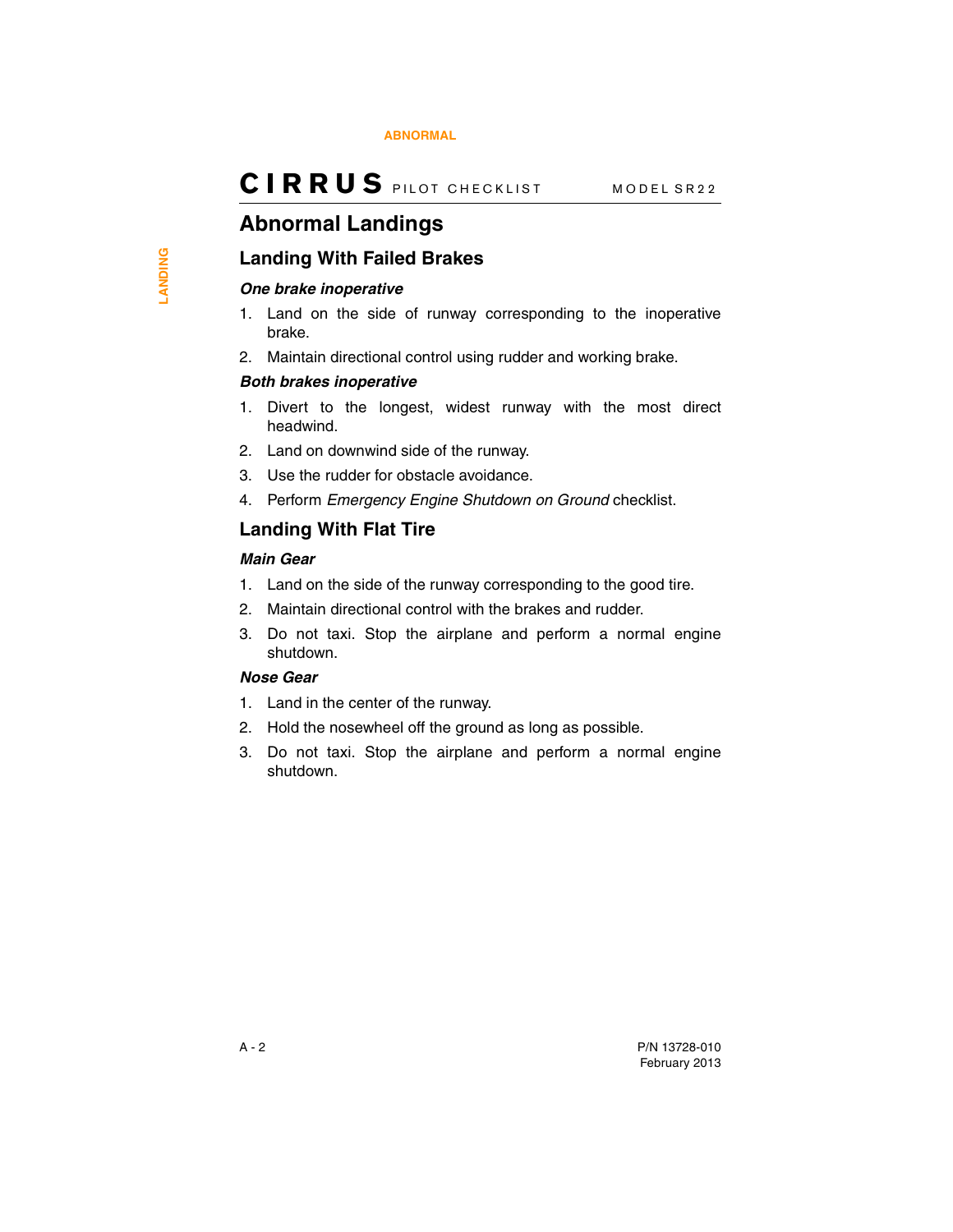## <span id="page-39-0"></span>**Abnormal Landings**

### <span id="page-39-1"></span>**Landing With Failed Brakes**

#### *One brake inoperative*

- 1. Land on the side of runway corresponding to the inoperative brake.
- 2. Maintain directional control using rudder and working brake.

#### *Both brakes inoperative*

- 1. Divert to the longest, widest runway with the most direct headwind.
- 2. Land on downwind side of the runway.
- 3. Use the rudder for obstacle avoidance.
- 4. Perform *Emergency Engine Shutdown on Ground* checklist.

### <span id="page-39-2"></span>**Landing With Flat Tire**

#### *Main Gear*

- 1. Land on the side of the runway corresponding to the good tire.
- 2. Maintain directional control with the brakes and rudder.
- 3. Do not taxi. Stop the airplane and perform a normal engine shutdown.

#### *Nose Gear*

- 1. Land in the center of the runway.
- 2. Hold the nosewheel off the ground as long as possible.
- 3. Do not taxi. Stop the airplane and perform a normal engine shutdown.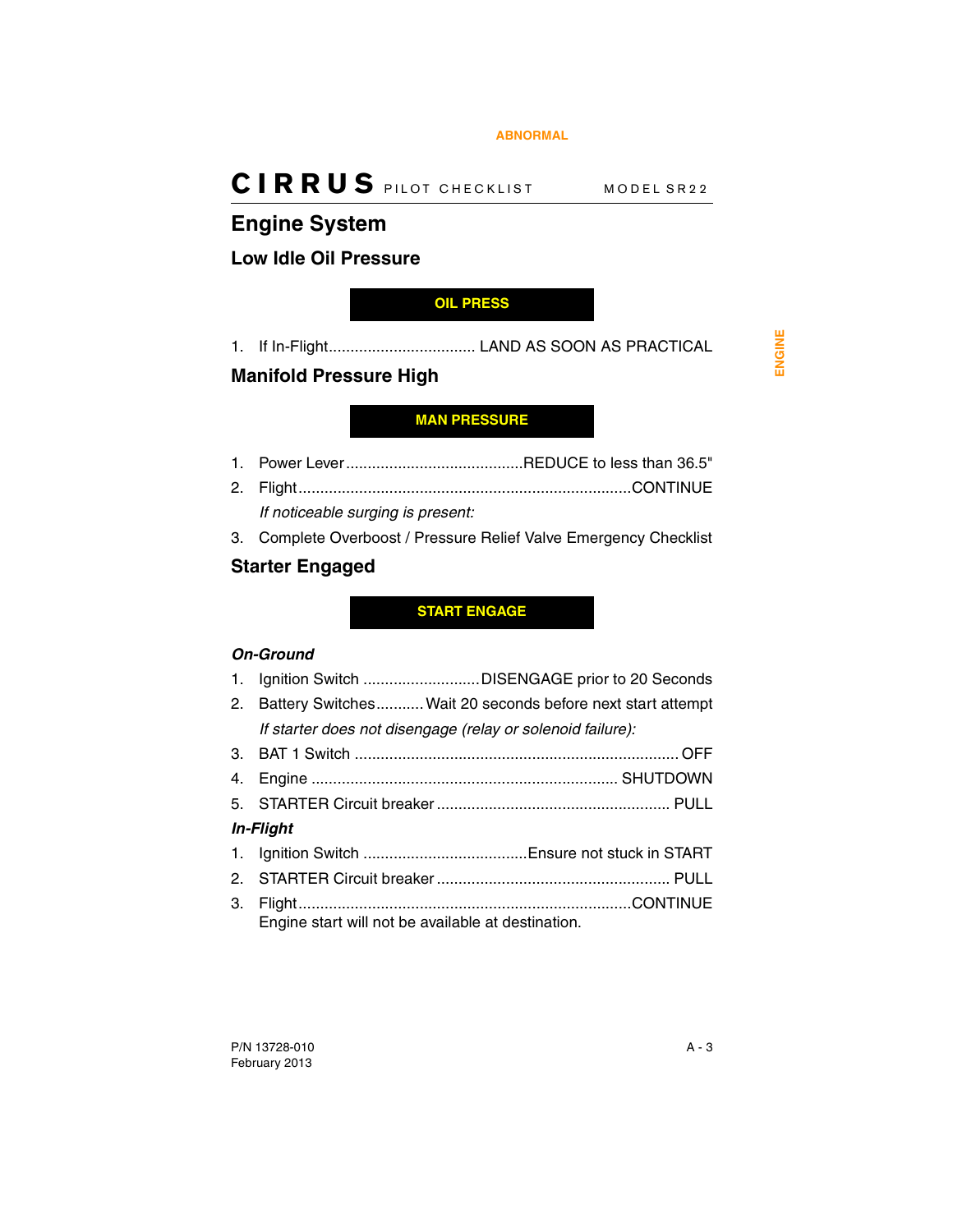## <span id="page-40-0"></span>**Engine System**

### <span id="page-40-1"></span>**Low Idle Oil Pressure**

### <span id="page-40-4"></span>**OIL PRESS**

1. If In-Flight.................................. LAND AS SOON AS PRACTICAL

### <span id="page-40-2"></span>**Manifold Pressure High**

### <span id="page-40-5"></span>**MAN PRESSURE**

- 1. Power Lever.........................................REDUCE to less than 36.5"
- 2. Flight.............................................................................CONTINUE *If noticeable surging is present:*
- 3. Complete Overboost / Pressure Relief Valve Emergency Checklist

### <span id="page-40-3"></span>**Starter Engaged**

### <span id="page-40-6"></span>**START ENGAGE**

### *On-Ground*

- 1. Ignition Switch ...........................DISENGAGE prior to 20 Seconds 2. Battery Switches...........Wait 20 seconds before next start attempt *If starter does not disengage (relay or solenoid failure):* 3. BAT 1 Switch ........................................................................... OFF
- 4. Engine ....................................................................... SHUTDOWN 5. STARTER Circuit breaker ...................................................... PULL *In-Flight* 1. Ignition Switch ......................................Ensure not stuck in START 2. STARTER Circuit breaker ...................................................... PULL
- 3. Flight.............................................................................CONTINUE Engine start will not be available at destination.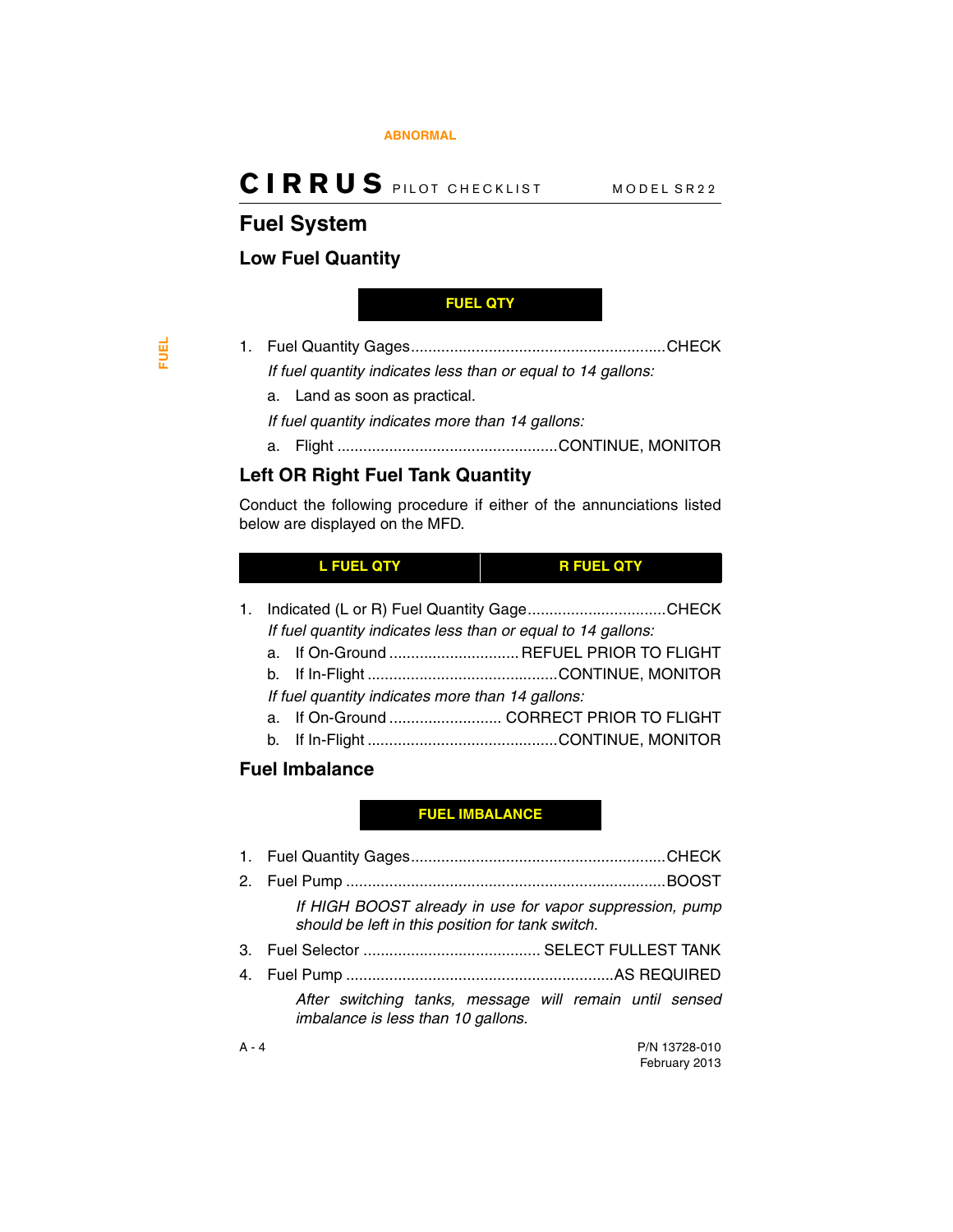## <span id="page-41-0"></span>**Fuel System**

### <span id="page-41-1"></span>**Low Fuel Quantity**

#### <span id="page-41-4"></span>**FUEL QTY**

- 1. Fuel Quantity Gages...........................................................CHECK *If fuel quantity indicates less than or equal to 14 gallons:*
	- a. Land as soon as practical.

*If fuel quantity indicates more than 14 gallons:*

a. Flight ...................................................CONTINUE, MONITOR

### <span id="page-41-2"></span>**Left OR Right Fuel Tank Quantity**

Conduct the following procedure if either of the annunciations listed below are displayed on the MFD.

### <span id="page-41-6"></span>**L FUEL QTY R FUEL QTY**

<span id="page-41-5"></span>1. Indicated (L or R) Fuel Quantity Gage................................CHECK

- *If fuel quantity indicates less than or equal to 14 gallons:*
- a. If On-Ground .............................. REFUEL PRIOR TO FLIGHT
- b. If In-Flight ............................................CONTINUE, MONITOR
- *If fuel quantity indicates more than 14 gallons:*
- a. If On-Ground .......................... CORRECT PRIOR TO FLIGHT
- b. If In-Flight ............................................CONTINUE, MONITOR

### <span id="page-41-3"></span>**Fuel Imbalance**

### <span id="page-41-7"></span>**FUEL IMBALANCE**

1. Fuel Quantity Gages...........................................................CHECK 2. Fuel Pump ..........................................................................BOOST *If HIGH BOOST already in use for vapor suppression, pump should be left in this position for tank switch.* 3. Fuel Selector ......................................... SELECT FULLEST TANK 4. Fuel Pump ..............................................................AS REQUIRED *After switching tanks, message will remain until sensed imbalance is less than 10 gallons.*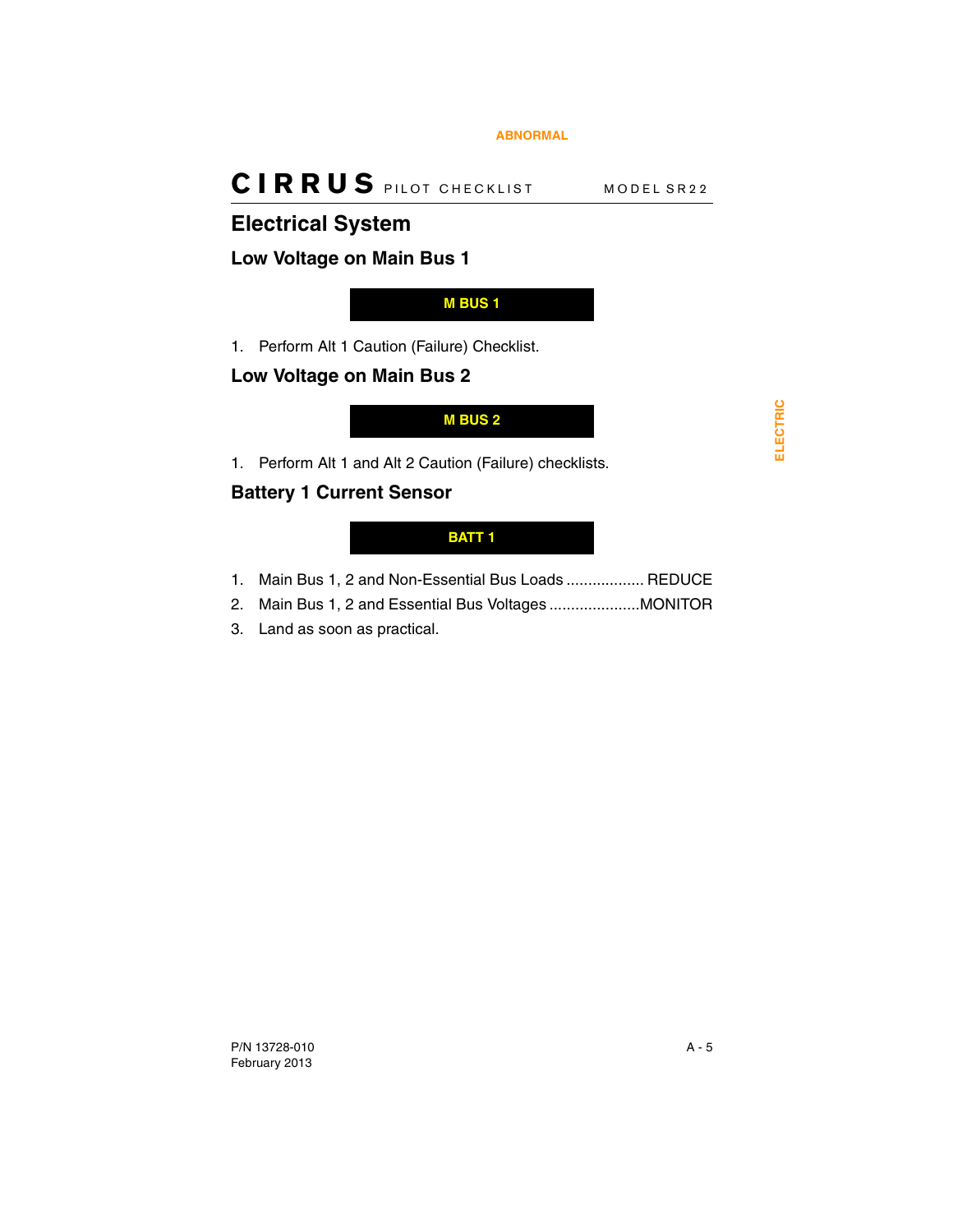## <span id="page-42-0"></span>**Electrical System**

### <span id="page-42-1"></span>**Low Voltage on Main Bus 1**

### <span id="page-42-3"></span>**M BUS 1**

1. Perform Alt 1 Caution (Failure) Checklist.

### <span id="page-42-2"></span>**Low Voltage on Main Bus 2**

<span id="page-42-4"></span>**M BUS 2**

1. Perform Alt 1 and Alt 2 Caution (Failure) checklists.

### <span id="page-42-6"></span>**Battery 1 Current Sensor**

### <span id="page-42-5"></span>**BATT 1**

- 1. Main Bus 1, 2 and Non-Essential Bus Loads .................. REDUCE
- 2. Main Bus 1, 2 and Essential Bus Voltages .....................MONITOR
- 3. Land as soon as practical.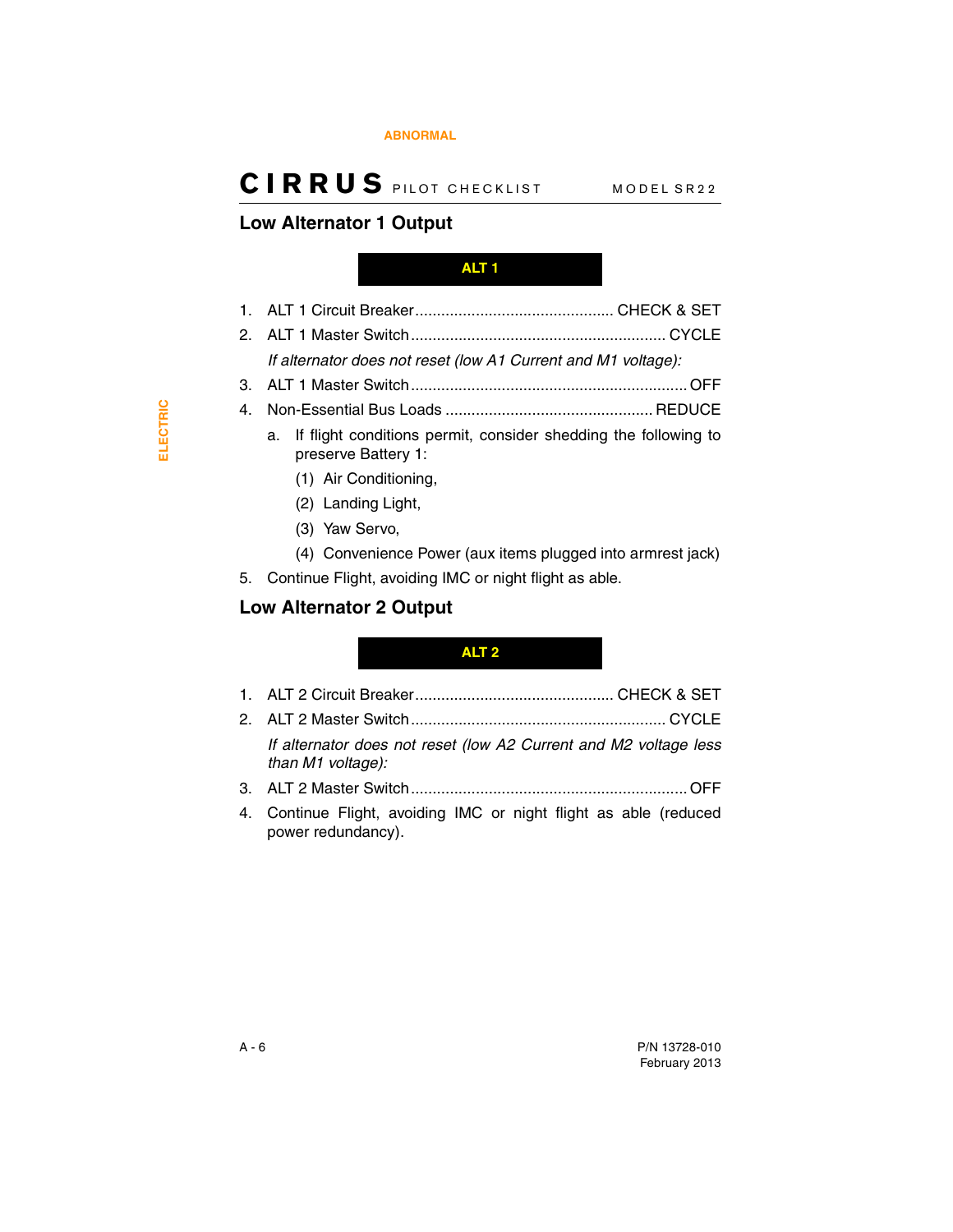#### **[ABNORMAL](#page-36-1)**

## **CIRRUS** PILOT CHECKLIST MODEL SR22

### <span id="page-43-2"></span>**Low Alternator 1 Output**

#### <span id="page-43-0"></span>**ALT 1**

- 1. ALT 1 Circuit Breaker.............................................. CHECK & SET
- 2. ALT 1 Master Switch........................................................... CYCLE *If alternator does not reset (low A1 Current and M1 voltage):*
- 3. ALT 1 Master Switch................................................................ OFF
- 4. Non-Essential Bus Loads ................................................ REDUCE
	- a. If flight conditions permit, consider shedding the following to preserve Battery 1:
		- (1) Air Conditioning,
		- (2) Landing Light,
		- (3) Yaw Servo,
		- (4) Convenience Power (aux items plugged into armrest jack)
- 5. Continue Flight, avoiding IMC or night flight as able.

### <span id="page-43-3"></span>**Low Alternator 2 Output**

#### <span id="page-43-1"></span>**ALT 2**

- 1. ALT 2 Circuit Breaker.............................................. CHECK & SET
- 2. ALT 2 Master Switch........................................................... CYCLE *If alternator does not reset (low A2 Current and M2 voltage less than M1 voltage):*
- 3. ALT 2 Master Switch................................................................ OFF
- 4. Continue Flight, avoiding IMC or night flight as able (reduced power redundancy).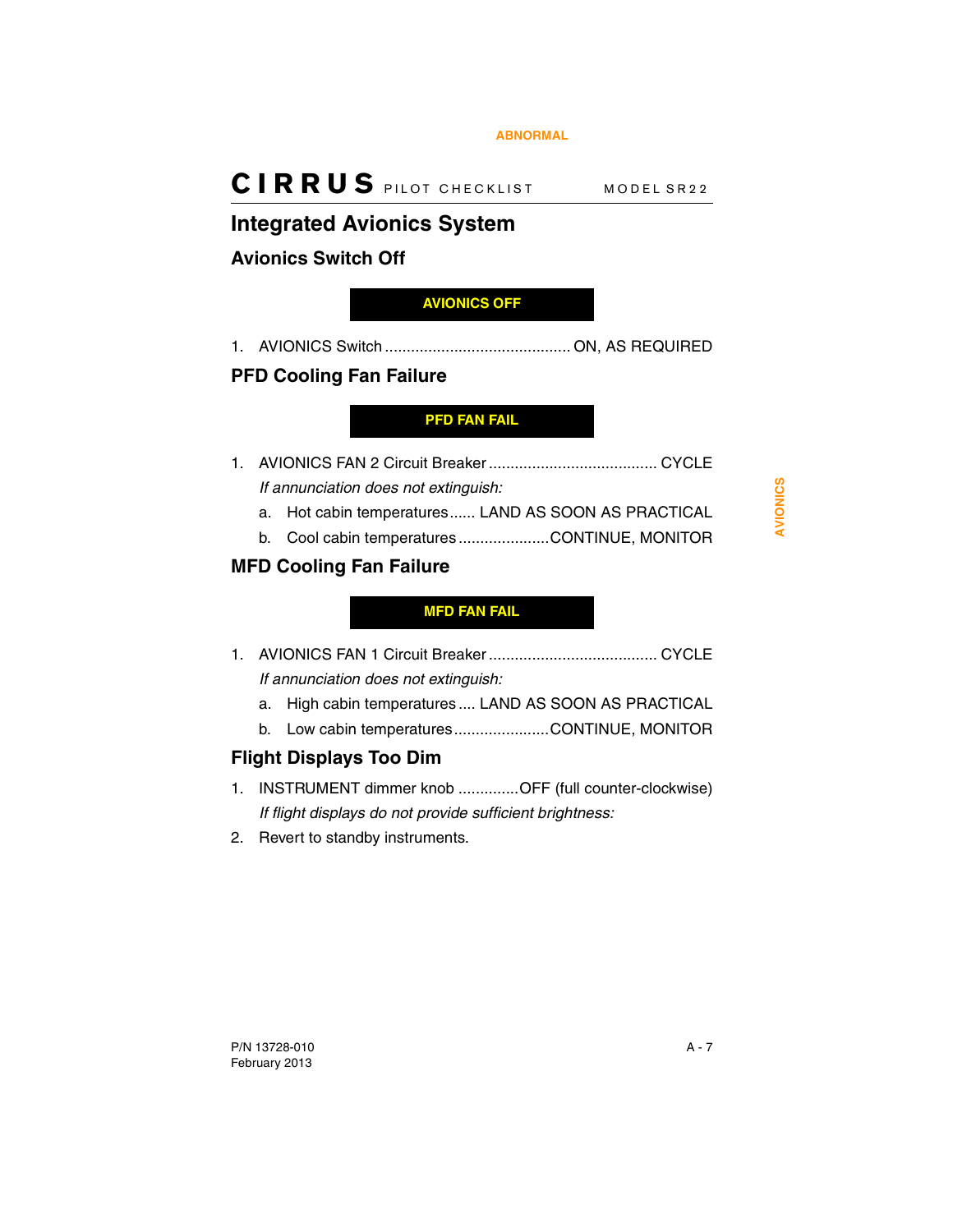## <span id="page-44-3"></span>**Integrated Avionics System**

## <span id="page-44-4"></span>**Avionics Switch Off**

### <span id="page-44-0"></span>**AVIONICS OFF**

1. AVIONICS Switch ........................................... ON, AS REQUIRED

### <span id="page-44-5"></span>**PFD Cooling Fan Failure**

### <span id="page-44-1"></span>**PFD FAN FAIL**

1. AVIONICS FAN 2 Circuit Breaker ....................................... CYCLE *If annunciation does not extinguish:*

- a. Hot cabin temperatures...... LAND AS SOON AS PRACTICAL
- b. Cool cabin temperatures .....................CONTINUE, MONITOR

### <span id="page-44-6"></span>**MFD Cooling Fan Failure**

### <span id="page-44-2"></span>**MFD FAN FAIL**

- 1. AVIONICS FAN 1 Circuit Breaker ....................................... CYCLE *If annunciation does not extinguish:*
	- a. High cabin temperatures.... LAND AS SOON AS PRACTICAL
	- b. Low cabin temperatures......................CONTINUE, MONITOR

### <span id="page-44-7"></span>**Flight Displays Too Dim**

- 1. INSTRUMENT dimmer knob ..............OFF (full counter-clockwise) *If flight displays do not provide sufficient brightness:*
- 2. Revert to standby instruments.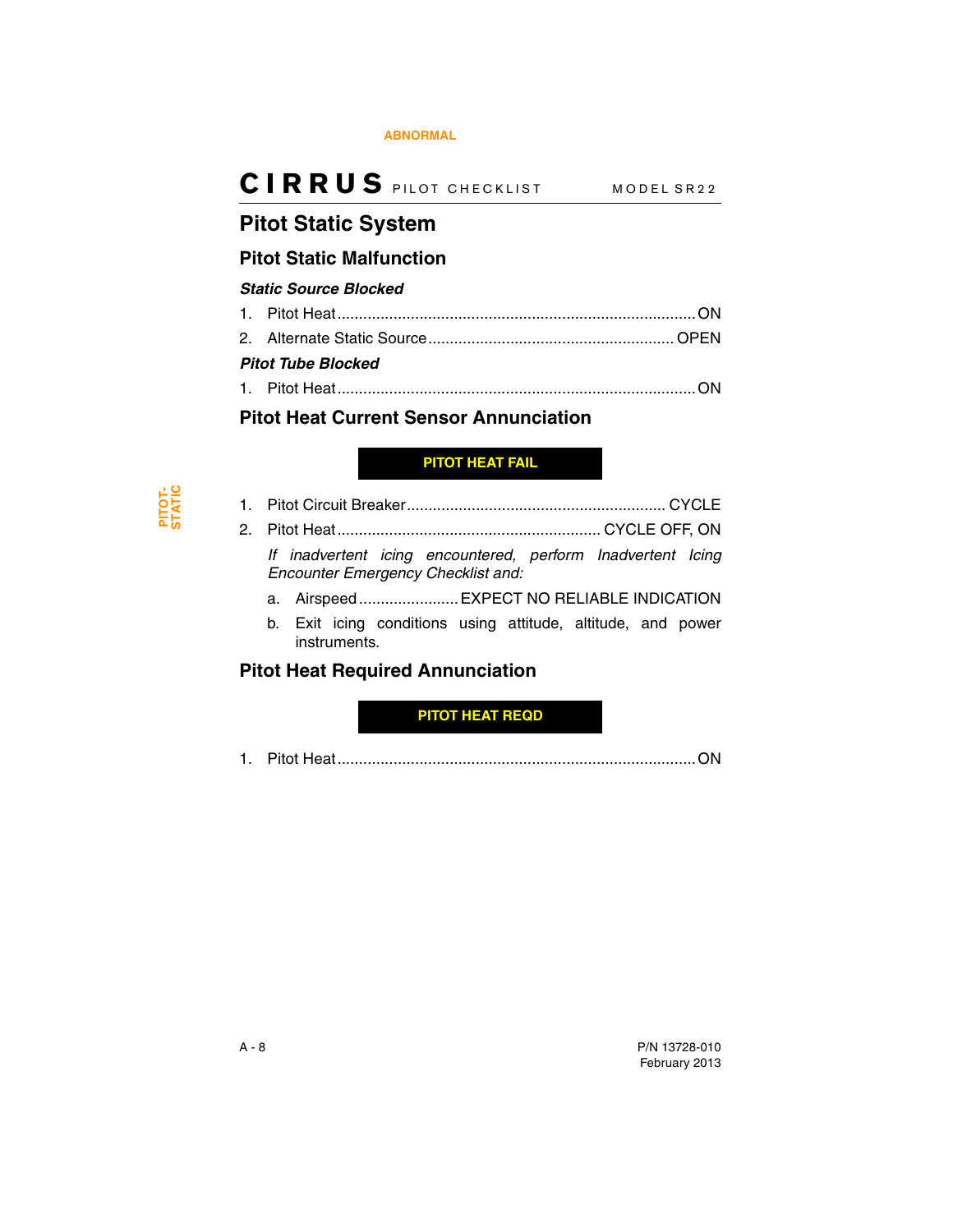## <span id="page-45-2"></span>**Pitot Static System**

### <span id="page-45-3"></span>**Pitot Static Malfunction**

### *Static Source Blocked*

| <b>Pitot Tube Blocked</b> |  |
|---------------------------|--|
|                           |  |

### <span id="page-45-4"></span>**Pitot Heat Current Sensor Annunciation**

### <span id="page-45-1"></span>**PITOT HEAT FAIL**

| $2^{\circ}$                             |  |                                                                                                          |  |  |
|-----------------------------------------|--|----------------------------------------------------------------------------------------------------------|--|--|
|                                         |  | If inadvertent icing encountered, perform Inadvertent Icing<br><b>Encounter Emergency Checklist and:</b> |  |  |
|                                         |  | a. Airspeed EXPECT NO RELIABLE INDICATION                                                                |  |  |
|                                         |  | b. Exit icing conditions using attitude, altitude, and power<br>instruments.                             |  |  |
| <b>Pitot Heat Required Annunciation</b> |  |                                                                                                          |  |  |

<span id="page-45-0"></span>**PITOT HEAT REQD**

<span id="page-45-5"></span>1. Pitot Heat...................................................................................ON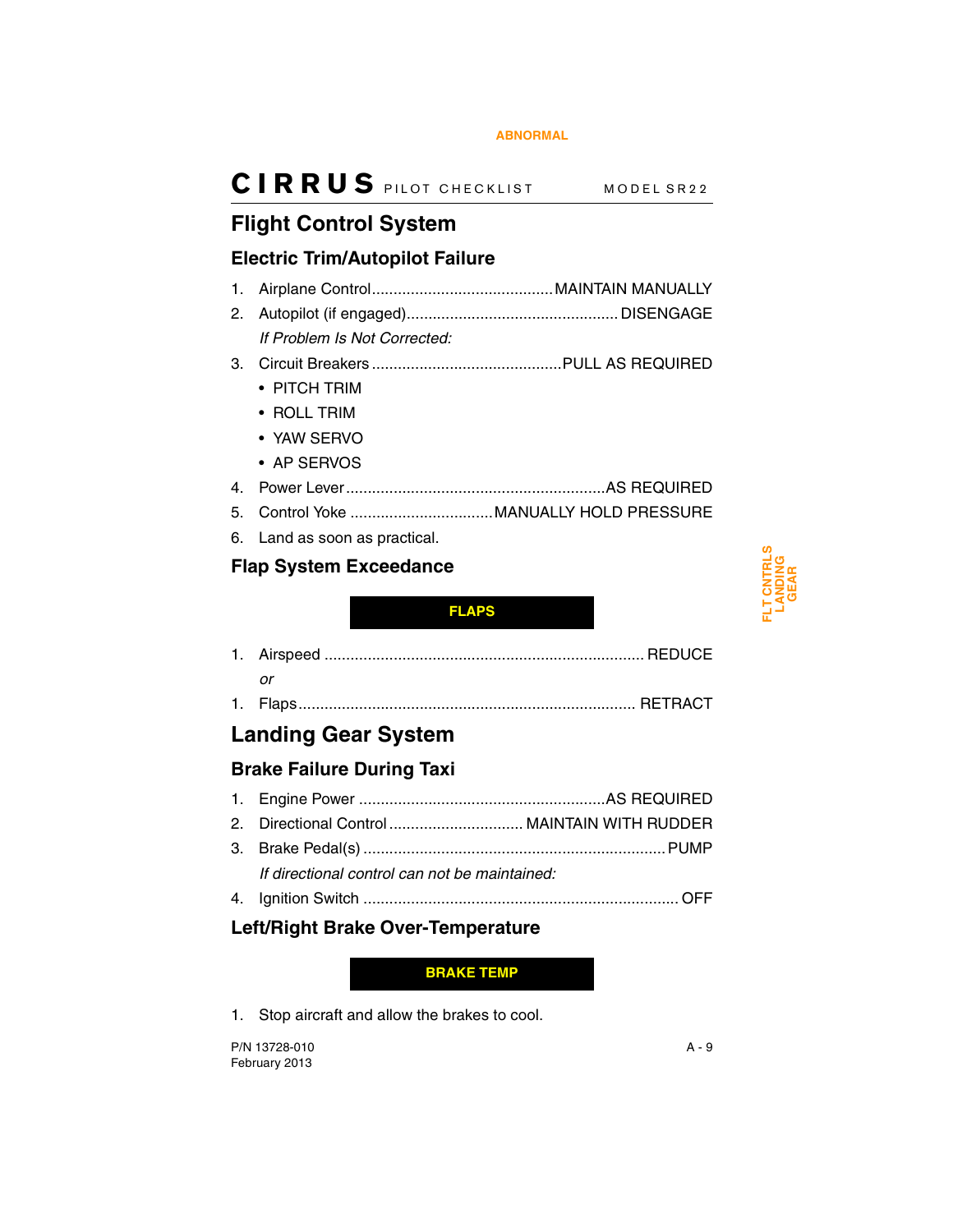## <span id="page-46-2"></span>**Flight Control System**

### <span id="page-46-3"></span>**Electric Trim/Autopilot Failure**

|    | If Problem Is Not Corrected: |  |
|----|------------------------------|--|
|    |                              |  |
|    | $\bullet$ PITCH TRIM         |  |
|    | • ROLL TRIM                  |  |
|    | • YAW SERVO                  |  |
|    | • AP SERVOS                  |  |
| 4. |                              |  |
|    |                              |  |

6. Land as soon as practical.

## <span id="page-46-4"></span>**Flap System Exceedance**

### <span id="page-46-0"></span>**FLAPS**

1. Flaps.............................................................................. RETRACT

## <span id="page-46-5"></span>**Landing Gear System**

## <span id="page-46-6"></span>**Brake Failure During Taxi**

| 2. Directional Control  MAINTAIN WITH RUDDER  |  |
|-----------------------------------------------|--|
|                                               |  |
| If directional control can not be maintained: |  |
|                                               |  |

### <span id="page-46-7"></span>**Left/Right Brake Over-Temperature**

### <span id="page-46-1"></span>**BRAKE TEMP**

1. Stop aircraft and allow the brakes to cool.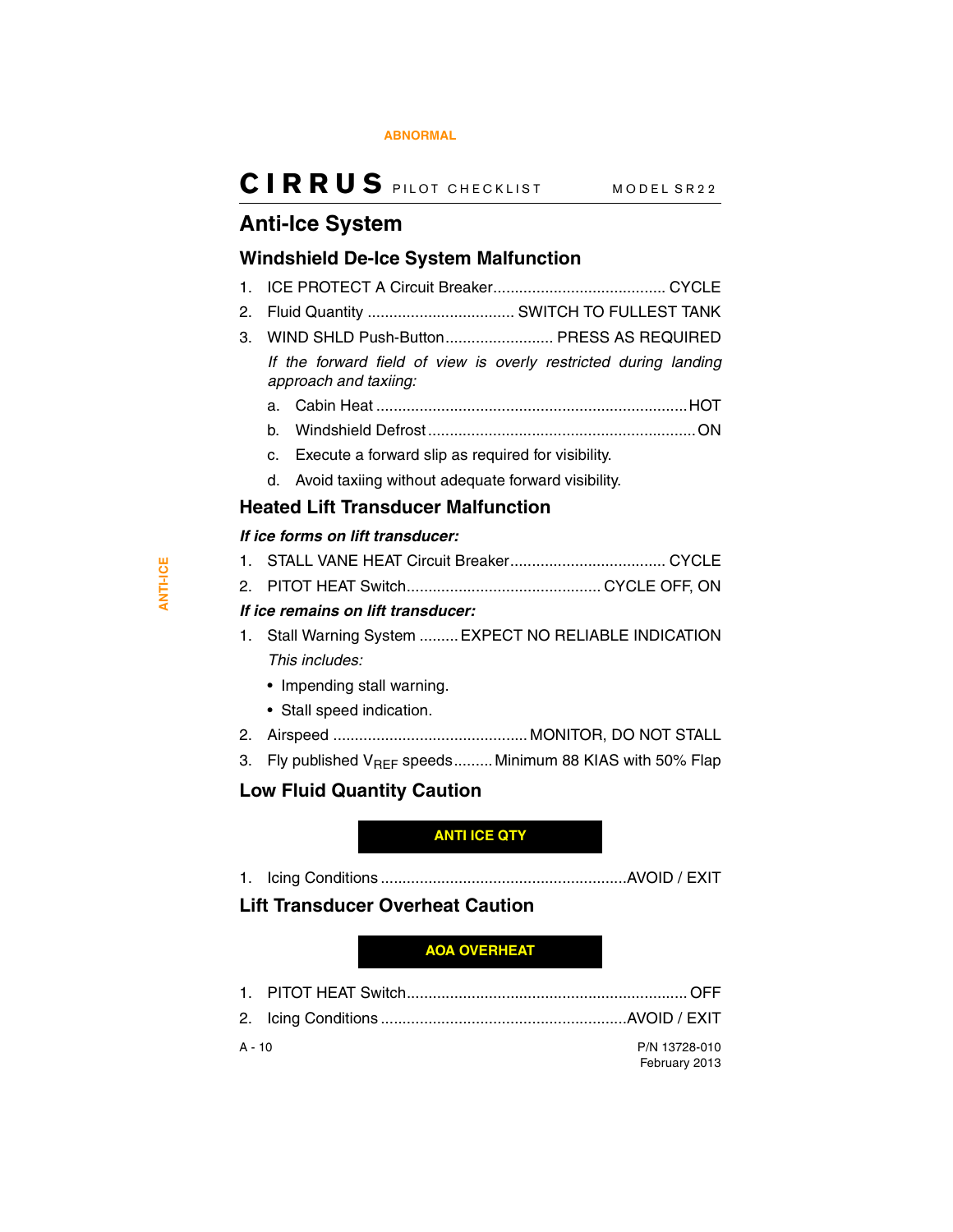## <span id="page-47-2"></span>**Anti-Ice System**

### <span id="page-47-3"></span>**Windshield De-Ice System Malfunction**

- 1. ICE PROTECT A Circuit Breaker........................................ CYCLE
- 2. Fluid Quantity .................................. SWITCH TO FULLEST TANK
- 3. WIND SHLD Push-Button......................... PRESS AS REQUIRED *If the forward field of view is overly restricted during landing approach and taxiing:*
	- a. Cabin Heat ........................................................................HOT
	- b. Windshield Defrost..............................................................ON
	- c. Execute a forward slip as required for visibility.
	- d. Avoid taxiing without adequate forward visibility.

### <span id="page-47-4"></span>**Heated Lift Transducer Malfunction**

### *If ice forms on lift transducer:*

- 1. STALL VANE HEAT Circuit Breaker.................................... CYCLE
- 2. PITOT HEAT Switch............................................. CYCLE OFF, ON

### *If ice remains on lift transducer:*

- 1. Stall Warning System ......... EXPECT NO RELIABLE INDICATION *This includes:*
	- Impending stall warning.
	- Stall speed indication.
- 2. Airspeed ............................................. MONITOR, DO NOT STALL
- 3. Fly published  $V_{BFF}$  speeds......... Minimum 88 KIAS with 50% Flap

## <span id="page-47-5"></span>**Low Fluid Quantity Caution**

### <span id="page-47-0"></span>**ANTI ICE QTY**

1. Icing Conditions .........................................................AVOID / EXIT

### <span id="page-47-6"></span>**Lift Transducer Overheat Caution**

### <span id="page-47-1"></span>**AOA OVERHEAT**

1. PITOT HEAT Switch................................................................. OFF 2. Icing Conditions .........................................................AVOID / EXIT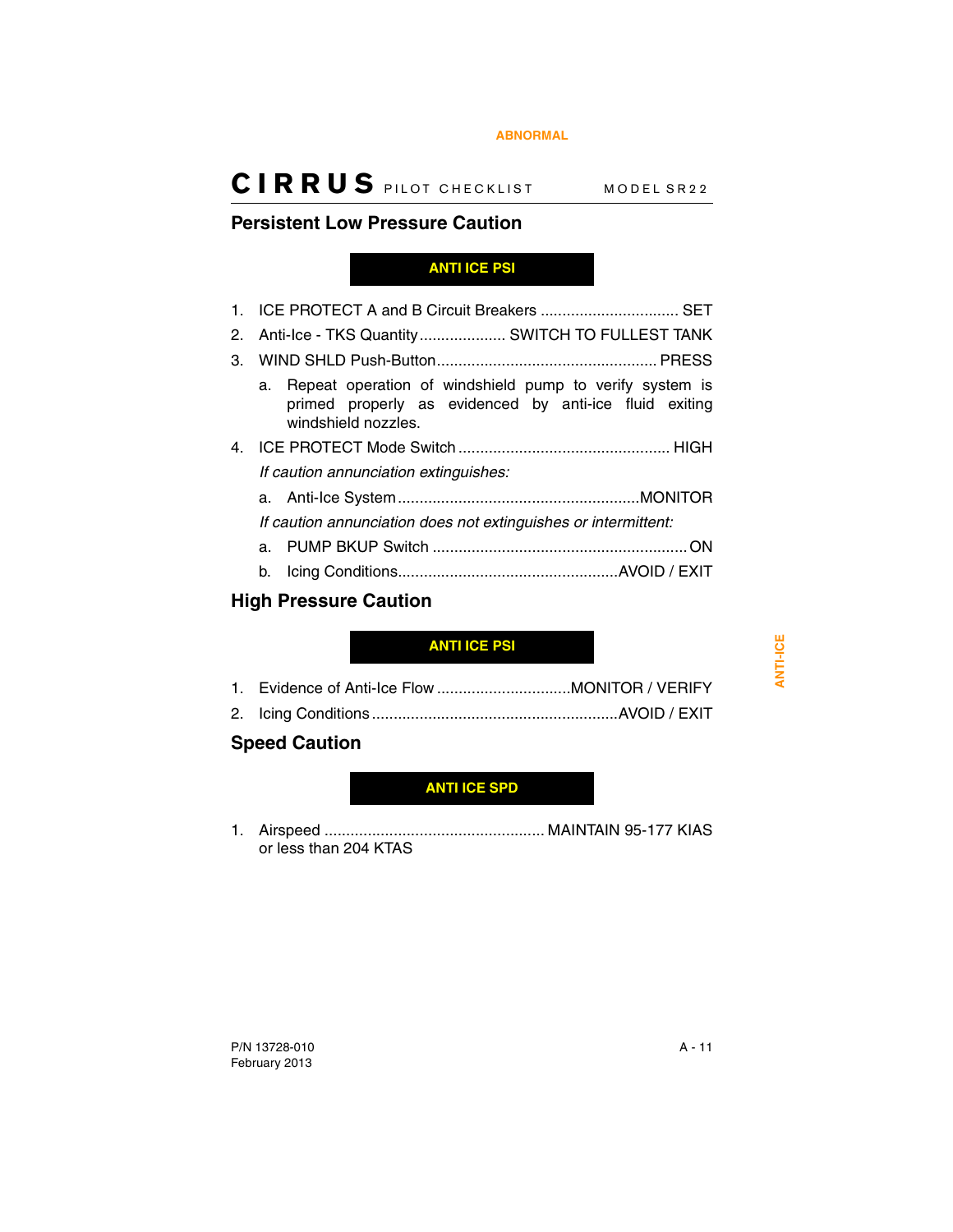### <span id="page-48-3"></span>**Persistent Low Pressure Caution**

### <span id="page-48-0"></span>**ANTI ICE PSI**

| 2. Anti-Ice - TKS Quantity  SWITCH TO FULLEST TANK                                                                                          |
|---------------------------------------------------------------------------------------------------------------------------------------------|
|                                                                                                                                             |
| a. Repeat operation of windshield pump to verify system is<br>primed properly as evidenced by anti-ice fluid exiting<br>windshield nozzles. |
|                                                                                                                                             |
| If caution annunciation extinguishes:                                                                                                       |
|                                                                                                                                             |
| If caution annunciation does not extinguishes or intermittent:                                                                              |
|                                                                                                                                             |
| b.                                                                                                                                          |

### <span id="page-48-4"></span>**High Pressure Caution**

### <span id="page-48-1"></span>**ANTI ICE PSI**

## <span id="page-48-5"></span>**Speed Caution**

### <span id="page-48-2"></span>**ANTI ICE SPD**

1. Airspeed ................................................... MAINTAIN 95-177 KIAS or less than 204 KTAS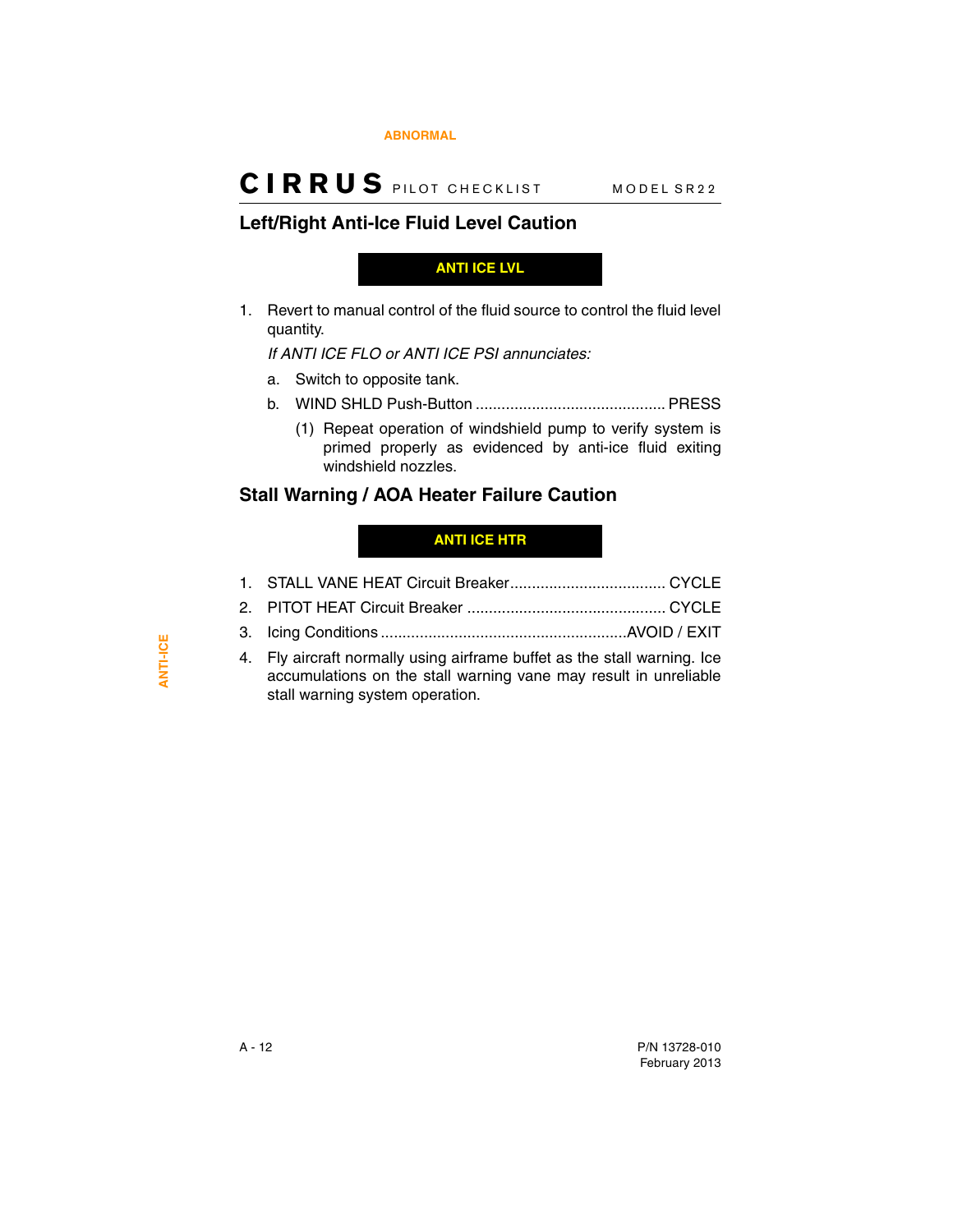### <span id="page-49-2"></span>**Left/Right Anti-Ice Fluid Level Caution**

<span id="page-49-0"></span>**ANTI ICE LVL**

1. Revert to manual control of the fluid source to control the fluid level quantity.

*If ANTI ICE FLO or ANTI ICE PSI annunciates:*

- a. Switch to opposite tank.
- b. WIND SHLD Push-Button ............................................ PRESS
	- (1) Repeat operation of windshield pump to verify system is primed properly as evidenced by anti-ice fluid exiting windshield nozzles.

### <span id="page-49-3"></span>**Stall Warning / AOA Heater Failure Caution**

### <span id="page-49-1"></span>**ANTI ICE HTR**

| 4. Fly aircraft normally using airframe buffet as the stall warning. Ice<br>accumulations on the stall warning vane may result in unreliable<br>stall warning system operation. |  |
|---------------------------------------------------------------------------------------------------------------------------------------------------------------------------------|--|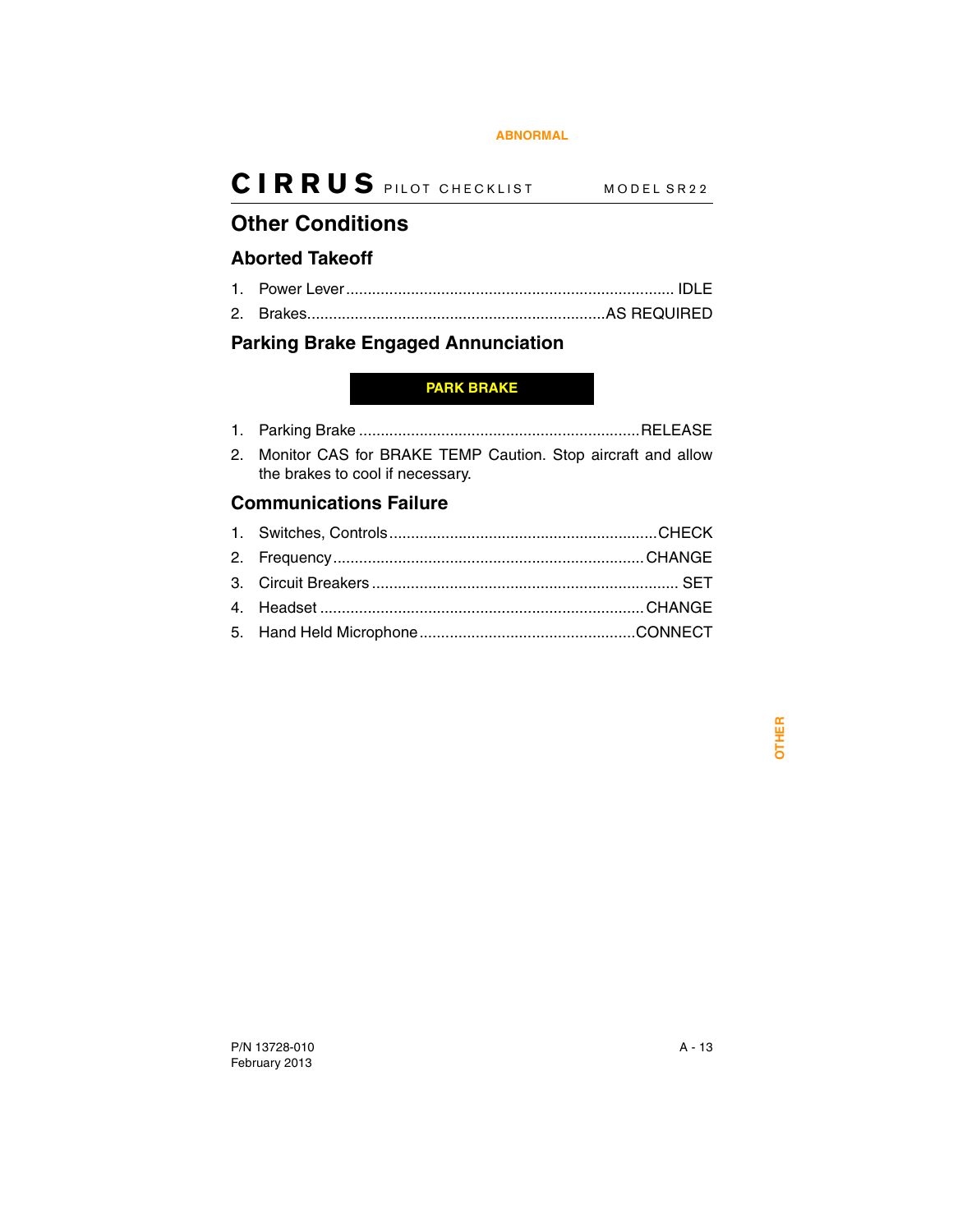## <span id="page-50-1"></span>**Other Conditions**

### <span id="page-50-2"></span>**Aborted Takeoff**

- 1. Power Lever............................................................................ IDLE
- 2. Brakes.....................................................................AS REQUIRED

### <span id="page-50-3"></span>**Parking Brake Engaged Annunciation**

### <span id="page-50-0"></span>**PARK BRAKE**

- 1. Parking Brake .................................................................RELEASE
- 2. Monitor CAS for BRAKE TEMP Caution. Stop aircraft and allow the brakes to cool if necessary.

### <span id="page-50-4"></span>**Communications Failure**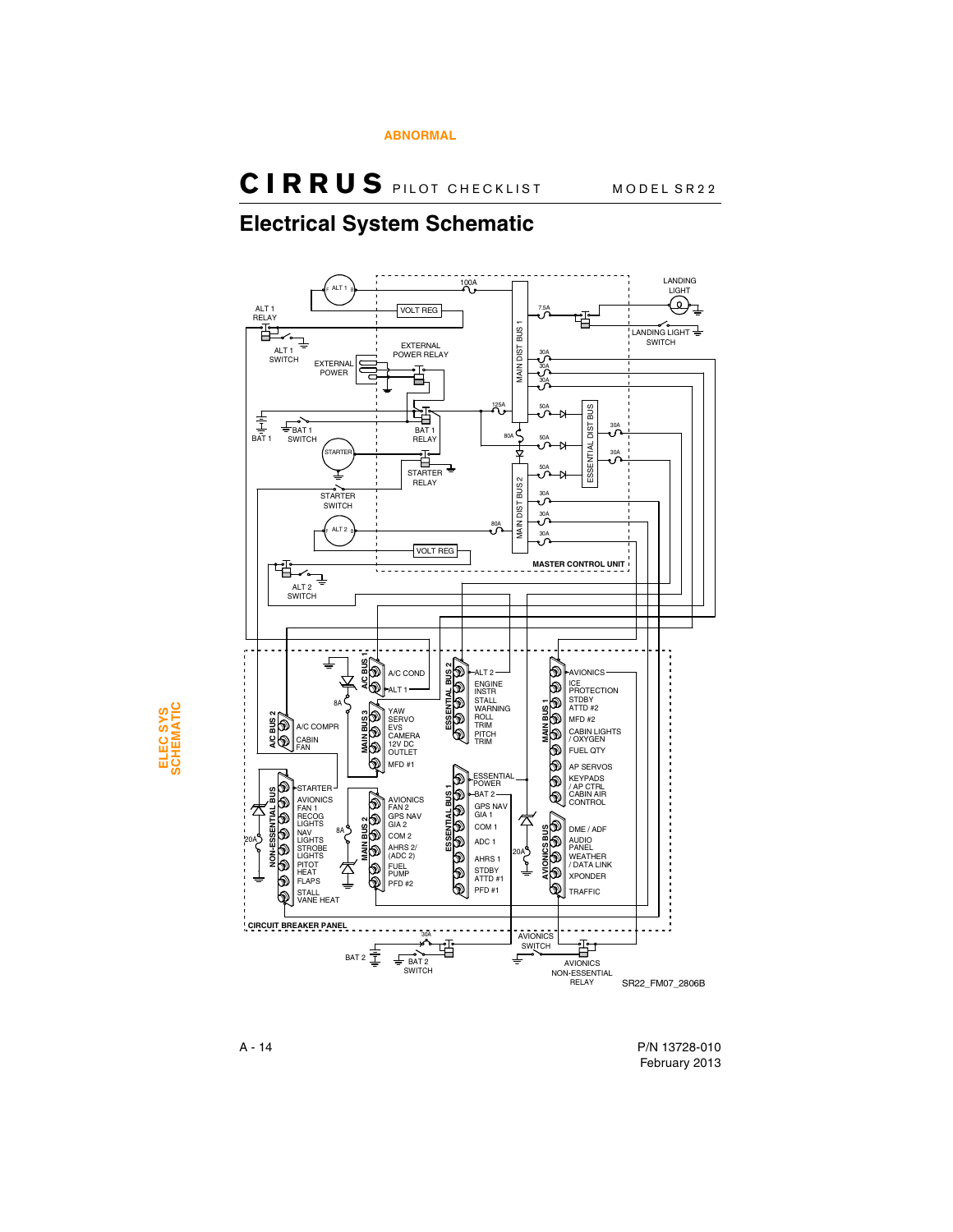## <span id="page-51-0"></span>**Electrical System Schematic**



A - 14 P/N 13728-010 February 2013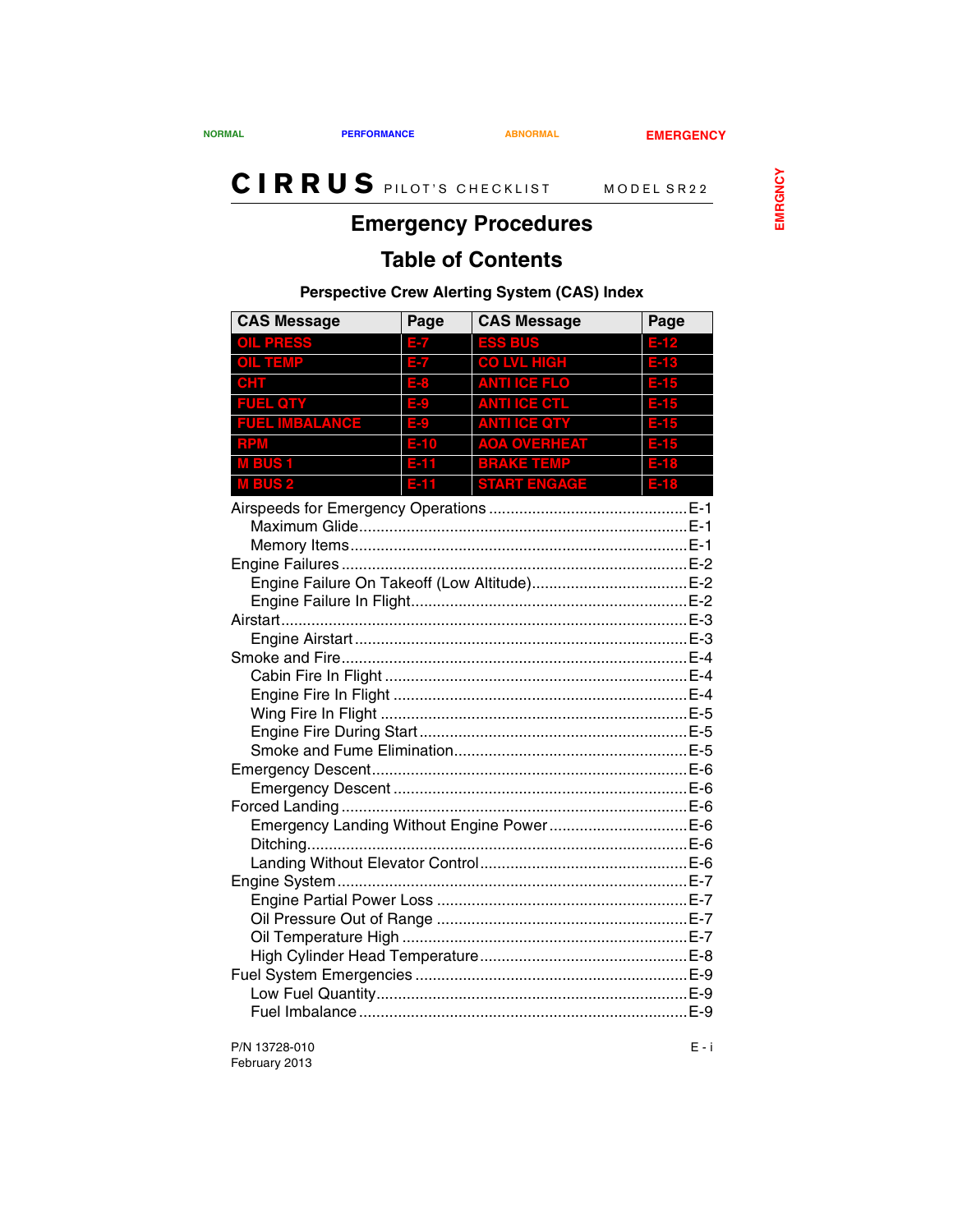## **Emergency Procedures**

## <span id="page-52-0"></span>**Table of Contents**

### **Perspective Crew Alerting System (CAS) Index**

| <b>CAS Message</b>                        | Page   | <b>CAS Message</b>  | Page   |  |
|-------------------------------------------|--------|---------------------|--------|--|
| <b>OIL PRESS</b>                          | 37     | <b>ESS BUS</b>      | E-12   |  |
| <b>OIL TEMP</b>                           |        | <b>CO LVL HIGH</b>  |        |  |
| $\bullet$ HT $\quad$                      |        | <b>ANTI ICE FLO</b> |        |  |
| <b>FUEL QTY</b>                           | E      | <b>ANTI ICE CTL</b> |        |  |
| <b>FUEL IMBALANCE</b>                     | E(0)   | <b>ANTI ICE QTY</b> | $E-15$ |  |
| <b>RPM</b>                                | $E-10$ | <b>AOA OVERHEAT</b> | $E-15$ |  |
| <b>MBUS1</b>                              |        | <b>BRAKE TEMP</b>   |        |  |
| <b>MBUS2</b>                              | E-11   | <b>START ENGAGE</b> |        |  |
|                                           |        |                     |        |  |
|                                           |        |                     |        |  |
|                                           |        |                     |        |  |
|                                           |        |                     |        |  |
|                                           |        |                     |        |  |
|                                           |        |                     |        |  |
|                                           |        |                     |        |  |
|                                           |        |                     |        |  |
|                                           |        |                     |        |  |
|                                           |        |                     |        |  |
|                                           |        |                     |        |  |
|                                           |        |                     |        |  |
|                                           |        |                     |        |  |
|                                           |        |                     |        |  |
|                                           |        |                     |        |  |
|                                           |        |                     |        |  |
|                                           |        |                     |        |  |
| Emergency Landing Without Engine PowerE-6 |        |                     |        |  |
|                                           |        |                     |        |  |
|                                           |        |                     |        |  |
|                                           |        |                     |        |  |
|                                           |        |                     |        |  |
|                                           |        |                     |        |  |
|                                           |        |                     |        |  |
|                                           |        |                     |        |  |
|                                           |        |                     |        |  |
|                                           |        |                     |        |  |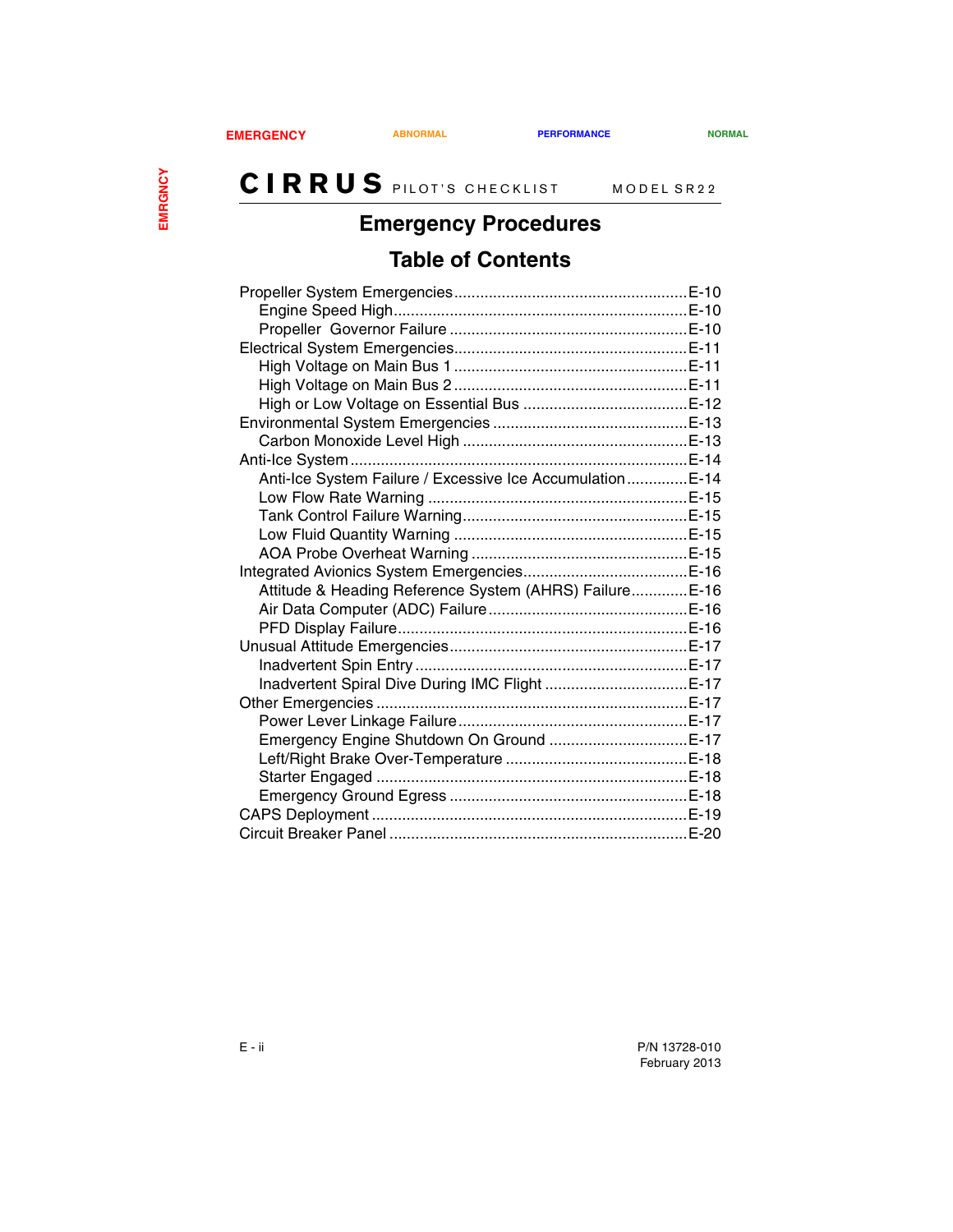## **Emergency Procedures**

## **Table of Contents**

| Anti-Ice System Failure / Excessive Ice Accumulation E-14 |  |
|-----------------------------------------------------------|--|
|                                                           |  |
|                                                           |  |
|                                                           |  |
|                                                           |  |
|                                                           |  |
| Attitude & Heading Reference System (AHRS) Failure E-16   |  |
|                                                           |  |
|                                                           |  |
|                                                           |  |
|                                                           |  |
| Inadvertent Spiral Dive During IMC Flight E-17            |  |
|                                                           |  |
|                                                           |  |
|                                                           |  |
|                                                           |  |
|                                                           |  |
|                                                           |  |
|                                                           |  |
|                                                           |  |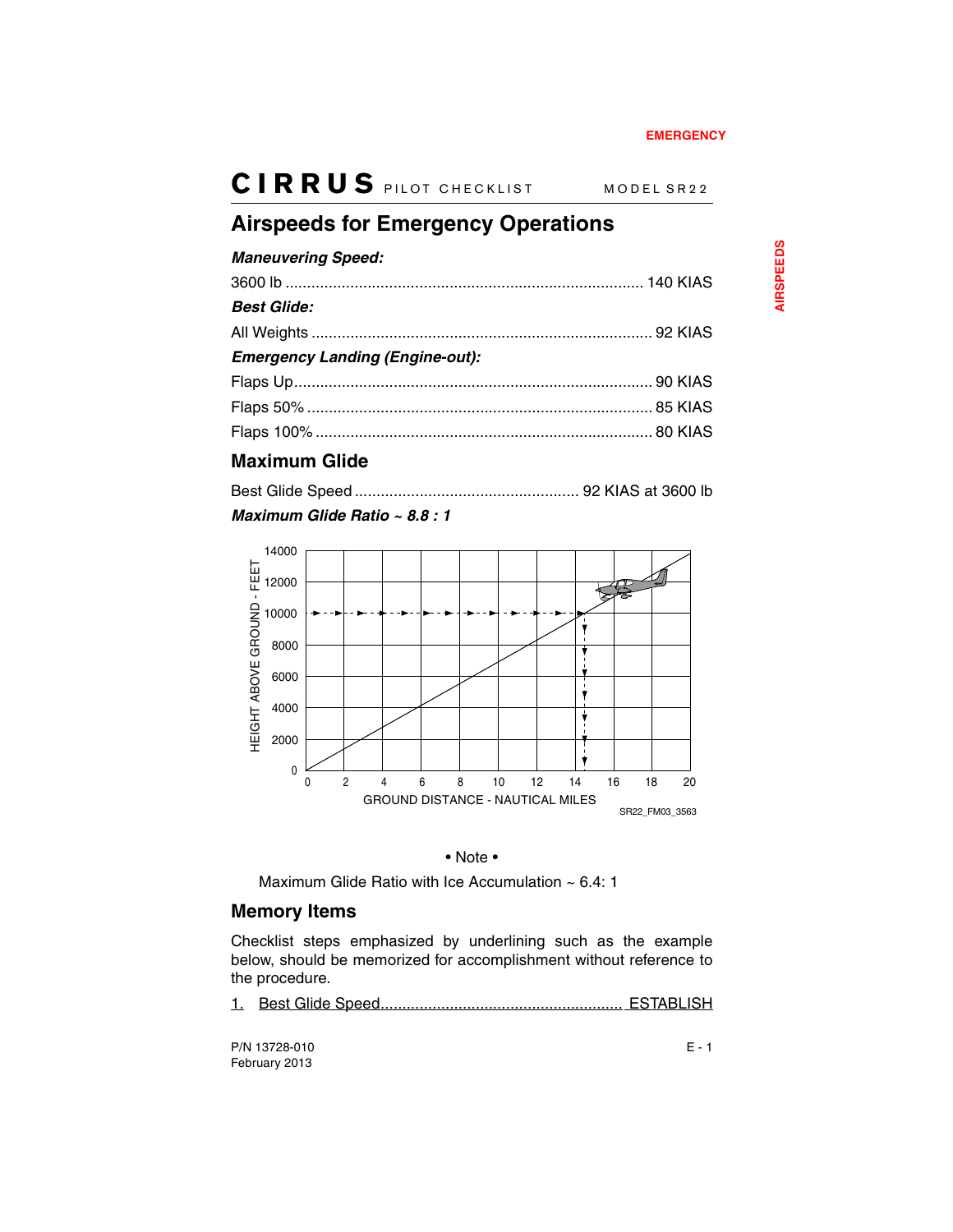## <span id="page-54-0"></span>**Airspeeds for Emergency Operations**

#### *Maneuvering Speed:*

| <b>Best Glide:</b>                     |  |
|----------------------------------------|--|
|                                        |  |
| <b>Emergency Landing (Engine-out):</b> |  |
|                                        |  |
|                                        |  |
|                                        |  |
|                                        |  |

### <span id="page-54-1"></span>**Maximum Glide**

### *Maximum Glide Ratio ~ 8.8 : 1*



#### • Note •

Maximum Glide Ratio with Ice Accumulation ~ 6.4: 1

### <span id="page-54-2"></span>**Memory Items**

Checklist steps emphasized by underlining such as the example below, should be memorized for accomplishment without reference to the procedure.

1. Best Glide Speed........................................................ ESTABLISH

P/N 13728-010 E - 1 February 2013

**AIRSPEEDS AIRSPEEDS**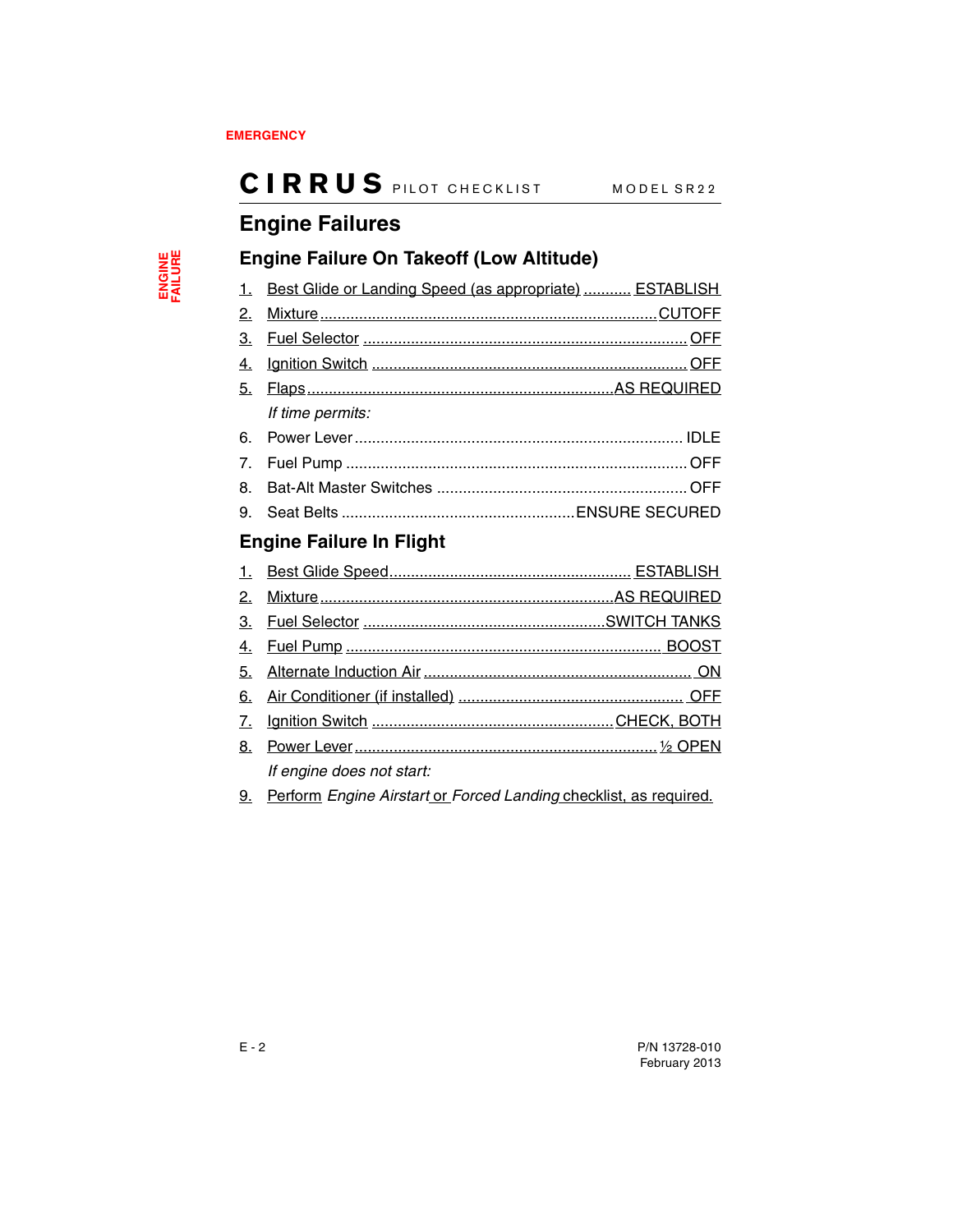## <span id="page-55-0"></span>**Engine Failures**

### <span id="page-55-1"></span>**Engine Failure On Takeoff (Low Altitude)**

| 1. Best Glide or Landing Speed (as appropriate)  ESTABLISH |  |
|------------------------------------------------------------|--|
|                                                            |  |
|                                                            |  |
|                                                            |  |
|                                                            |  |
| If time permits:                                           |  |
|                                                            |  |
|                                                            |  |
|                                                            |  |
|                                                            |  |

## <span id="page-55-2"></span>**Engine Failure In Flight**

| 2. |                           |  |
|----|---------------------------|--|
|    |                           |  |
|    |                           |  |
|    |                           |  |
|    |                           |  |
| 7. |                           |  |
| 8. |                           |  |
|    | If engine does not start: |  |

9. Perform *Engine Airstart* or *Forced Landing* checklist, as required.

ENGINE<br>FAILURE **ENGINE FAILURE**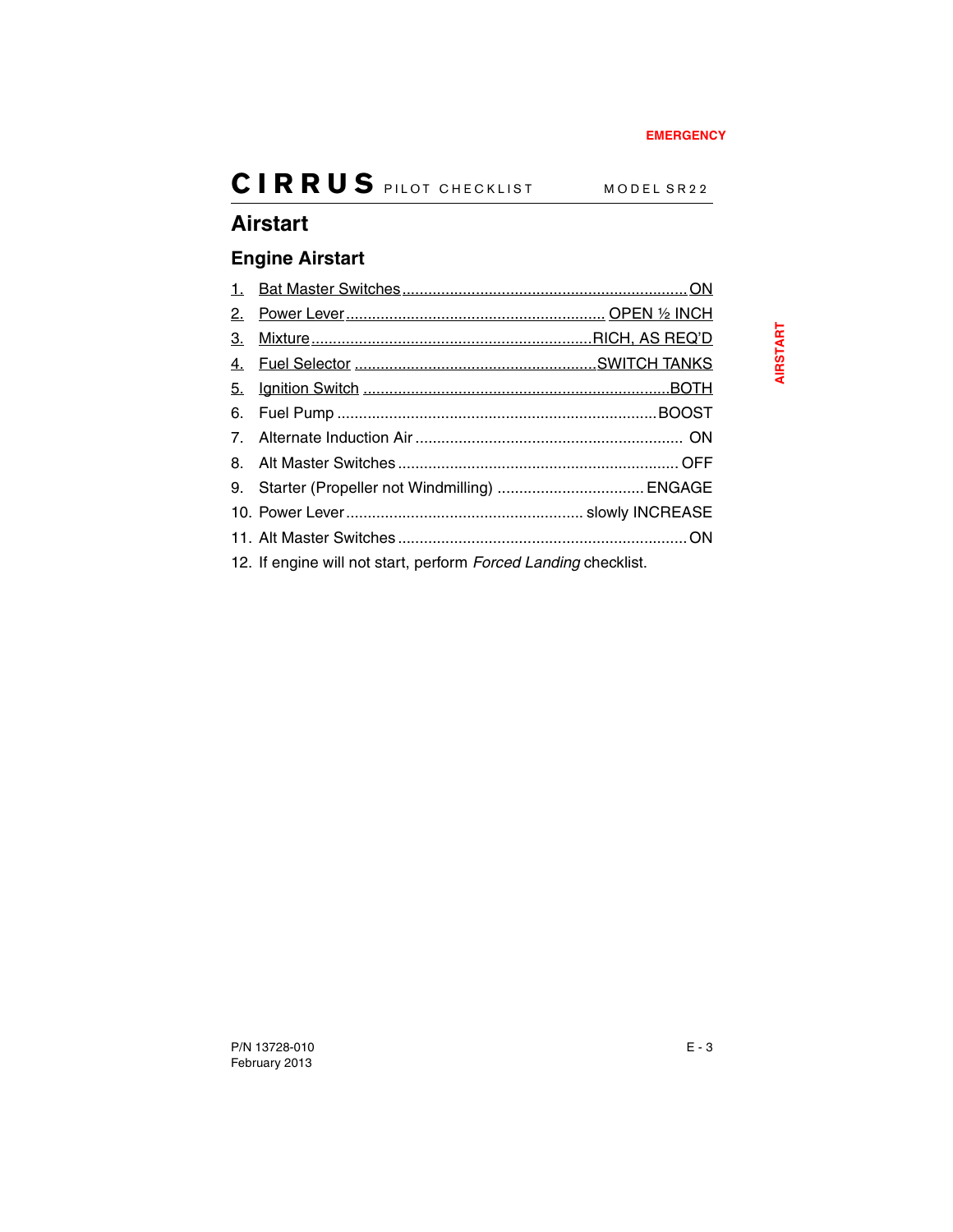## <span id="page-56-0"></span>**Airstart**

## <span id="page-56-1"></span>**Engine Airstart**

| 2. |                                                                 |  |
|----|-----------------------------------------------------------------|--|
| 3. |                                                                 |  |
|    |                                                                 |  |
|    |                                                                 |  |
|    |                                                                 |  |
|    |                                                                 |  |
|    |                                                                 |  |
|    |                                                                 |  |
|    |                                                                 |  |
|    |                                                                 |  |
|    | 12. If engine will not start, perform Forced Landing checklist. |  |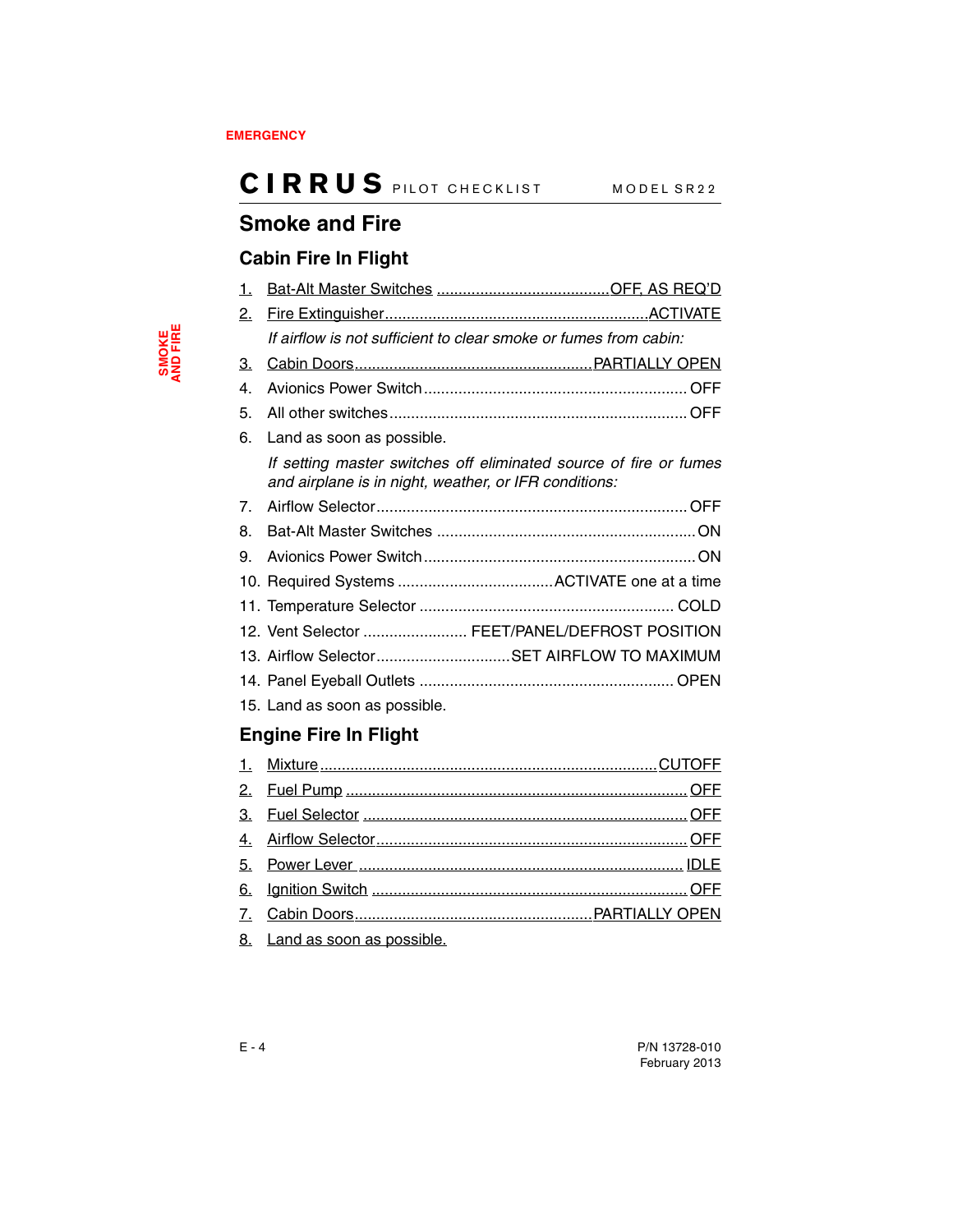## <span id="page-57-0"></span>**Smoke and Fire**

### <span id="page-57-1"></span>**Cabin Fire In Flight**

| 1.             |                                                                                                                            |
|----------------|----------------------------------------------------------------------------------------------------------------------------|
| 2.             |                                                                                                                            |
|                | If airflow is not sufficient to clear smoke or fumes from cabin:                                                           |
| <u>3.</u>      |                                                                                                                            |
| 4.             |                                                                                                                            |
| 5.             |                                                                                                                            |
| 6.             | Land as soon as possible.                                                                                                  |
|                | If setting master switches off eliminated source of fire or fumes<br>and airplane is in night, weather, or IFR conditions: |
| 7 <sub>1</sub> |                                                                                                                            |
| 8.             |                                                                                                                            |
| 9.             |                                                                                                                            |
|                |                                                                                                                            |
|                |                                                                                                                            |
|                | 12. Vent Selector  FEET/PANEL/DEFROST POSITION                                                                             |
|                | 13. Airflow SelectorSET AIRFLOW TO MAXIMUM                                                                                 |
|                |                                                                                                                            |
|                | 15. Land as soon as possible.                                                                                              |

## <span id="page-57-2"></span>**Engine Fire In Flight**

| $\theta$ . I could not a contract to contract the latter |
|----------------------------------------------------------|

8. Land as soon as possible.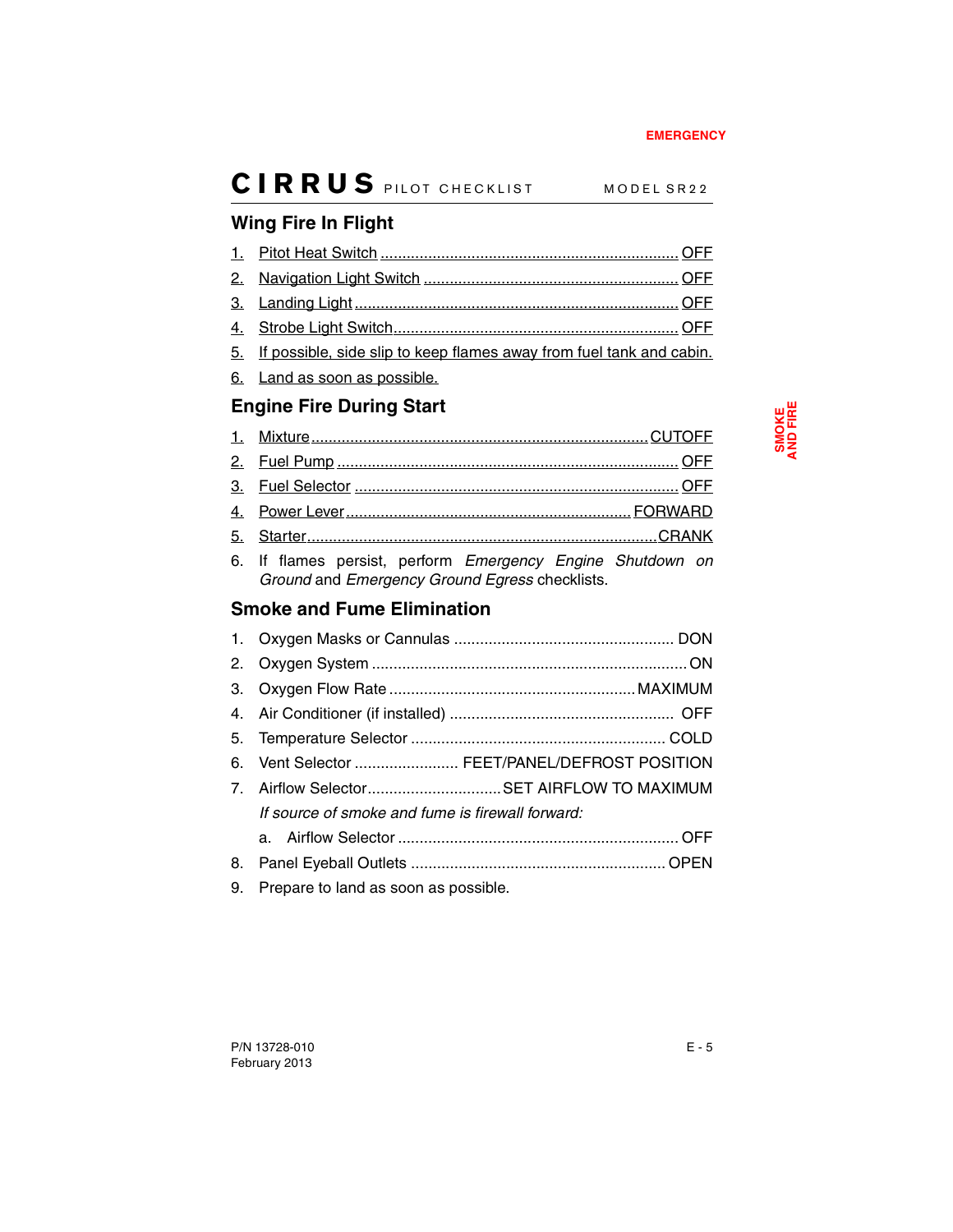## <span id="page-58-0"></span>**Wing Fire In Flight**

| 5. If possible, side slip to keep flames away from fuel tank and cabin. |  |
|-------------------------------------------------------------------------|--|

6. Land as soon as possible.

## <span id="page-58-1"></span>**Engine Fire During Start**

| 6. If flames persist perform Emergency Engine Shutdown on |
|-----------------------------------------------------------|

6. If flames persist, perform *Emergency Engine Shutdown on Ground* and *Emergency Ground Egress* checklists.

## <span id="page-58-2"></span>**Smoke and Fume Elimination**

|                | 6. Vent Selector  FEET/PANEL/DEFROST POSITION    |  |
|----------------|--------------------------------------------------|--|
| 7 <sub>1</sub> | Airflow SelectorSET AIRFLOW TO MAXIMUM           |  |
|                | If source of smoke and fume is firewall forward: |  |
|                |                                                  |  |
| 8.             |                                                  |  |
| 9.             | Prepare to land as soon as possible.             |  |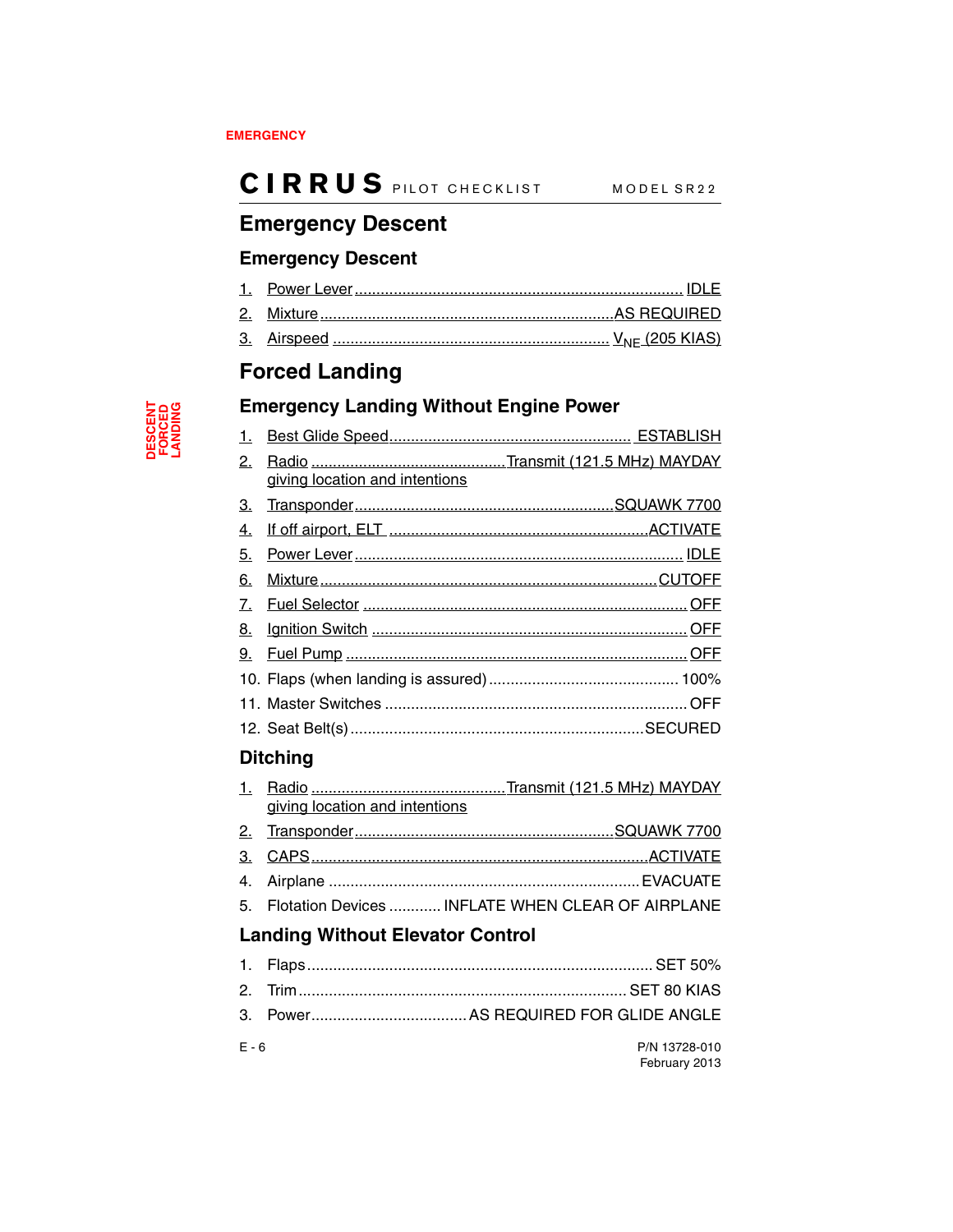## <span id="page-59-0"></span>**Emergency Descent**

### <span id="page-59-1"></span>**Emergency Descent**

## <span id="page-59-2"></span>**Forced Landing**

### <span id="page-59-3"></span>**Emergency Landing Without Engine Power**

| 2. | giving location and intentions |  |
|----|--------------------------------|--|
|    |                                |  |
| 3. |                                |  |
| 4. |                                |  |
| 5. |                                |  |
| 6. |                                |  |
| 7. |                                |  |
| 8. |                                |  |
|    |                                |  |
|    |                                |  |
|    |                                |  |
|    |                                |  |
|    | <b>Ditching</b>                |  |

## <span id="page-59-4"></span>1. Radio .............................................Transmit (121.5 MHz) MAYDAY giving location and intentions 2. Transponder............................................................SQUAWK 7700 3. CAPS..............................................................................ACTIVATE 4. Airplane ........................................................................EVACUATE 5. Flotation Devices ............ INFLATE WHEN CLEAR OF AIRPLANE

### <span id="page-59-5"></span>**Landing Without Elevator Control**

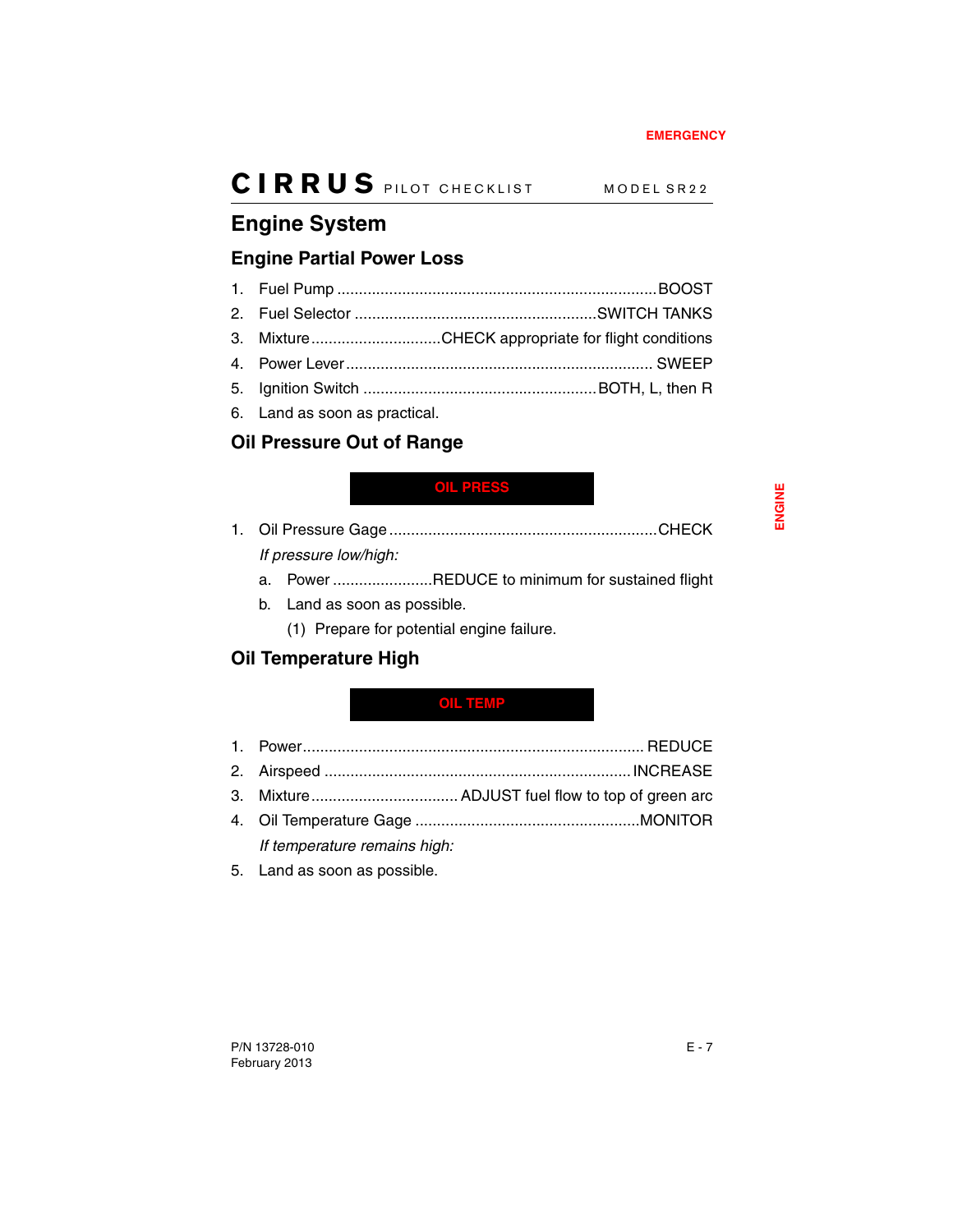## <span id="page-60-0"></span>**Engine System**

## <span id="page-60-1"></span>**Engine Partial Power Loss**

|  | 3. MixtureCHECK appropriate for flight conditions |
|--|---------------------------------------------------|
|  |                                                   |
|  |                                                   |
|  |                                                   |

6. Land as soon as practical.

## <span id="page-60-2"></span>**Oil Pressure Out of Range**

### <span id="page-60-5"></span>**OIL PRESS**

- 1. Oil Pressure Gage ..............................................................CHECK *If pressure low/high:*
	- a. Power .......................REDUCE to minimum for sustained flight
	- b. Land as soon as possible.
		- (1) Prepare for potential engine failure.

## <span id="page-60-3"></span>**Oil Temperature High**

### <span id="page-60-4"></span>**OIL TEMP**

1. Power............................................................................... REDUCE 2. Airspeed .......................................................................INCREASE 3. Mixture.................................. ADJUST fuel flow to top of green arc 4. Oil Temperature Gage ....................................................MONITOR

*If temperature remains high:*

5. Land as soon as possible.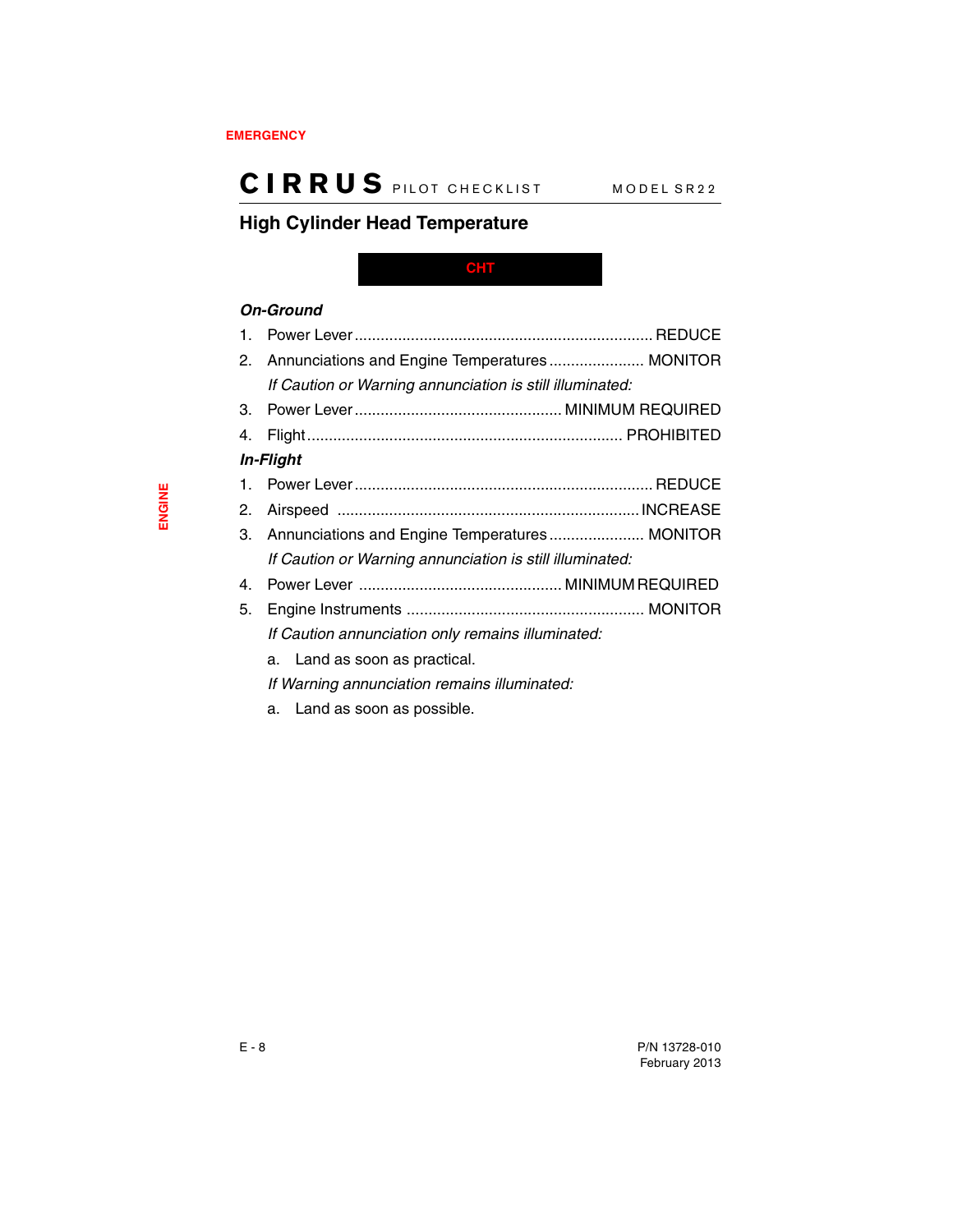## <span id="page-61-0"></span>**High Cylinder Head Temperature**

<span id="page-61-1"></span>**CHT**

### *On-Ground*

| $\mathbf{1}$ . |                                                          |  |
|----------------|----------------------------------------------------------|--|
| 2.             | Annunciations and Engine Temperatures MONITOR            |  |
|                | If Caution or Warning annunciation is still illuminated: |  |
| 3.             |                                                          |  |
| 4.             |                                                          |  |
|                | <b>In-Flight</b>                                         |  |
|                |                                                          |  |
| 2.             |                                                          |  |
|                | 3. Annunciations and Engine Temperatures MONITOR         |  |
|                | If Caution or Warning annunciation is still illuminated: |  |
| 4.             |                                                          |  |
| 5.             |                                                          |  |
|                | If Caution annunciation only remains illuminated:        |  |
|                | a. Land as soon as practical.                            |  |
|                | If Warning annunciation remains illuminated:             |  |
|                | a. Land as soon as possible.                             |  |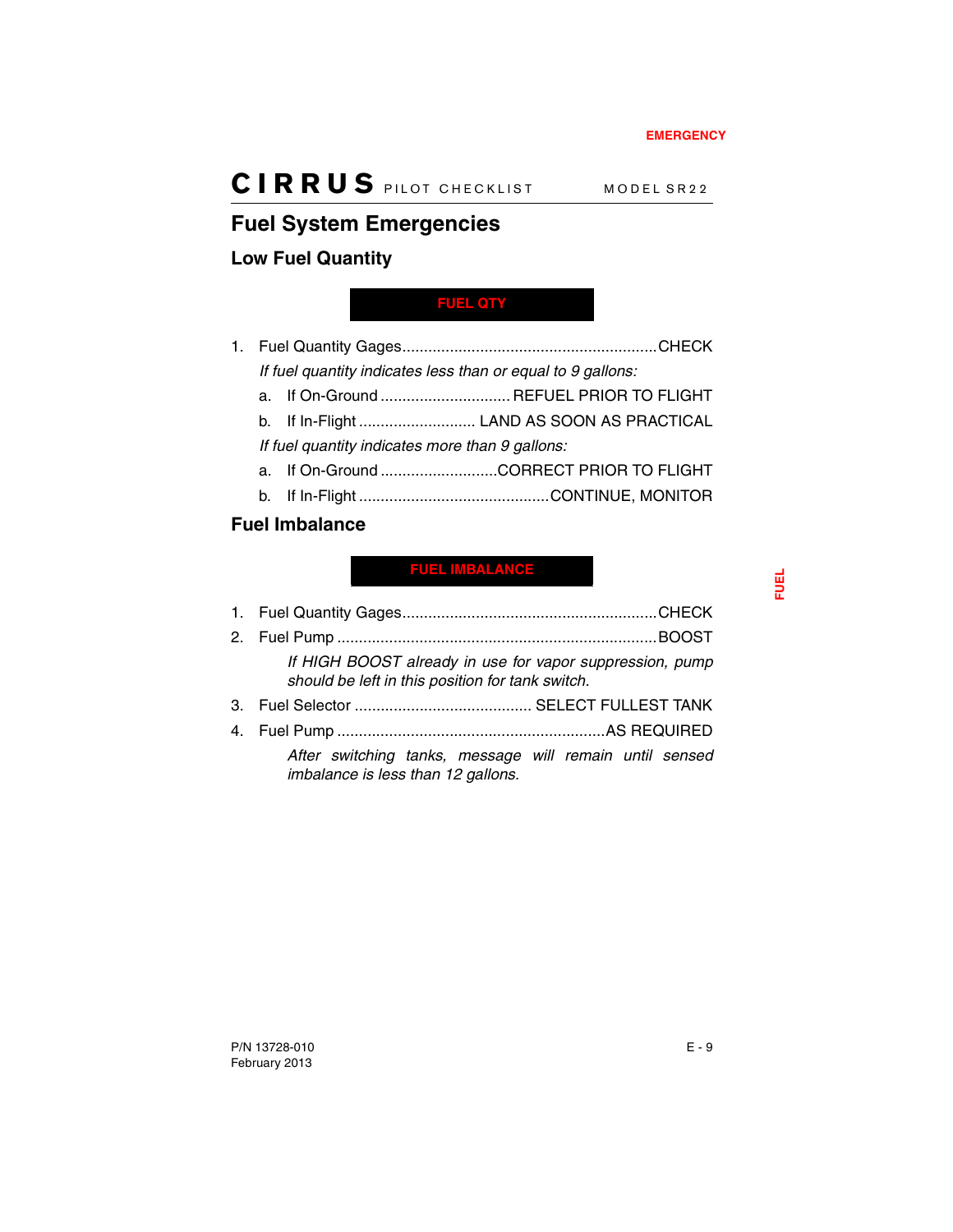## <span id="page-62-0"></span>**Fuel System Emergencies**

### <span id="page-62-1"></span>**Low Fuel Quantity**

### <span id="page-62-3"></span>**FUEL QTY**

- 1. Fuel Quantity Gages...........................................................CHECK *If fuel quantity indicates less than or equal to 9 gallons:*
	- a. If On-Ground .............................. REFUEL PRIOR TO FLIGHT
	- b. If In-Flight ........................... LAND AS SOON AS PRACTICAL

*If fuel quantity indicates more than 9 gallons:*

- a. If On-Ground ...........................CORRECT PRIOR TO FLIGHT
- b. If In-Flight ............................................CONTINUE, MONITOR

### <span id="page-62-2"></span>**Fuel Imbalance**

### <span id="page-62-4"></span>**FUEL IMBALANCE**

| If HIGH BOOST already in use for vapor suppression, pump<br>should be left in this position for tank switch. |
|--------------------------------------------------------------------------------------------------------------|
|                                                                                                              |
|                                                                                                              |
| After switching tanks, mossage will remain until sensed                                                      |

*After switching tanks, message will remain until sensed imbalance is less than 12 gallons.*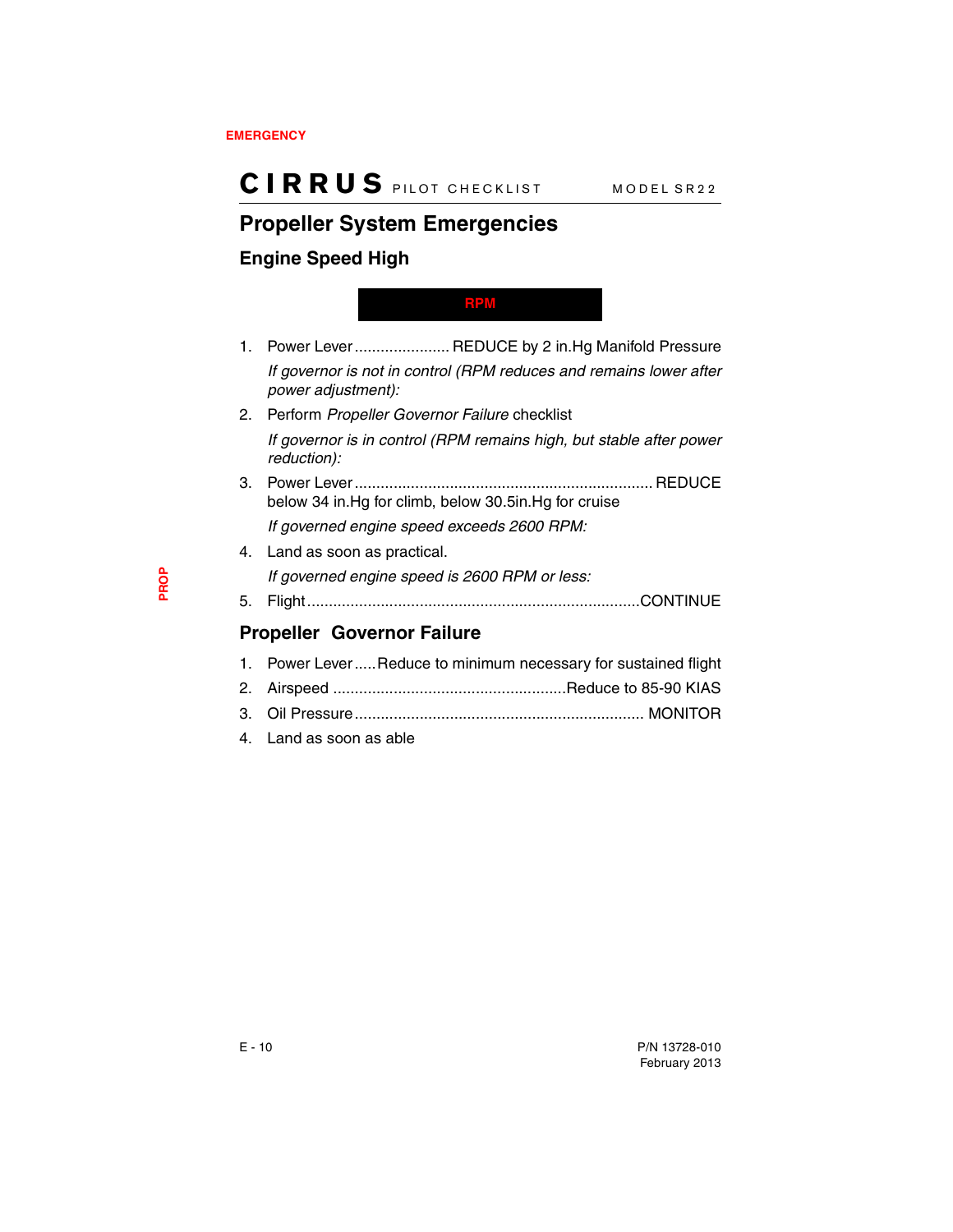## <span id="page-63-1"></span>**Propeller System Emergencies**

### <span id="page-63-2"></span>**Engine Speed High**

#### <span id="page-63-0"></span>**RPM**

- 1. Power Lever...................... REDUCE by 2 in.Hg Manifold Pressure *If governor is not in control (RPM reduces and remains lower after power adjustment):*
- 2. Perform *Propeller Governor Failure* checklist *If governor is in control (RPM remains high, but stable after power reduction):*
- 3. Power Lever..................................................................... REDUCE below 34 in.Hg for climb, below 30.5in.Hg for cruise *If governed engine speed exceeds 2600 RPM:*
- 4. Land as soon as practical. *If governed engine speed is 2600 RPM or less:*
- 5. Flight.............................................................................CONTINUE

### <span id="page-63-3"></span>**Propeller Governor Failure**

| الملماء ومستوجب ومساحيه المناسبة                                |
|-----------------------------------------------------------------|
|                                                                 |
|                                                                 |
| 1. Power Lever Reduce to minimum necessary for sustained flight |

4. Land as soon as able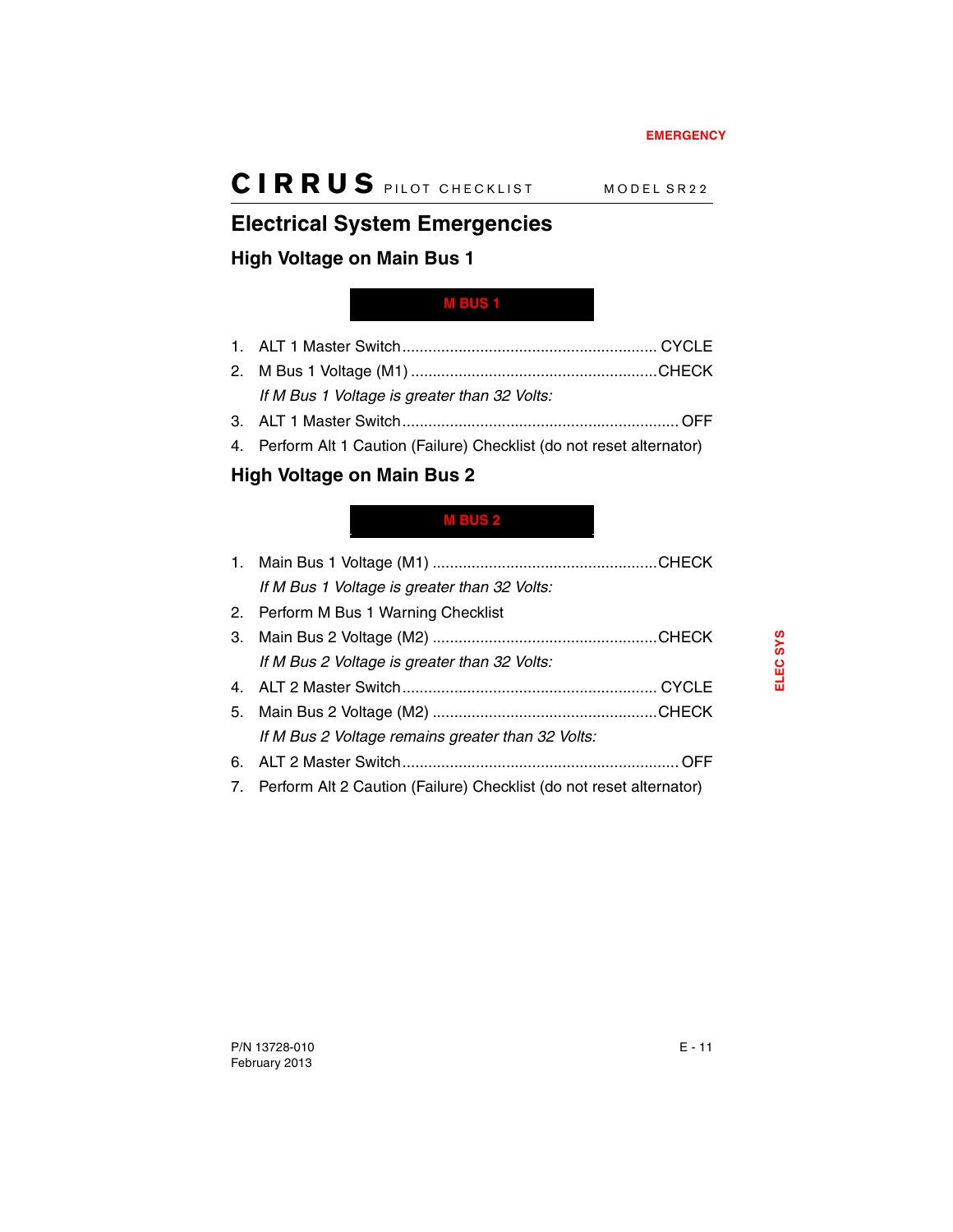## <span id="page-64-2"></span>**Electrical System Emergencies**

### <span id="page-64-3"></span>**High Voltage on Main Bus 1**

### <span id="page-64-0"></span>**M BUS 1**

- 1. ALT 1 Master Switch........................................................... CYCLE 2. M Bus 1 Voltage (M1) .........................................................CHECK *If M Bus 1 Voltage is greater than 32 Volts:*
- 3. ALT 1 Master Switch................................................................ OFF
- 4. Perform Alt 1 Caution (Failure) Checklist (do not reset alternator)

## <span id="page-64-4"></span>**High Voltage on Main Bus 2**

### <span id="page-64-1"></span>**M BUS 2**

| If M Bus 1 Voltage is greater than 32 Volts:                           |  |
|------------------------------------------------------------------------|--|
| 2. Perform M Bus 1 Warning Checklist                                   |  |
|                                                                        |  |
| If M Bus 2 Voltage is greater than 32 Volts:                           |  |
|                                                                        |  |
|                                                                        |  |
| If M Bus 2 Voltage remains greater than 32 Volts:                      |  |
|                                                                        |  |
| 7. Perform Alt 2 Caution (Failure) Checklist (do not reset alternator) |  |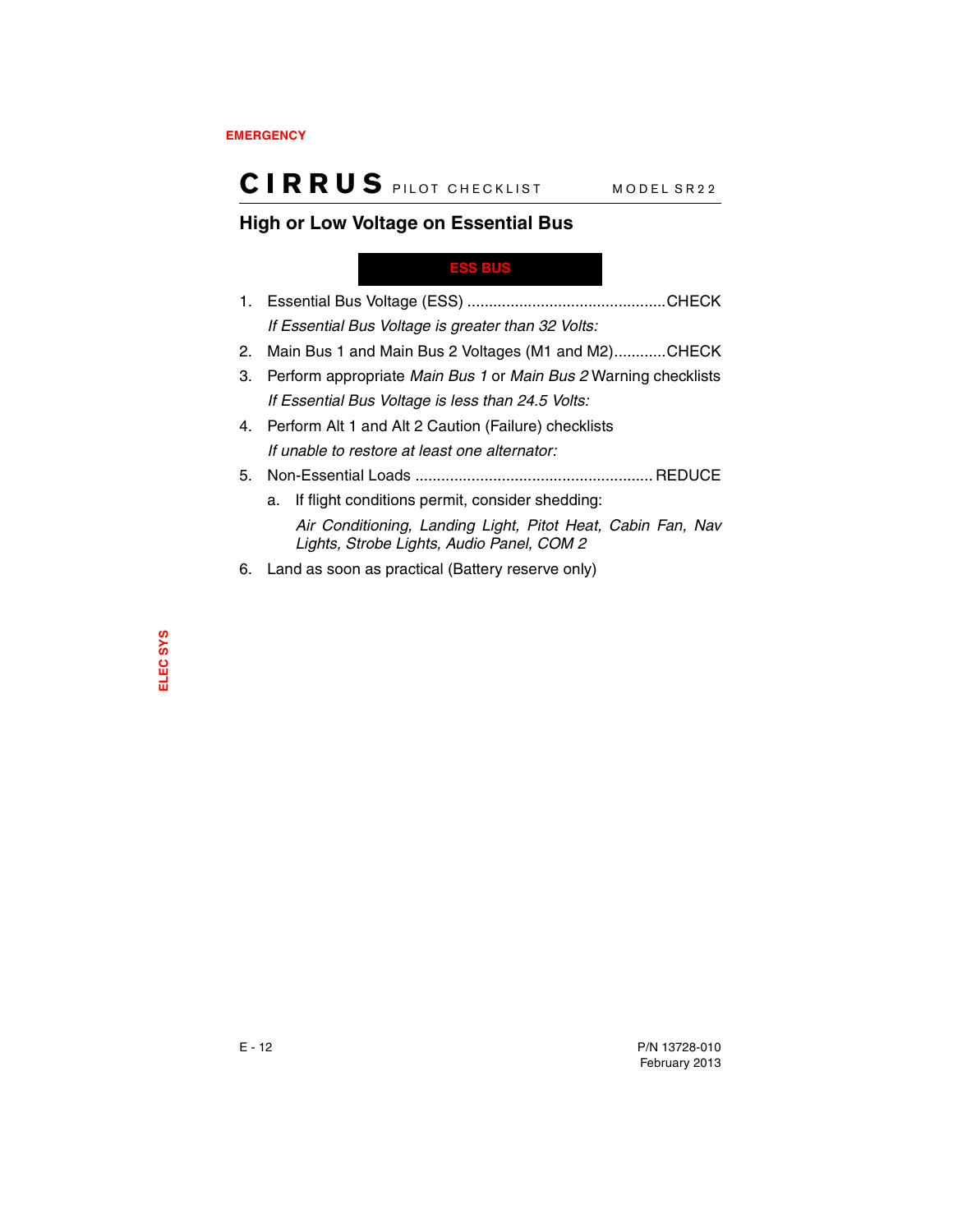### <span id="page-65-1"></span>**High or Low Voltage on Essential Bus**

#### <span id="page-65-0"></span>**ESS BUS**

- 1. Essential Bus Voltage (ESS) ..............................................CHECK *If Essential Bus Voltage is greater than 32 Volts:*
- 2. Main Bus 1 and Main Bus 2 Voltages (M1 and M2)............CHECK
- 3. Perform appropriate *Main Bus 1* or *Main Bus 2* Warning checklists *If Essential Bus Voltage is less than 24.5 Volts:*
- 4. Perform Alt 1 and Alt 2 Caution (Failure) checklists *If unable to restore at least one alternator:*
- 5. Non-Essential Loads ....................................................... REDUCE
	- a. If flight conditions permit, consider shedding: *Air Conditioning, Landing Light, Pitot Heat, Cabin Fan, Nav Lights, Strobe Lights, Audio Panel, COM 2*
- 6. Land as soon as practical (Battery reserve only)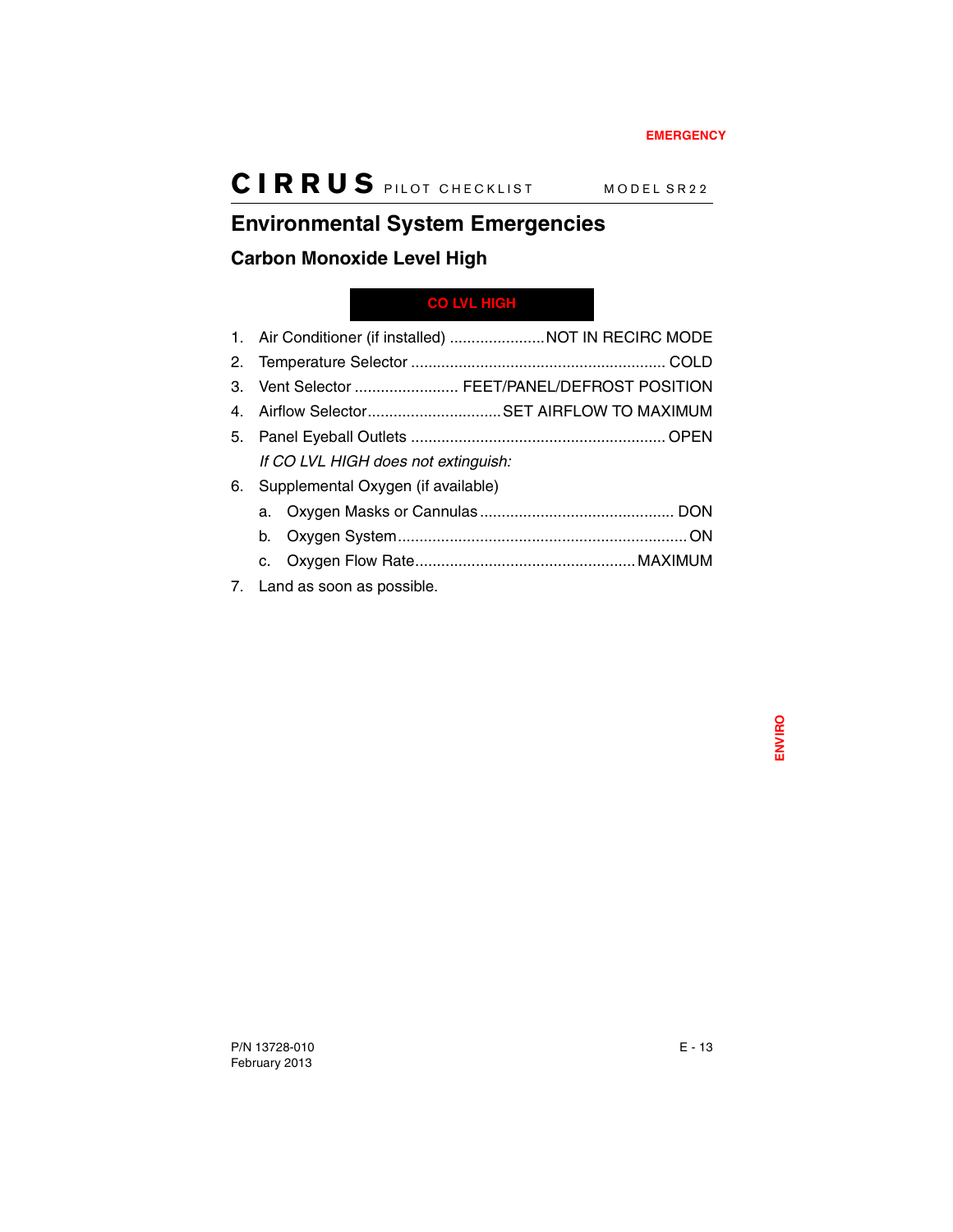## <span id="page-66-1"></span>**Environmental System Emergencies**

### <span id="page-66-2"></span>**Carbon Monoxide Level High**

### <span id="page-66-0"></span>**CO LVL HIGH**

|    |                                       | 1. Air Conditioner (if installed) NOT IN RECIRC MODE |
|----|---------------------------------------|------------------------------------------------------|
|    |                                       |                                                      |
|    |                                       | 3. Vent Selector  FEET/PANEL/DEFROST POSITION        |
|    |                                       | 4. Airflow SelectorSET AIRFLOW TO MAXIMUM            |
|    |                                       |                                                      |
|    | If CO LVL HIGH does not extinguish:   |                                                      |
|    | 6. Supplemental Oxygen (if available) |                                                      |
|    |                                       |                                                      |
| b. |                                       |                                                      |
|    |                                       |                                                      |
|    | 7. Land as soon as possible.          |                                                      |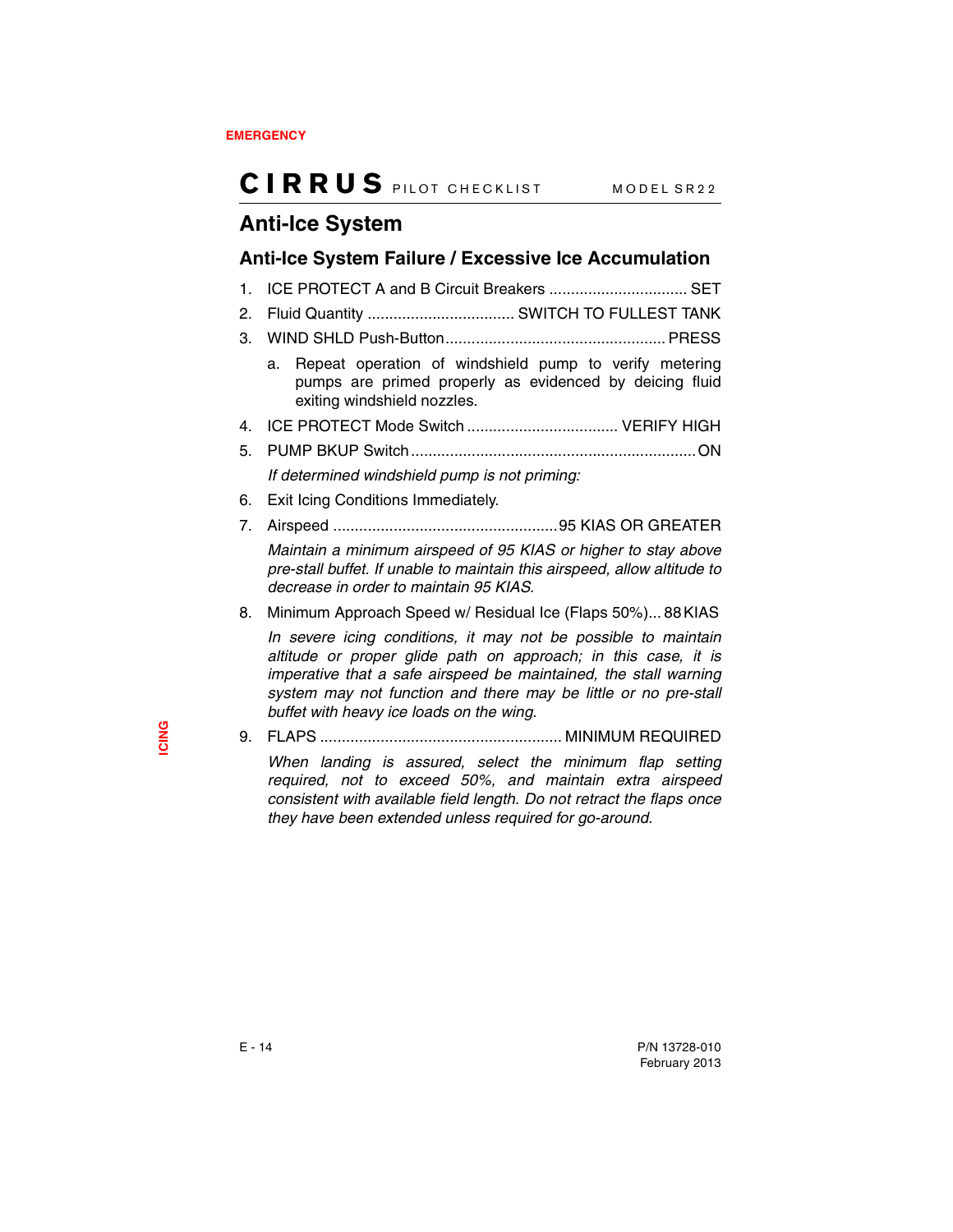## <span id="page-67-0"></span>**Anti-Ice System**

### <span id="page-67-1"></span>**Anti-Ice System Failure / Excessive Ice Accumulation**

1. ICE PROTECT A and B Circuit Breakers ................................ SET 2. Fluid Quantity .................................. SWITCH TO FULLEST TANK 3. WIND SHLD Push-Button................................................... PRESS a. Repeat operation of windshield pump to verify metering pumps are primed properly as evidenced by deicing fluid exiting windshield nozzles. 4. ICE PROTECT Mode Switch ................................... VERIFY HIGH 5. PUMP BKUP Switch..................................................................ON *If determined windshield pump is not priming:* 6. Exit Icing Conditions Immediately. 7. Airspeed ....................................................95 KIAS OR GREATER *Maintain a minimum airspeed of 95 KIAS or higher to stay above pre-stall buffet. If unable to maintain this airspeed, allow altitude to decrease in order to maintain 95 KIAS.* 8. Minimum Approach Speed w/ Residual Ice (Flaps 50%)... 88 KIAS *In severe icing conditions, it may not be possible to maintain*

*altitude or proper glide path on approach; in this case, it is imperative that a safe airspeed be maintained, the stall warning system may not function and there may be little or no pre-stall buffet with heavy ice loads on the wing.*

9. FLAPS ........................................................ MINIMUM REQUIRED

*When landing is assured, select the minimum flap setting required, not to exceed 50%, and maintain extra airspeed consistent with available field length. Do not retract the flaps once they have been extended unless required for go-around.*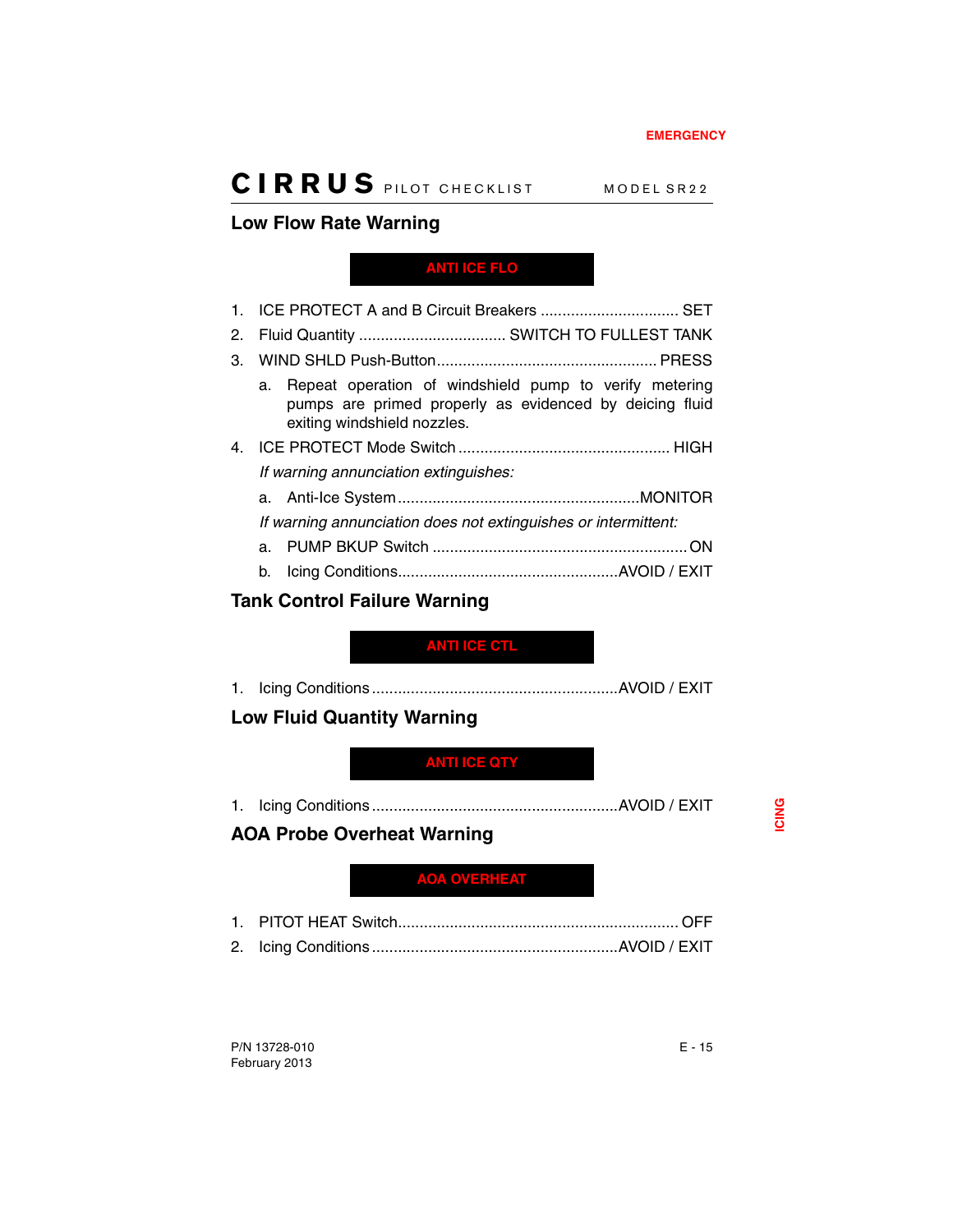### <span id="page-68-4"></span>**Low Flow Rate Warning**

<span id="page-68-0"></span>**ANTI ICE FLO**

|                | 1. ICE PROTECT A and B Circuit Breakers  SET                                                                                                           |
|----------------|--------------------------------------------------------------------------------------------------------------------------------------------------------|
| 2.             |                                                                                                                                                        |
| 3.             |                                                                                                                                                        |
|                | Repeat operation of windshield pump to verify metering<br>a.<br>pumps are primed properly as evidenced by deicing fluid<br>exiting windshield nozzles. |
| 4 <sup>1</sup> |                                                                                                                                                        |
|                | If warning annunciation extinguishes:                                                                                                                  |
|                |                                                                                                                                                        |
|                | If warning annunciation does not extinguishes or intermittent:                                                                                         |
|                |                                                                                                                                                        |
|                |                                                                                                                                                        |

### <span id="page-68-5"></span>**Tank Control Failure Warning**

### <span id="page-68-3"></span>**ANTI ICE CTL**

1. Icing Conditions.........................................................AVOID / EXIT

### <span id="page-68-6"></span>**Low Fluid Quantity Warning**

### <span id="page-68-1"></span>**ANTI ICE QTY**

1. Icing Conditions.........................................................AVOID / EXIT

### <span id="page-68-7"></span>**AOA Probe Overheat Warning**

### <span id="page-68-2"></span>**AOA OVERHEAT**

1. PITOT HEAT Switch................................................................. OFF 2. Icing Conditions.........................................................AVOID / EXIT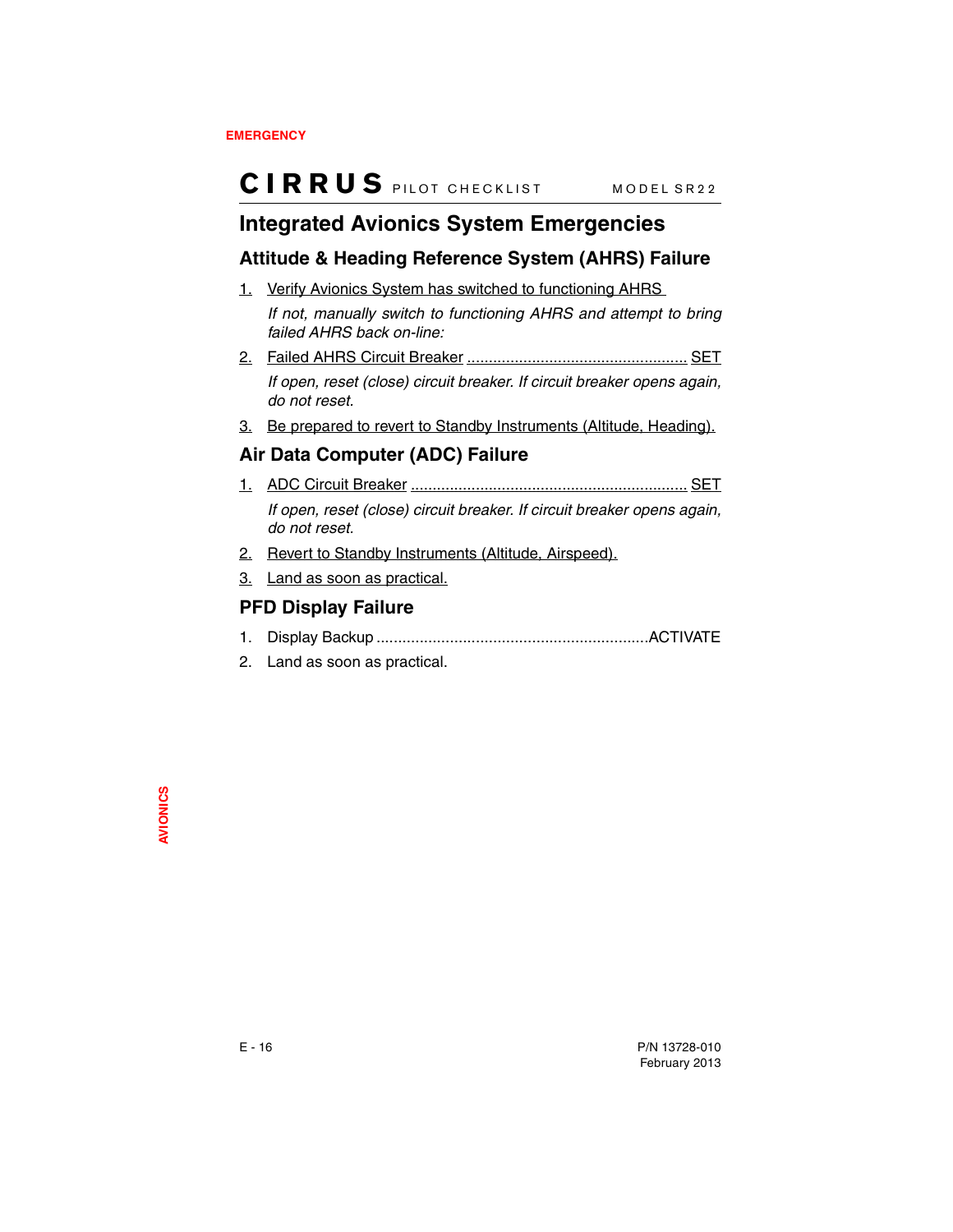## <span id="page-69-0"></span>**Integrated Avionics System Emergencies**

### <span id="page-69-1"></span>**Attitude & Heading Reference System (AHRS) Failure**

1. Verify Avionics System has switched to functioning AHRS

*If not, manually switch to functioning AHRS and attempt to bring failed AHRS back on-line:*

- 2. Failed AHRS Circuit Breaker ................................................... SET *If open, reset (close) circuit breaker. If circuit breaker opens again, do not reset.*
- 3. Be prepared to revert to Standby Instruments (Altitude, Heading).

### <span id="page-69-2"></span>**Air Data Computer (ADC) Failure**

- 1. ADC Circuit Breaker ................................................................ SET *If open, reset (close) circuit breaker. If circuit breaker opens again, do not reset.*
- 2. Revert to Standby Instruments (Altitude, Airspeed).
- 3. Land as soon as practical.

### <span id="page-69-3"></span>**PFD Display Failure**

- 1. Display Backup ...............................................................ACTIVATE
- 2. Land as soon as practical.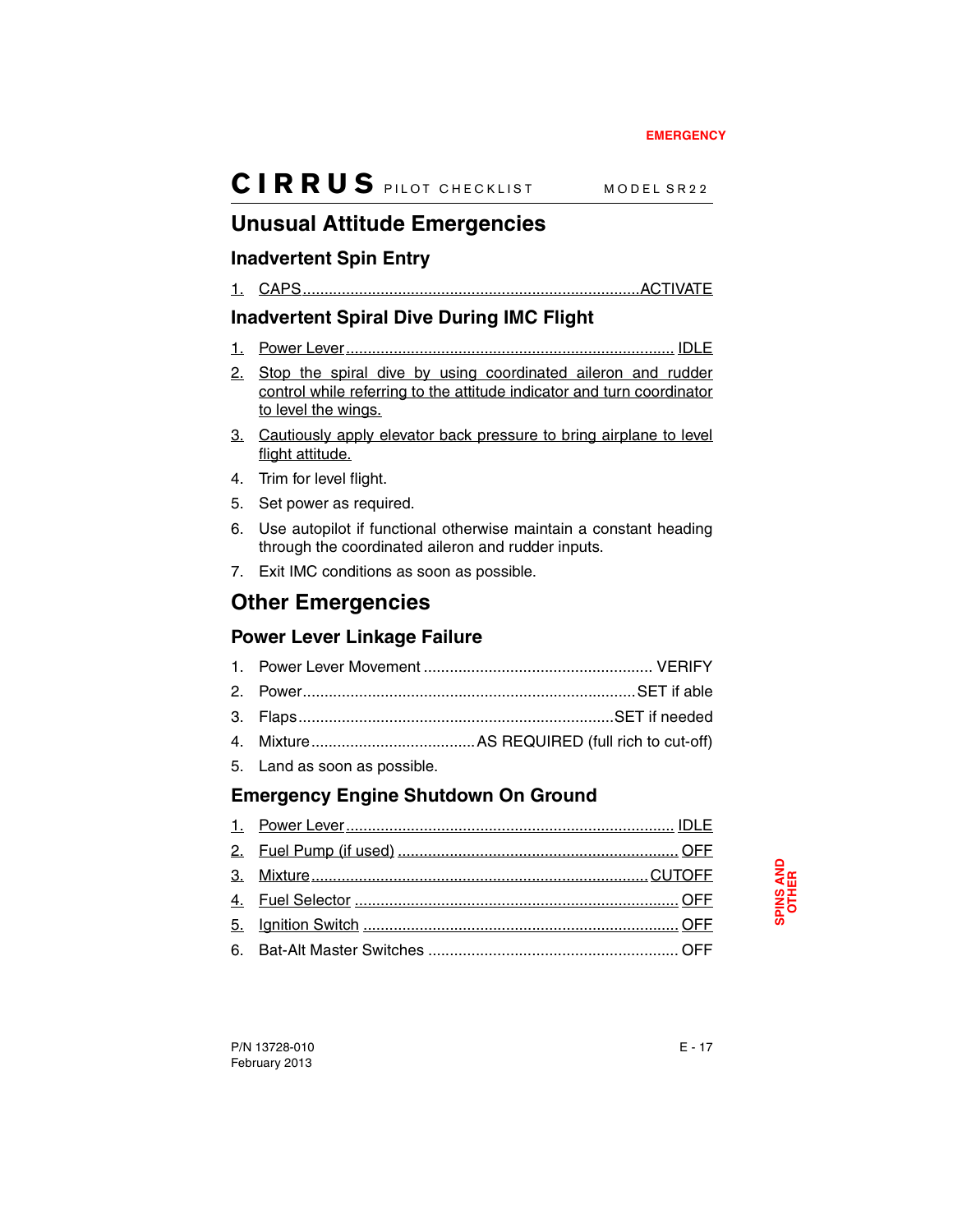## <span id="page-70-0"></span>**Unusual Attitude Emergencies**

### <span id="page-70-1"></span>**Inadvertent Spin Entry**

1. CAPS..............................................................................ACTIVATE

## <span id="page-70-2"></span>**Inadvertent Spiral Dive During IMC Flight**

- 1. Power Lever............................................................................ IDLE
- 2. Stop the spiral dive by using coordinated aileron and rudder control while referring to the attitude indicator and turn coordinator to level the wings.
- 3. Cautiously apply elevator back pressure to bring airplane to level flight attitude.
- 4. Trim for level flight.
- 5. Set power as required.
- 6. Use autopilot if functional otherwise maintain a constant heading through the coordinated aileron and rudder inputs.
- 7. Exit IMC conditions as soon as possible.

## <span id="page-70-3"></span>**Other Emergencies**

### <span id="page-70-4"></span>**Power Lever Linkage Failure**

5. Land as soon as possible.

## <span id="page-70-5"></span>**Emergency Engine Shutdown On Ground**

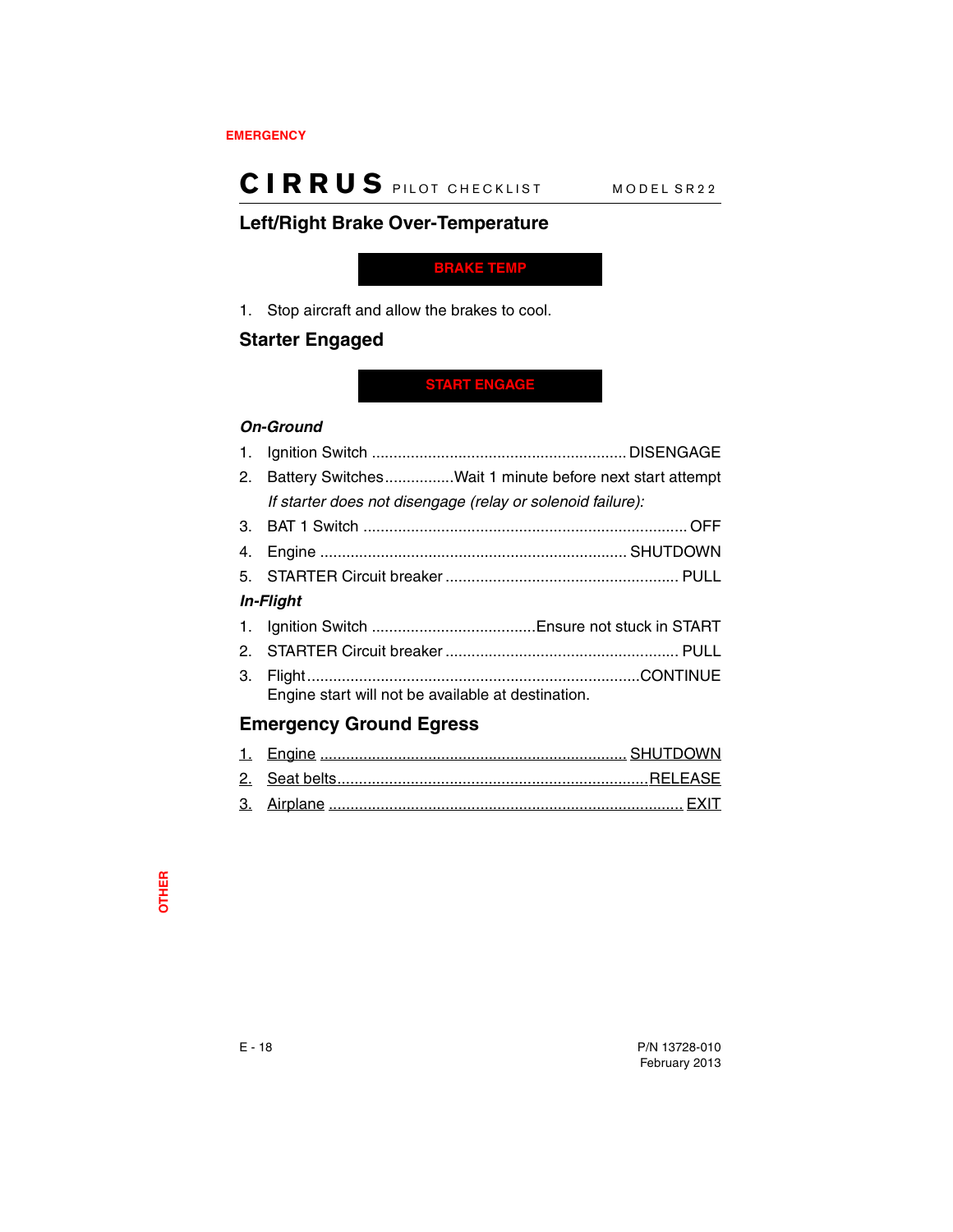### <span id="page-71-2"></span>**Left/Right Brake Over-Temperature**

<span id="page-71-0"></span>**BRAKE TEMP**

1. Stop aircraft and allow the brakes to cool.

### <span id="page-71-3"></span>**Starter Engaged**

### <span id="page-71-1"></span>**START ENGAGE**

#### *On-Ground*

|    | 2. Battery SwitchesWait 1 minute before next start attempt |  |
|----|------------------------------------------------------------|--|
|    | If starter does not disengage (relay or solenoid failure): |  |
|    |                                                            |  |
|    |                                                            |  |
|    |                                                            |  |
|    | <i><b>In-Flight</b></i>                                    |  |
|    |                                                            |  |
|    |                                                            |  |
| 3. | Engine start will not be available at destination.         |  |

### <span id="page-71-4"></span>**Emergency Ground Egress**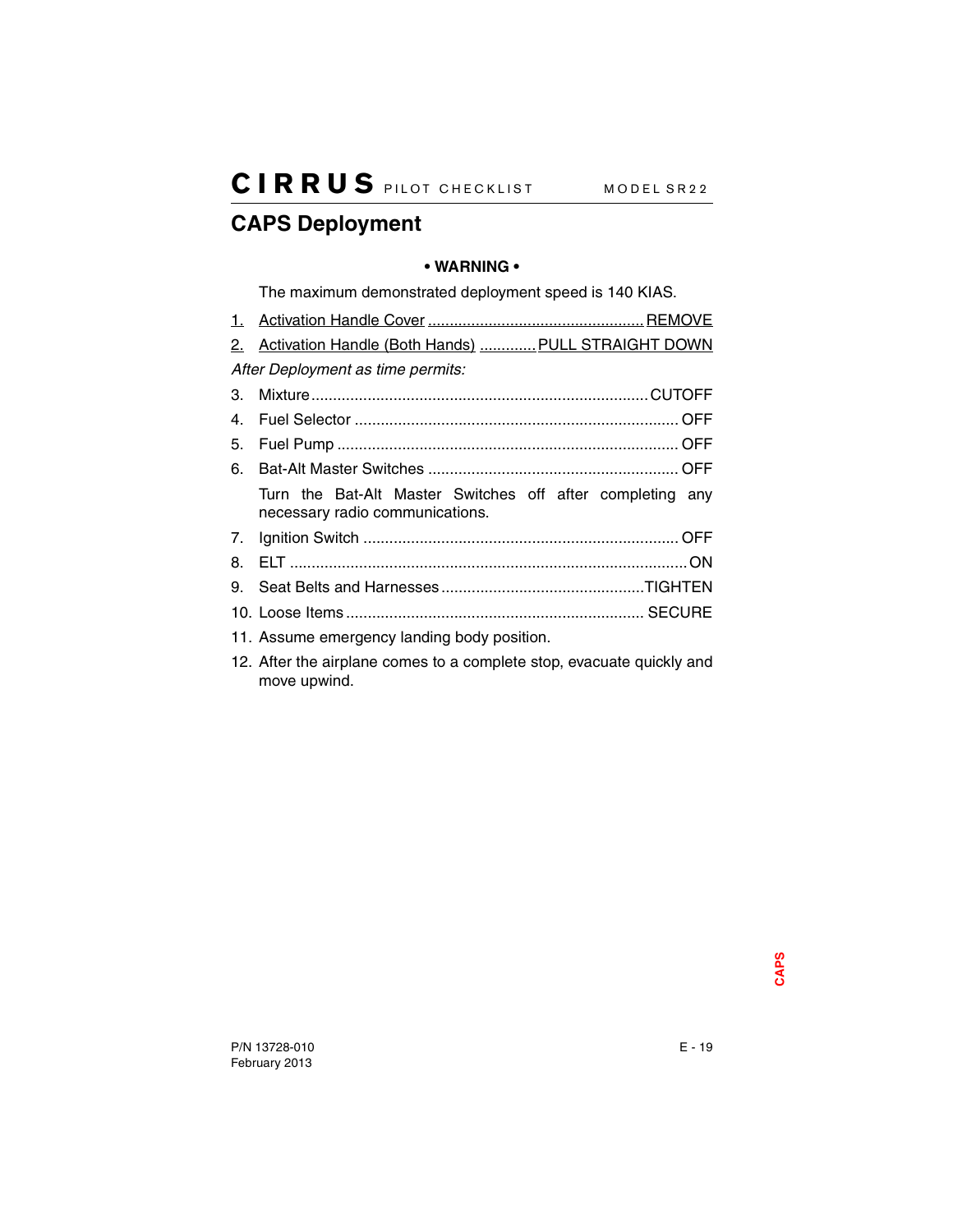## **CAPS Deployment**

## **• WARNING •**

The maximum demonstrated deployment speed is 140 KIAS.

|                                   | 2. Activation Handle (Both Hands)  PULL STRAIGHT DOWN |
|-----------------------------------|-------------------------------------------------------|
| After Deployment as time permits: |                                                       |

| 5. |                                                                                              |  |
|----|----------------------------------------------------------------------------------------------|--|
| 6. |                                                                                              |  |
|    | Turn the Bat-Alt Master Switches off after completing any<br>necessary radio communications. |  |
|    |                                                                                              |  |
|    |                                                                                              |  |
|    |                                                                                              |  |
|    |                                                                                              |  |
|    | 11. Assume emergency landing body position.                                                  |  |

12. After the airplane comes to a complete stop, evacuate quickly and move upwind.